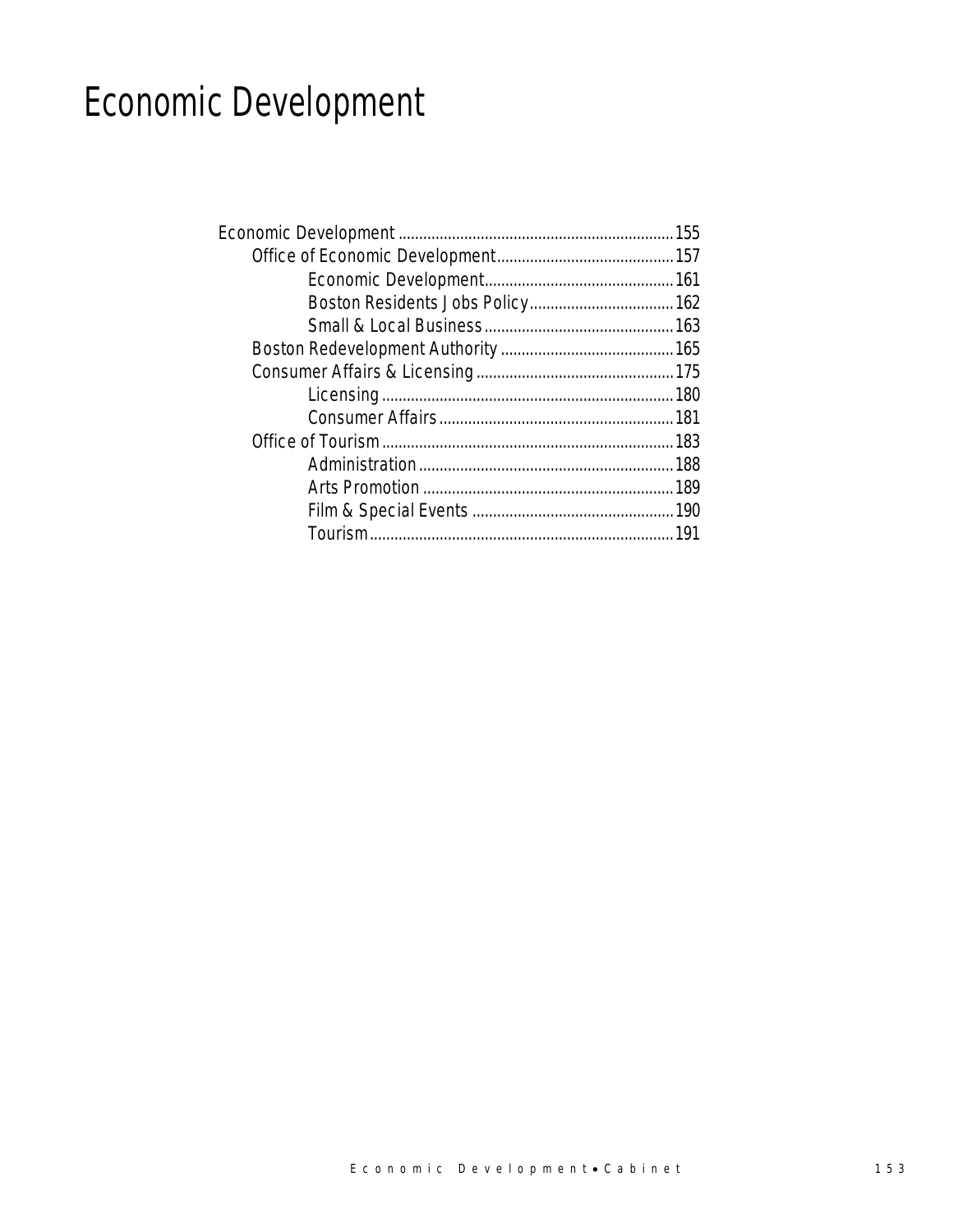# Economic Development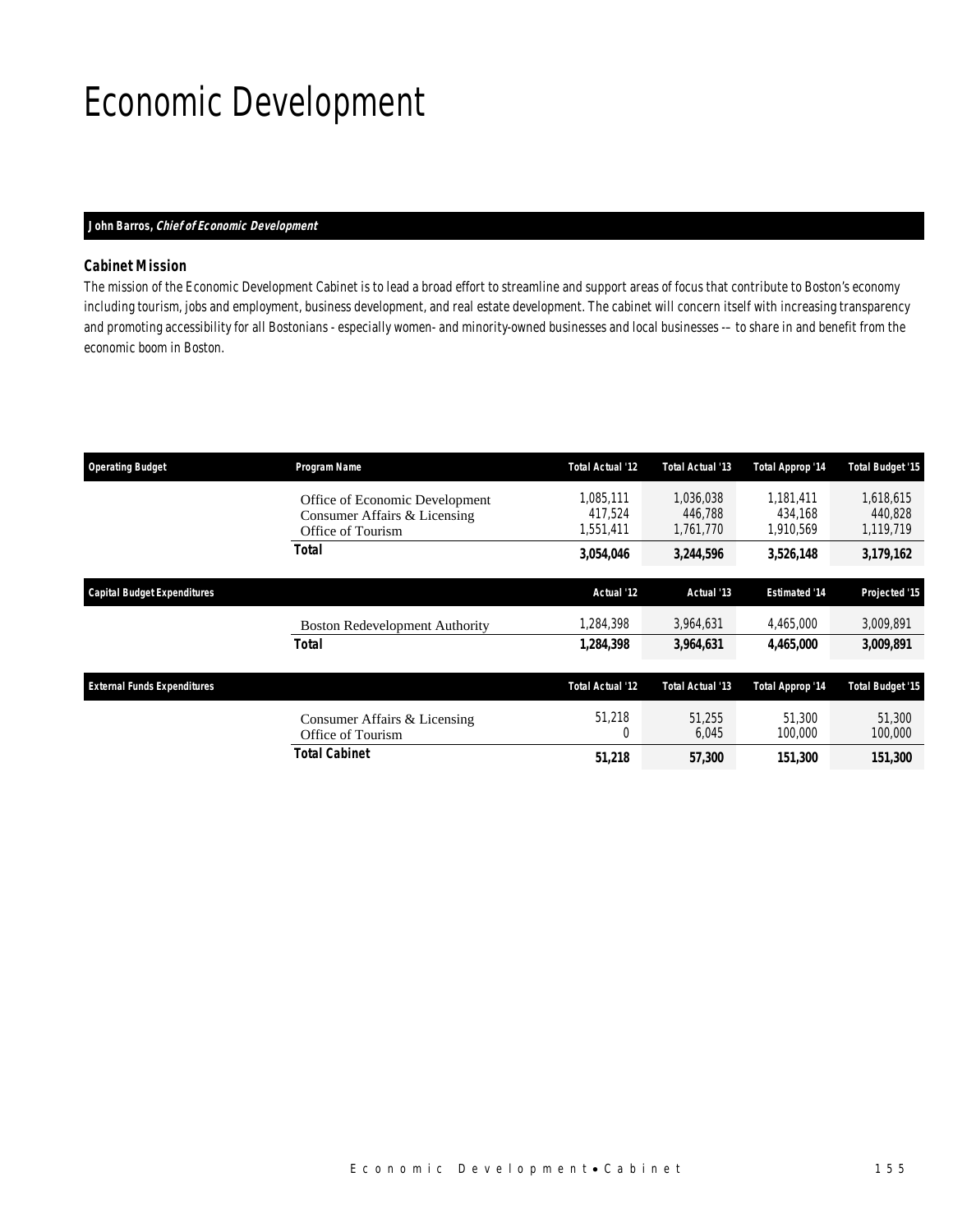# Economic Development

#### *John Barros, Chief of Economic Development*

### *Cabinet Mission*

The mission of the Economic Development Cabinet is to lead a broad effort to streamline and support areas of focus that contribute to Boston's economy including tourism, jobs and employment, business development, and real estate development. The cabinet will concern itself with increasing transparency and promoting accessibility for all Bostonians - especially women- and minority-owned businesses and local businesses -– to share in and benefit from the economic boom in Boston.

| <b>Operating Budget</b>            | Program Name                                                                        | <b>Total Actual '12</b>           | Total Actual '13                  | Total Approp '14                  | <b>Total Budget '15</b>           |
|------------------------------------|-------------------------------------------------------------------------------------|-----------------------------------|-----------------------------------|-----------------------------------|-----------------------------------|
|                                    | Office of Economic Development<br>Consumer Affairs & Licensing<br>Office of Tourism | 1,085,111<br>417.524<br>1,551,411 | 1,036,038<br>446.788<br>1.761.770 | 1.181.411<br>434.168<br>1,910,569 | 1,618,615<br>440.828<br>1,119,719 |
|                                    | <b>Total</b>                                                                        | 3,054,046                         | 3,244,596                         | 3,526,148                         | 3,179,162                         |
| <b>Capital Budget Expenditures</b> |                                                                                     | Actual '12                        | Actual '13                        | <b>Estimated '14</b>              | Projected '15                     |
|                                    | <b>Boston Redevelopment Authority</b>                                               | 1,284,398                         | 3,964,631                         | 4,465,000                         | 3,009,891                         |
|                                    | Total                                                                               | 1,284,398                         | 3,964,631                         | 4,465,000                         | 3,009,891                         |
| <b>External Funds Expenditures</b> |                                                                                     | <b>Total Actual '12</b>           | Total Actual '13                  | Total Approp '14                  | <b>Total Budget '15</b>           |
|                                    | Consumer Affairs & Licensing<br>Office of Tourism                                   | 51,218<br>$\Omega$                | 51.255<br>6,045                   | 51,300<br>100,000                 | 51,300<br>100,000                 |
|                                    | Total Cabinet                                                                       | 51,218                            | <i>57,300</i>                     | 151,300                           | 151,300                           |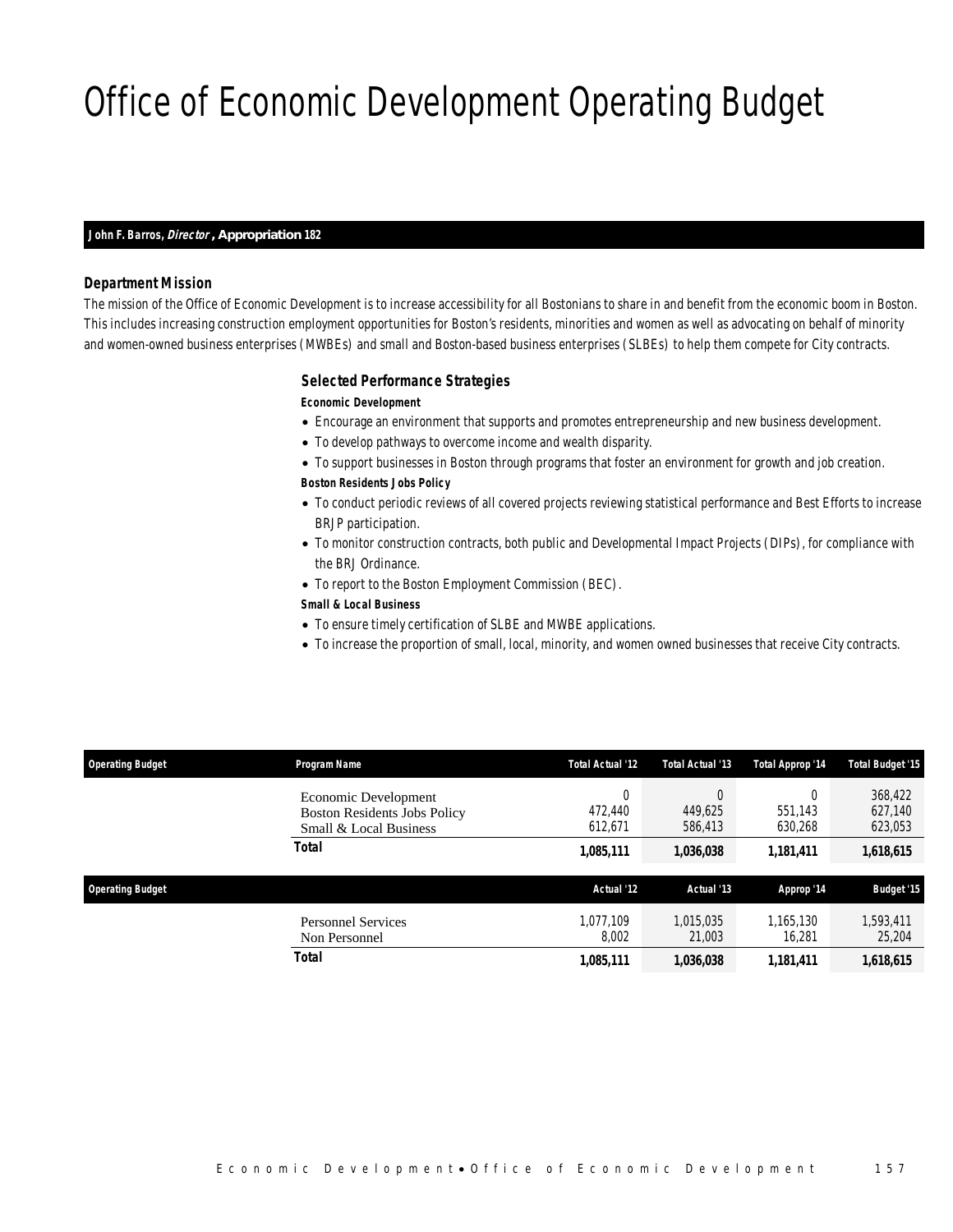# Office of Economic Development Operating Budget

#### *John F. Barros, Director , Appropriation 182*

#### *Department Mission*

The mission of the Office of Economic Development is to increase accessibility for all Bostonians to share in and benefit from the economic boom in Boston. This includes increasing construction employment opportunities for Boston's residents, minorities and women as well as advocating on behalf of minority and women-owned business enterprises (MWBEs) and small and Boston-based business enterprises (SLBEs) to help them compete for City contracts.

#### *Selected Performance Strategies*

#### *Economic Development*

- Encourage an environment that supports and promotes entrepreneurship and new business development.
- To develop pathways to overcome income and wealth disparity.
- To support businesses in Boston through programs that foster an environment for growth and job creation.

#### *Boston Residents Jobs Policy*

- To conduct periodic reviews of all covered projects reviewing statistical performance and Best Efforts to increase BRJP participation.
- To monitor construction contracts, both public and Developmental Impact Projects (DIPs), for compliance with the BRJ Ordinance.
- To report to the Boston Employment Commission (BEC).

#### *Small & Local Business*

- To ensure timely certification of SLBE and MWBE applications.
- To increase the proportion of small, local, minority, and women owned businesses that receive City contracts.

| <b>Operating Budget</b> | Program Name                                                                          | <b>Total Actual '12</b> | Total Actual '13    | Total Approp '14    | Total Budget '15              |
|-------------------------|---------------------------------------------------------------------------------------|-------------------------|---------------------|---------------------|-------------------------------|
|                         | Economic Development<br><b>Boston Residents Jobs Policy</b><br>Small & Local Business | U<br>472,440<br>612,671 | 449,625<br>586,413  | 551.143<br>630,268  | 368,422<br>627,140<br>623,053 |
|                         | <b>Total</b>                                                                          | 1,085,111               | 1,036,038           | 1,181,411           | 1,618,615                     |
| <b>Operating Budget</b> |                                                                                       | Actual '12              | Actual '13          | Approp '14          | <b>Budget '15</b>             |
|                         | <b>Personnel Services</b><br>Non Personnel                                            | 1.077.109<br>8.002      | 1,015,035<br>21,003 | 1.165.130<br>16.281 | 1,593,411<br>25,204           |
|                         | Total                                                                                 | 1,085,111               | 1,036,038           | 1,181,411           | 1,618,615                     |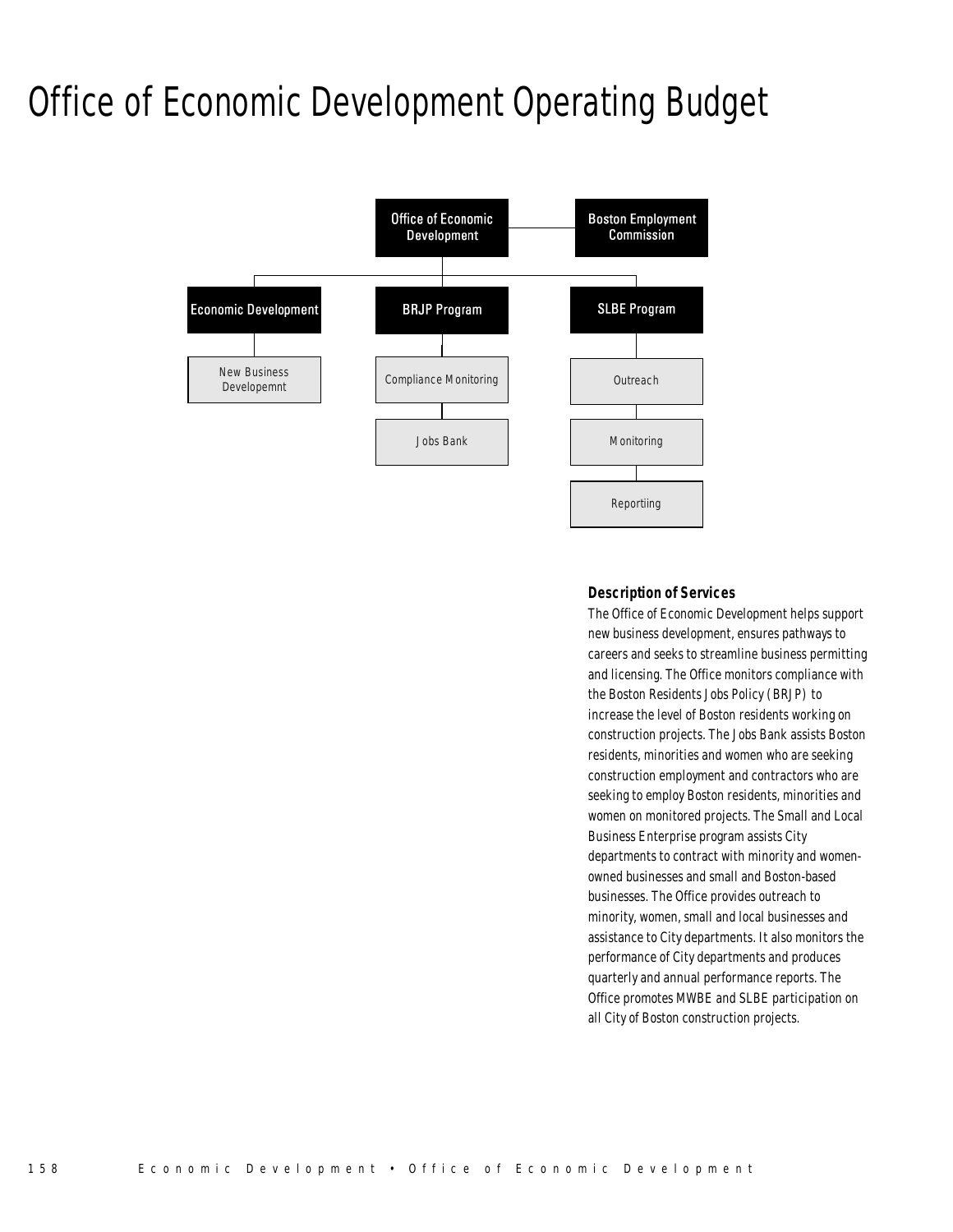# Office of Economic Development Operating Budget



#### *Description of Services*

The Office of Economic Development helps support new business development, ensures pathways to careers and seeks to streamline business permitting and licensing. The Office monitors compliance with the Boston Residents Jobs Policy (BRJP) to increase the level of Boston residents working on construction projects. The Jobs Bank assists Boston residents, minorities and women who are seeking construction employment and contractors who are seeking to employ Boston residents, minorities and women on monitored projects. The Small and Local Business Enterprise program assists City departments to contract with minority and womenowned businesses and small and Boston-based businesses. The Office provides outreach to minority, women, small and local businesses and assistance to City departments. It also monitors the performance of City departments and produces quarterly and annual performance reports. The Office promotes MWBE and SLBE participation on all City of Boston construction projects.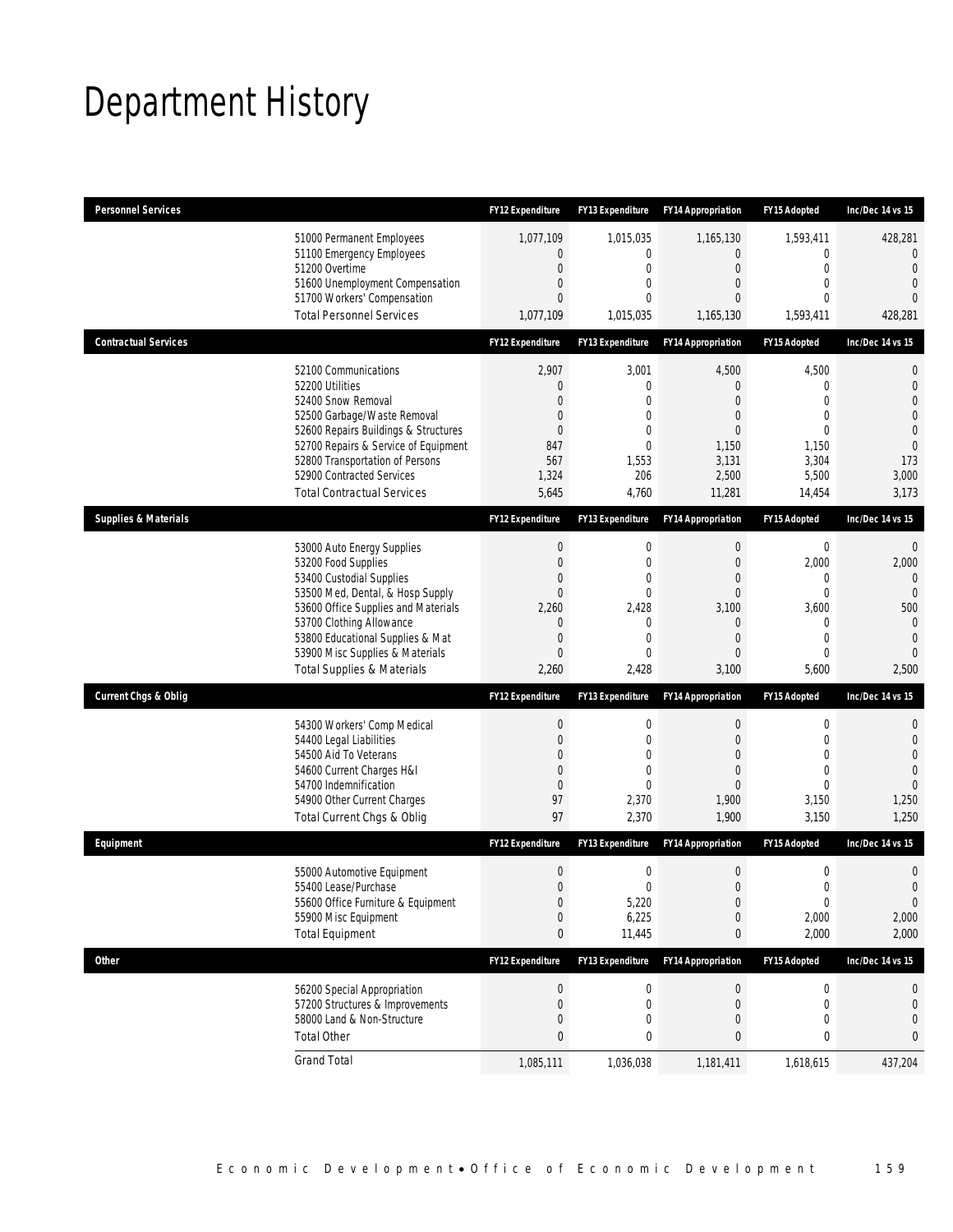# Department History

| <b>Personnel Services</b>       |                                                                                                                                                                                                                                                                                                      | <b>FY12 Expenditure</b>                                                                      | <b>FY13 Expenditure</b>                                                                                            | <b>FY14 Appropriation</b>                                                | <b>FY15 Adopted</b>                                                                                        | Inc/Dec 14 vs 15                                                                                                 |
|---------------------------------|------------------------------------------------------------------------------------------------------------------------------------------------------------------------------------------------------------------------------------------------------------------------------------------------------|----------------------------------------------------------------------------------------------|--------------------------------------------------------------------------------------------------------------------|--------------------------------------------------------------------------|------------------------------------------------------------------------------------------------------------|------------------------------------------------------------------------------------------------------------------|
|                                 | 51000 Permanent Employees<br>51100 Emergency Employees<br>51200 Overtime<br>51600 Unemployment Compensation<br>51700 Workers' Compensation<br><b>Total Personnel Services</b>                                                                                                                        | 1,077,109<br>$\mathbf{0}$<br>$\mathbf 0$<br>0<br>0<br>1,077,109                              | 1,015,035<br>0<br>$\mathbf 0$<br>$\mathbf{0}$<br>0<br>1,015,035                                                    | 1,165,130<br>$\overline{0}$<br>$\mathbf 0$<br>0<br>0<br>1,165,130        | 1,593,411<br>$\mathbf{0}$<br>$\mathbf 0$<br>$\mathbf{0}$<br>$\mathbf{0}$<br>1,593,411                      | 428,281<br>$\mathbf{0}$<br>$\Omega$<br>$\mathbf{0}$<br>$\Omega$<br>428,281                                       |
| <b>Contractual Services</b>     |                                                                                                                                                                                                                                                                                                      | FY12 Expenditure                                                                             | <b>FY13 Expenditure</b>                                                                                            | <b>FY14 Appropriation</b>                                                | FY15 Adopted                                                                                               | Inc/Dec 14 vs 15                                                                                                 |
|                                 | 52100 Communications<br>52200 Utilities<br>52400 Snow Removal<br>52500 Garbage/Waste Removal<br>52600 Repairs Buildings & Structures<br>52700 Repairs & Service of Equipment<br>52800 Transportation of Persons<br>52900 Contracted Services<br><b>Total Contractual Services</b>                    | 2,907<br>0<br>$\Omega$<br>0<br>0<br>847<br>567<br>1,324<br>5,645                             | 3,001<br>0<br>0<br>$\overline{0}$<br>$\mathbf{0}$<br>$\mathbf 0$<br>1,553<br>206<br>4,760                          | 4,500<br>0<br>$\Omega$<br>0<br>0<br>1,150<br>3,131<br>2,500<br>11,281    | 4,500<br>$\mathbf 0$<br>$\Omega$<br>$\mathbf{0}$<br>$\mathbf 0$<br>1,150<br>3,304<br>5,500<br>14,454       | 0<br>$\mathbf{0}$<br>$\overline{0}$<br>$\overline{0}$<br>$\mathbf{0}$<br>$\overline{0}$<br>173<br>3,000<br>3,173 |
| <b>Supplies &amp; Materials</b> |                                                                                                                                                                                                                                                                                                      | <b>FY12 Expenditure</b>                                                                      | FY13 Expenditure                                                                                                   | <b>FY14 Appropriation</b>                                                | FY15 Adopted                                                                                               | Inc/Dec 14 vs 15                                                                                                 |
|                                 | 53000 Auto Energy Supplies<br>53200 Food Supplies<br>53400 Custodial Supplies<br>53500 Med, Dental, & Hosp Supply<br>53600 Office Supplies and Materials<br>53700 Clothing Allowance<br>53800 Educational Supplies & Mat<br>53900 Misc Supplies & Materials<br><b>Total Supplies &amp; Materials</b> | $\boldsymbol{0}$<br>$\boldsymbol{0}$<br>0<br>$\overline{0}$<br>2,260<br>0<br>0<br>0<br>2,260 | $\boldsymbol{0}$<br>$\mathbf{0}$<br>$\mathbf{0}$<br>$\mathbf 0$<br>2,428<br>$\mathbf{0}$<br>0<br>$\Omega$<br>2,428 | 0<br>$\overline{0}$<br>0<br>$\mathbf 0$<br>3,100<br>0<br>0<br>0<br>3,100 | $\mathbf 0$<br>2,000<br>0<br>$\mathbf{0}$<br>3,600<br>$\mathbf{0}$<br>$\mathbf{0}$<br>$\mathbf 0$<br>5,600 | $\mathbf 0$<br>2,000<br>$\Omega$<br>$\Omega$<br>500<br>$\mathbf{0}$<br>$\mathbf{0}$<br>$\Omega$<br>2,500         |
| <b>Current Chgs &amp; Oblig</b> |                                                                                                                                                                                                                                                                                                      | FY12 Expenditure                                                                             | FY13 Expenditure                                                                                                   | <b>FY14 Appropriation</b>                                                | FY15 Adopted                                                                                               | Inc/Dec 14 vs 15                                                                                                 |
|                                 | 54300 Workers' Comp Medical<br>54400 Legal Liabilities<br>54500 Aid To Veterans<br>54600 Current Charges H&I<br>54700 Indemnification<br>54900 Other Current Charges<br>Total Current Chgs & Oblig                                                                                                   | $\boldsymbol{0}$<br>$\boldsymbol{0}$<br>0<br>$\boldsymbol{0}$<br>$\mathbf{0}$<br>97<br>97    | 0<br>$\mathbf 0$<br>$\mathbf{0}$<br>$\mathbf{0}$<br>$\overline{0}$<br>2,370<br>2,370                               | $\mathbf 0$<br>$\mathbf 0$<br>0<br>0<br>0<br>1,900<br>1,900              | $\mathbf 0$<br>$\mathbf 0$<br>$\mathbf{0}$<br>$\overline{0}$<br>$\overline{0}$<br>3,150<br>3,150           | 0<br>$\mathbf{0}$<br>$\mathbf{0}$<br>$\Omega$<br>$\overline{0}$<br>1,250<br>1,250                                |
| Equipment                       |                                                                                                                                                                                                                                                                                                      | <b>FY12 Expenditure</b>                                                                      | <b>FY13 Expenditure</b>                                                                                            | <b>FY14 Appropriation</b>                                                | FY15 Adopted                                                                                               | Inc/Dec 14 vs 15                                                                                                 |
|                                 | 55000 Automotive Equipment<br>55400 Lease/Purchase<br>55600 Office Furniture & Equipment<br>55900 Misc Equipment<br><b>Total Equipment</b>                                                                                                                                                           | $\boldsymbol{0}$<br>$\mathbf{0}$<br>$\boldsymbol{0}$<br>0<br>0                               | 0<br>$\mathbf 0$<br>5,220<br>6,225<br>11,445                                                                       | $\mathbf 0$<br>$\overline{0}$<br>$\boldsymbol{0}$<br>0<br>0              | $\mathbf 0$<br>$\mathbf{0}$<br>$\boldsymbol{0}$<br>2,000<br>2,000                                          | $\mathbf 0$<br>$\mathbf{0}$<br>0<br>2,000<br>2,000                                                               |
| <b>Other</b>                    |                                                                                                                                                                                                                                                                                                      | FY12 Expenditure                                                                             | FY13 Expenditure                                                                                                   | <b>FY14 Appropriation</b>                                                | FY15 Adopted                                                                                               | Inc/Dec 14 vs 15                                                                                                 |
|                                 | 56200 Special Appropriation<br>57200 Structures & Improvements<br>58000 Land & Non-Structure<br><b>Total Other</b>                                                                                                                                                                                   | $\boldsymbol{0}$<br>$\boldsymbol{0}$<br>0<br>$\pmb{0}$                                       | 0<br>0<br>0<br>0                                                                                                   | $\pmb{0}$<br>0<br>0<br>0                                                 | $\boldsymbol{0}$<br>$\mathbf 0$<br>$\mathbf 0$<br>0                                                        | 0<br>0<br>0<br>0                                                                                                 |
|                                 | <b>Grand Total</b>                                                                                                                                                                                                                                                                                   | 1,085,111                                                                                    | 1,036,038                                                                                                          | 1,181,411                                                                | 1,618,615                                                                                                  | 437,204                                                                                                          |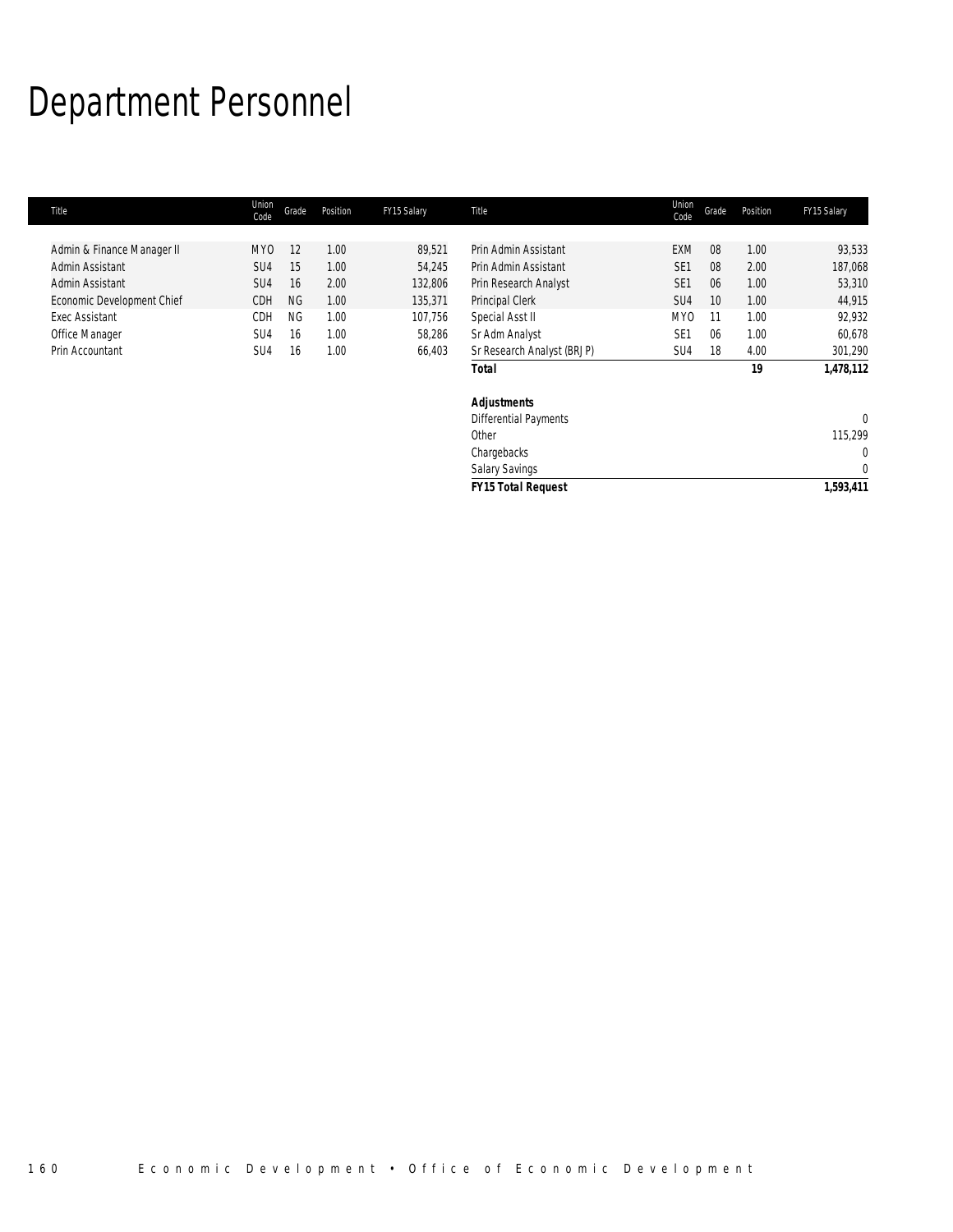# Department Personnel

| Union<br>Code   | Grade     | Position | FY15 Salary | Title                      | Union<br>Code   | Grade | Position | FY15 Salary  |
|-----------------|-----------|----------|-------------|----------------------------|-----------------|-------|----------|--------------|
|                 |           |          |             |                            |                 |       |          |              |
| MY <sub>0</sub> | 12        | 1.00     | 89,521      | Prin Admin Assistant       | <b>EXM</b>      | 08    | 1.00     | 93,533       |
| SU4             | 15        | 1.00     | 54,245      | Prin Admin Assistant       | SE <sub>1</sub> | 08    | 2.00     | 187,068      |
| SU <sub>4</sub> | 16        | 2.00     | 132,806     | Prin Research Analyst      | SE <sub>1</sub> | 06    | 1.00     | 53,310       |
| CDH             | <b>NG</b> | 1.00     | 135,371     | Principal Clerk            | SU <sub>4</sub> | 10    | 1.00     | 44,915       |
| <b>CDH</b>      | <b>NG</b> | 1.00     | 107,756     | Special Asst II            | MY <sub>0</sub> | 11    | 1.00     | 92,932       |
| SU <sub>4</sub> | 16        | 1.00     | 58,286      | Sr Adm Analyst             | SE <sub>1</sub> | 06    | 1.00     | 60,678       |
| SU <sub>4</sub> | 16        | 1.00     | 66,403      | Sr Research Analyst (BRJP) | SU4             | 18    | 4.00     | 301,290      |
|                 |           |          |             | <b>Total</b>               |                 |       | 19       | 1,478,112    |
|                 |           |          |             | <b>Adjustments</b>         |                 |       |          |              |
|                 |           |          |             | Differential Payments      |                 |       |          | $\mathbf{0}$ |
|                 |           |          |             | Other                      |                 |       |          | 115,299      |
|                 |           |          |             | Chargebacks                |                 |       |          | $\mathbf{0}$ |
|                 |           |          |             | Salary Savings             |                 |       |          | 0            |
|                 |           |          |             | <b>FY15 Total Request</b>  |                 |       |          | 1,593,411    |
|                 |           |          |             |                            |                 |       |          |              |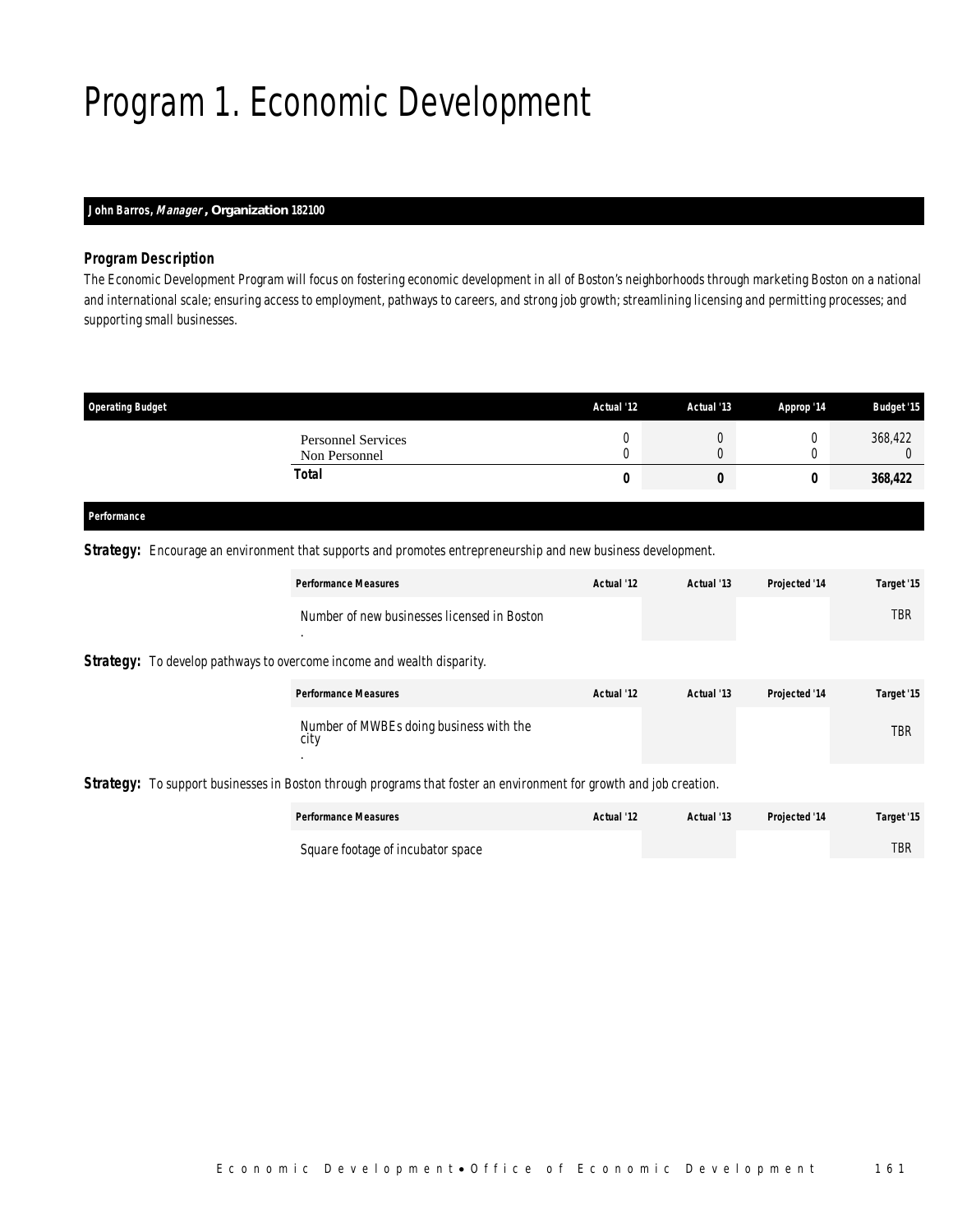# Program 1. Economic Development

### *John Barros, Manager , Organization 182100*

#### *Program Description*

The Economic Development Program will focus on fostering economic development in all of Boston's neighborhoods through marketing Boston on a national and international scale; ensuring access to employment, pathways to careers, and strong job growth; streamlining licensing and permitting processes; and supporting small businesses.

| <b>Operating Budget</b>                    | Actual '12 | Actual '13 | Approp '14 | <b>Budget '15</b> |
|--------------------------------------------|------------|------------|------------|-------------------|
| <b>Personnel Services</b><br>Non Personnel |            |            |            | 368,422           |
| Total                                      | U          |            |            | 368,422           |

#### *Performance*

*Strategy:* Encourage an environment that supports and promotes entrepreneurship and new business development.

|                                                                               | <b>Performance Measures</b>                                  | Actual '12 | Actual '13 | Projected '14 | Target '15 |
|-------------------------------------------------------------------------------|--------------------------------------------------------------|------------|------------|---------------|------------|
|                                                                               | Number of new businesses licensed in Boston<br>$\bullet$     |            |            |               | <b>TBR</b> |
| <b>Strategy:</b> To develop pathways to overcome income and wealth disparity. |                                                              |            |            |               |            |
|                                                                               | <b>Performance Measures</b>                                  | Actual '12 | Actual '13 | Projected '14 | Target '15 |
|                                                                               | Number of MWBEs doing business with the<br>city<br>$\bullet$ |            |            |               | <b>TBR</b> |

*Strategy:* To support businesses in Boston through programs that foster an environment for growth and job creation.

| <b>Performance Measures</b>       | Actual '12 | Actual '13 | <b>Projected '14</b> | Target '15 |
|-----------------------------------|------------|------------|----------------------|------------|
| Square footage of incubator space |            |            |                      | <b>TBR</b> |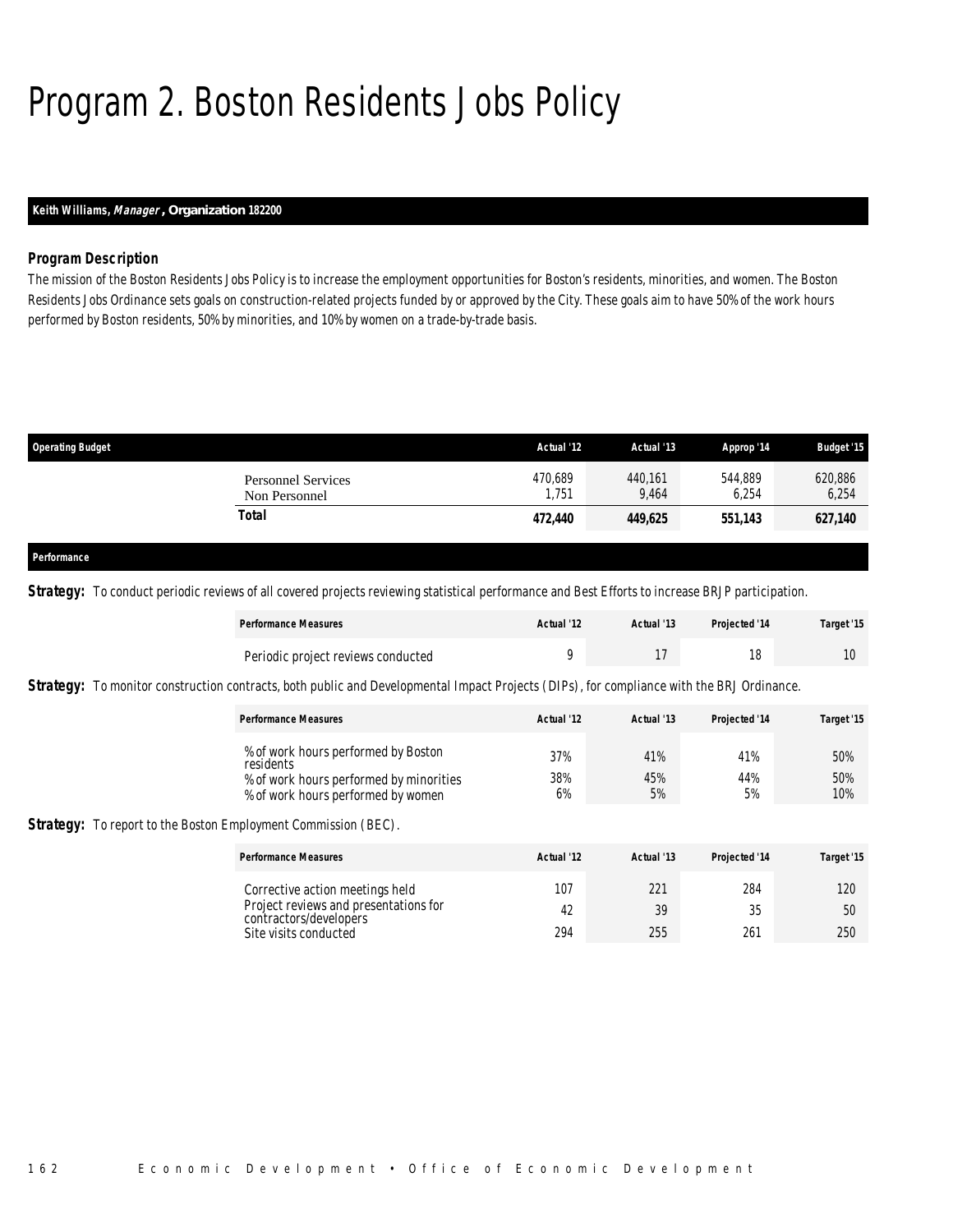# Program 2. Boston Residents Jobs Policy

### *Keith Williams, Manager , Organization 182200*

#### *Program Description*

The mission of the Boston Residents Jobs Policy is to increase the employment opportunities for Boston's residents, minorities, and women. The Boston Residents Jobs Ordinance sets goals on construction-related projects funded by or approved by the City. These goals aim to have 50% of the work hours performed by Boston residents, 50% by minorities, and 10% by women on a trade-by-trade basis.

| <b>Operating Budget</b>                    | Actual '12      | Actual '13       | Approp '14       | <b>Budget '15</b> |
|--------------------------------------------|-----------------|------------------|------------------|-------------------|
| <b>Personnel Services</b><br>Non Personnel | 470,689<br>.751 | 440,161<br>9,464 | 544,889<br>6,254 | 620,886<br>6,254  |
| Total                                      | 472,440         | 449,625          | 551,143          | 627,140           |
|                                            |                 |                  |                  |                   |
| Performance                                |                 |                  |                  |                   |

**Strategy:** To conduct periodic reviews of all covered projects reviewing statistical performance and Best Efforts to increase BRJP participation.

| <b>Performance Measures</b>        | Actual '12 | Actual '13 | Projected '14 | Target '15 |
|------------------------------------|------------|------------|---------------|------------|
| Periodic project reviews conducted |            |            |               |            |

**Strategy:** To monitor construction contracts, both public and Developmental Impact Projects (DIPs), for compliance with the BRJ Ordinance.

| <b>Performance Measures</b> | Actual '12                                                                                                                               | Actual '13       | <b>Projected '14</b> | Target '15        |
|-----------------------------|------------------------------------------------------------------------------------------------------------------------------------------|------------------|----------------------|-------------------|
| residents                   | % of work hours performed by Boston<br>37%<br>38%<br>% of work hours performed by minorities<br>6%<br>% of work hours performed by women | 41%<br>45%<br>5% | 41%<br>44%<br>5%     | 50%<br>50%<br>10% |

**Strategy:** To report to the Boston Employment Commission (BEC).

| <b>Performance Measures</b>                                              | Actual '12 | Actual '13 | Projected '14 | Target '15 |
|--------------------------------------------------------------------------|------------|------------|---------------|------------|
| Corrective action meetings held<br>Project reviews and presentations for | 107        | 221        | 284           | 120        |
| contractors/developers                                                   | 42         | 39         | 25            | 50         |
| Site visits conducted                                                    | 294        | 255        | 261           | 250        |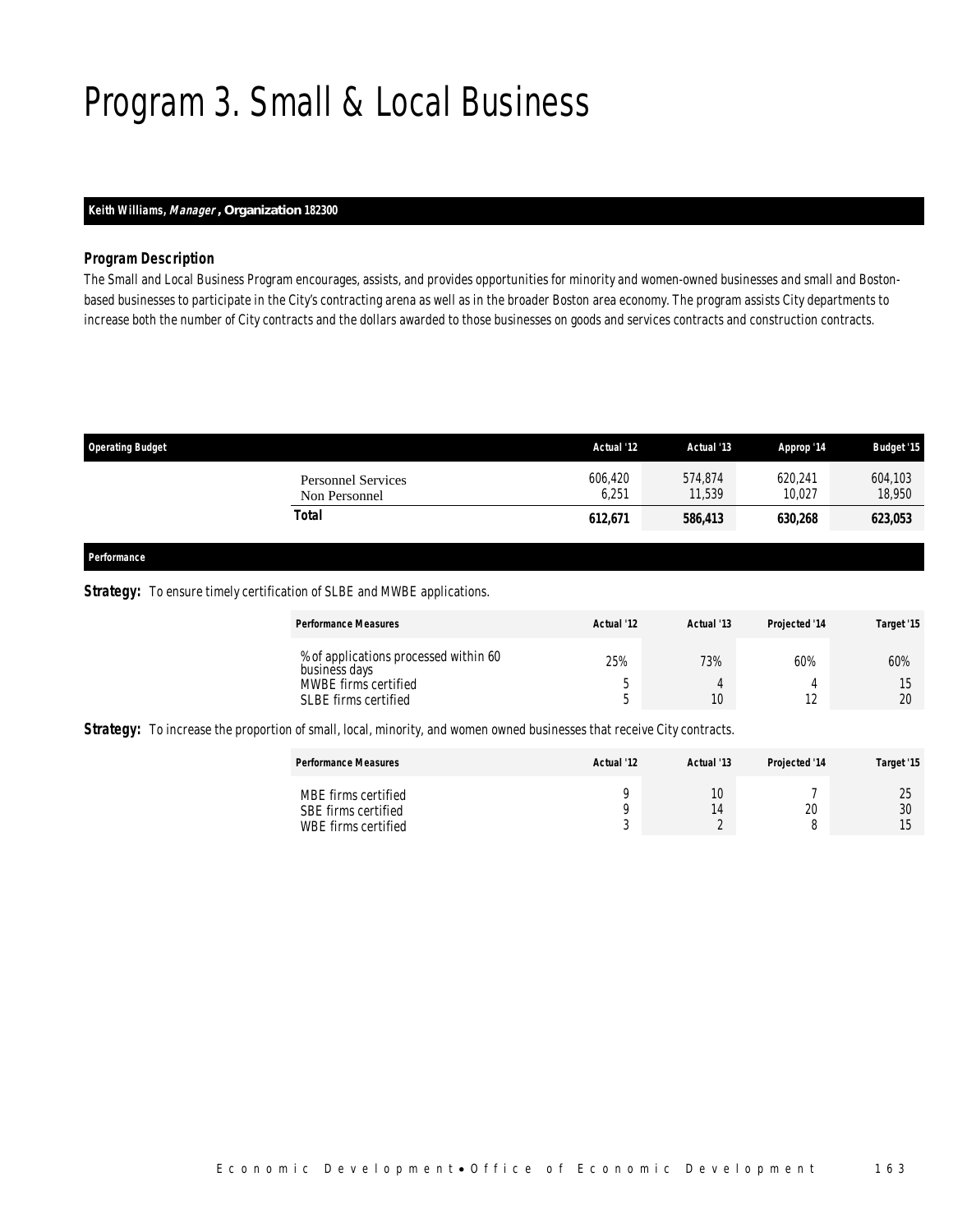# Program 3. Small & Local Business

### *Keith Williams, Manager , Organization 182300*

#### *Program Description*

The Small and Local Business Program encourages, assists, and provides opportunities for minority and women-owned businesses and small and Bostonbased businesses to participate in the City's contracting arena as well as in the broader Boston area economy. The program assists City departments to increase both the number of City contracts and the dollars awarded to those businesses on goods and services contracts and construction contracts.

| <b>Operating Budget</b>                    | Actual '12       | Actual '13        | Approp '14        | <b>Budget '15</b> |
|--------------------------------------------|------------------|-------------------|-------------------|-------------------|
| <b>Personnel Services</b><br>Non Personnel | 606.420<br>6,251 | 574.874<br>11.539 | 620.241<br>10.027 | 604,103<br>18,950 |
| Total                                      | 612,671          | 586,413           | 630,268           | 623,053           |
|                                            |                  |                   |                   |                   |

## *Performance*

#### **Strategy:** To ensure timely certification of SLBE and MWBE applications.

| <b>Performance Measures</b>                            | Actual '12 | Actual '13 | <b>Projected '14</b> | Target '15     |
|--------------------------------------------------------|------------|------------|----------------------|----------------|
| % of applications processed within 60<br>business days | 25%        | 73%        | 60%                  | 60%            |
| MWBE firms certified                                   | n          |            |                      |                |
| SLBE firms certified                                   | n          | 10         |                      | $\Omega$<br>ŽŪ |

**Strategy:** To increase the proportion of small, local, minority, and women owned businesses that receive City contracts.

| <b>Performance Measures</b>                                       | Actual '12       | Actual '13 | Projected '14 | Target '15                              |
|-------------------------------------------------------------------|------------------|------------|---------------|-----------------------------------------|
| MBE firms certified<br>SBE firms certified<br>WBE firms certified | ⌒<br>$\sim$<br>ັ | 10<br>14   | 20            | ገር<br>∠∪<br>30<br>1 <sub>5</sub><br>ں ا |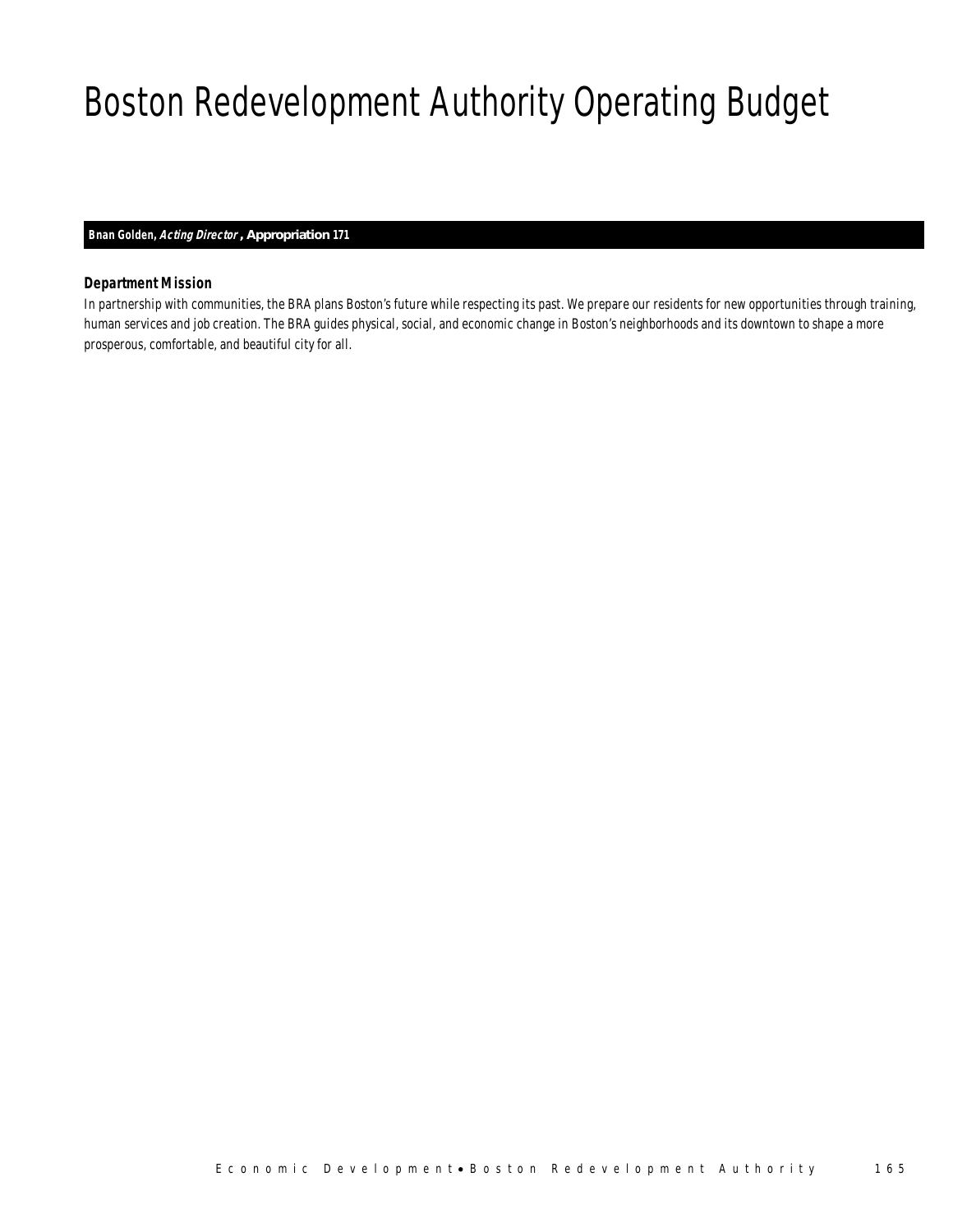# Boston Redevelopment Authority Operating Budget

#### *Bnan Golden, Acting Director , Appropriation 171*

### *Department Mission*

In partnership with communities, the BRA plans Boston's future while respecting its past. We prepare our residents for new opportunities through training, human services and job creation. The BRA guides physical, social, and economic change in Boston's neighborhoods and its downtown to shape a more prosperous, comfortable, and beautiful city for all.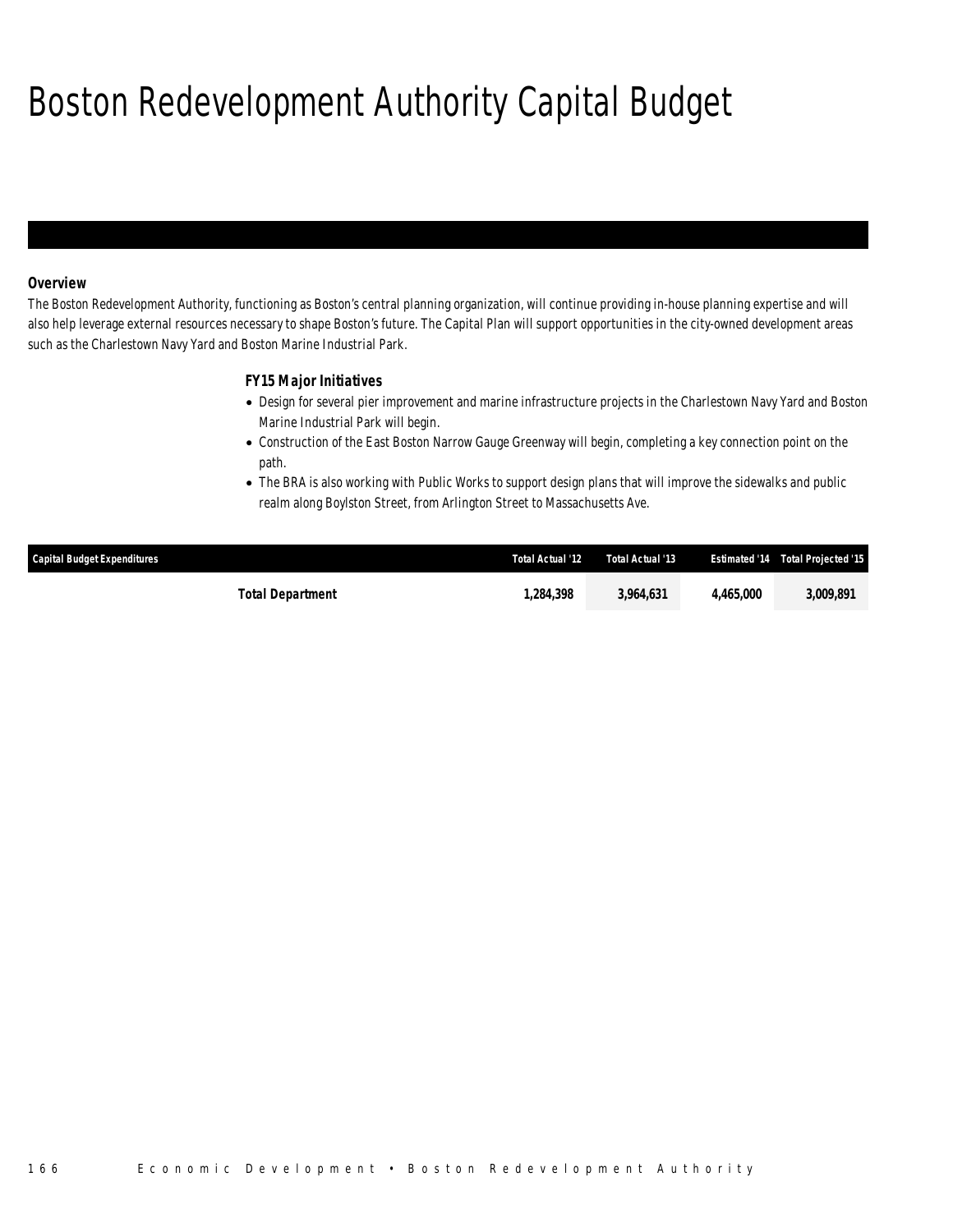# Boston Redevelopment Authority Capital Budget

### *Overview*

The Boston Redevelopment Authority, functioning as Boston's central planning organization, will continue providing in-house planning expertise and will also help leverage external resources necessary to shape Boston's future. The Capital Plan will support opportunities in the city-owned development areas such as the Charlestown Navy Yard and Boston Marine Industrial Park.

### *FY15 Major Initiatives*

- Design for several pier improvement and marine infrastructure projects in the Charlestown Navy Yard and Boston Marine Industrial Park will begin.
- Construction of the East Boston Narrow Gauge Greenway will begin, completing a key connection point on the path.
- The BRA is also working with Public Works to support design plans that will improve the sidewalks and public realm along Boylston Street, from Arlington Street to Massachusetts Ave.

| Capital Budget Expenditures | Total Actual '12 | Total Actual '13 |           | <b>Estimated '14 Total Projected '15</b> |
|-----------------------------|------------------|------------------|-----------|------------------------------------------|
| <b>Total Department</b>     | 1.284.398        | 3.964.631        | 4.465.000 | 3.009.891                                |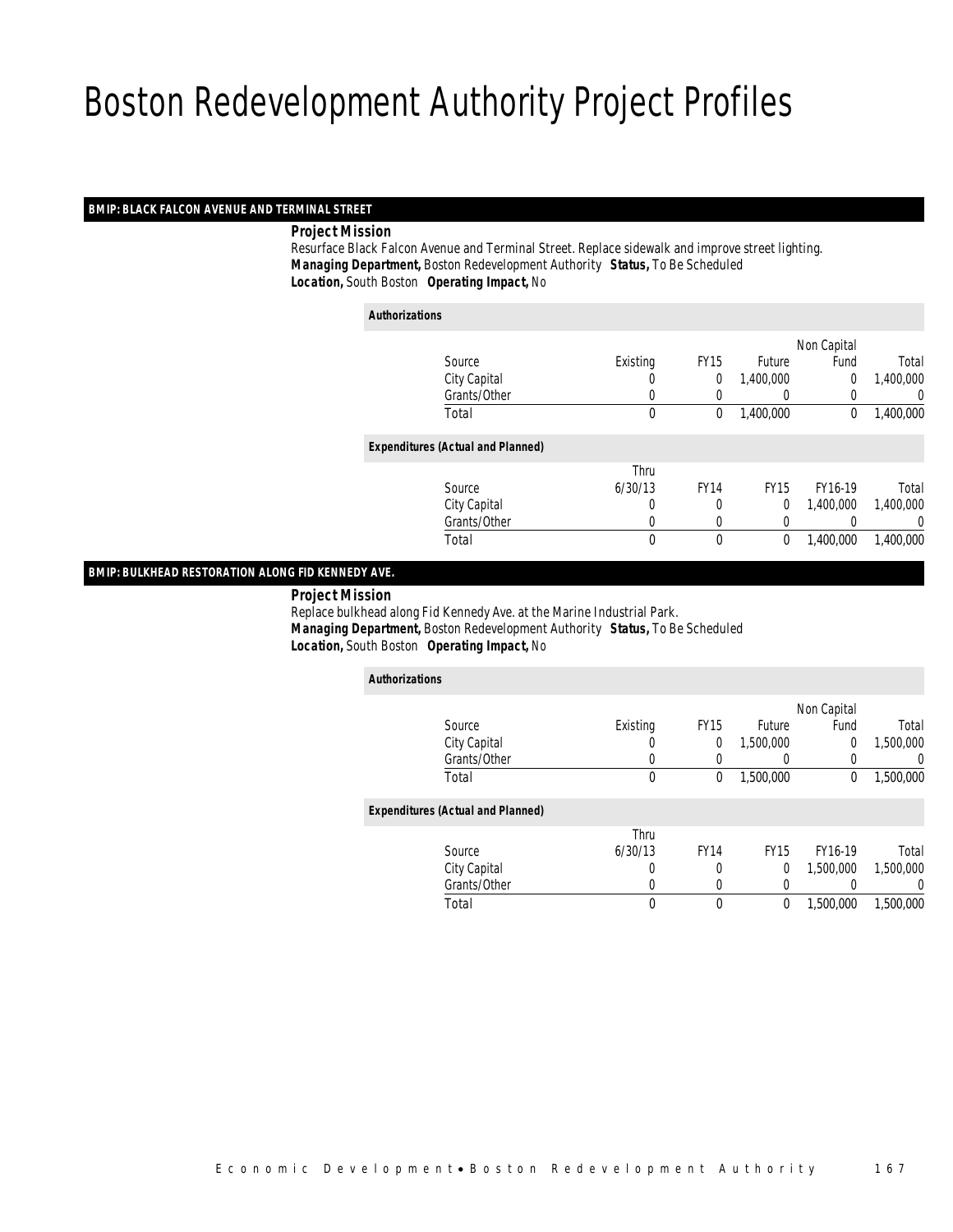#### *BMIP: BLACK FALCON AVENUE AND TERMINAL STREET*

*Project Mission*

 Resurface Black Falcon Avenue and Terminal Street. Replace sidewalk and improve street lighting. *Managing Department,* Boston Redevelopment Authority *Status,* To Be Scheduled*Location,* South Boston *Operating Impact,* No

| <b>Authorizations</b>                    |                  |             |             |                |           |
|------------------------------------------|------------------|-------------|-------------|----------------|-----------|
|                                          |                  |             |             | Non Capital    |           |
| Source                                   | Existing         | <b>FY15</b> | Future      | Fund           | Total     |
| City Capital                             | $\left( \right)$ | 0           | 1,400,000   | $\overline{0}$ | 1,400,000 |
| Grants/Other                             | 0                |             | 0           | 0              | 0         |
| Total                                    | $\mathbf 0$      | 0           | 1,400,000   | $\mathbf 0$    | 1,400,000 |
| <b>Expenditures (Actual and Planned)</b> |                  |             |             |                |           |
|                                          | Thru             |             |             |                |           |
| Source                                   | 6/30/13          | <b>FY14</b> | <b>FY15</b> | FY16-19        | Total     |
| City Capital                             | 0                | 0           | 0           | 1.400.000      | 1,400,000 |
| Grants/Other                             | 0                | 0           | 0           |                | 0         |
| Total                                    | $\mathbf 0$      | $\mathbf 0$ | $\mathbf 0$ | 1.400.000      | 1,400,000 |

#### *BMIP: BULKHEAD RESTORATION ALONG FID KENNEDY AVE.*

*Project Mission*

 Replace bulkhead along Fid Kennedy Ave. at the Marine Industrial Park. *Managing Department,* Boston Redevelopment Authority *Status,* To Be Scheduled*Location,* South Boston *Operating Impact,* No

| <b>Authorizations</b>                    |          |             |                  |             |           |
|------------------------------------------|----------|-------------|------------------|-------------|-----------|
|                                          |          |             |                  | Non Capital |           |
| Source                                   | Existing | <b>FY15</b> | Future           | Fund        | Total     |
| City Capital                             | 0        | 0           | 1,500,000        | 0           | 1,500,000 |
| Grants/Other                             | 0        |             | $\left( \right)$ | 0           | 0         |
| Total                                    | 0        | 0           | 1.500.000        | 0           | 1,500,000 |
| <b>Expenditures (Actual and Planned)</b> |          |             |                  |             |           |
|                                          | Thru     |             |                  |             |           |
| Source                                   | 6/30/13  | <b>FY14</b> | <b>FY15</b>      | FY16-19     | Total     |
| City Capital                             | 0        | 0           | 0                | 1,500,000   | 1,500,000 |
| Grants/Other                             | 0        | 0           | 0                |             | 0         |
| Total                                    | $\theta$ | $\theta$    | 0                | 1,500,000   | 1,500,000 |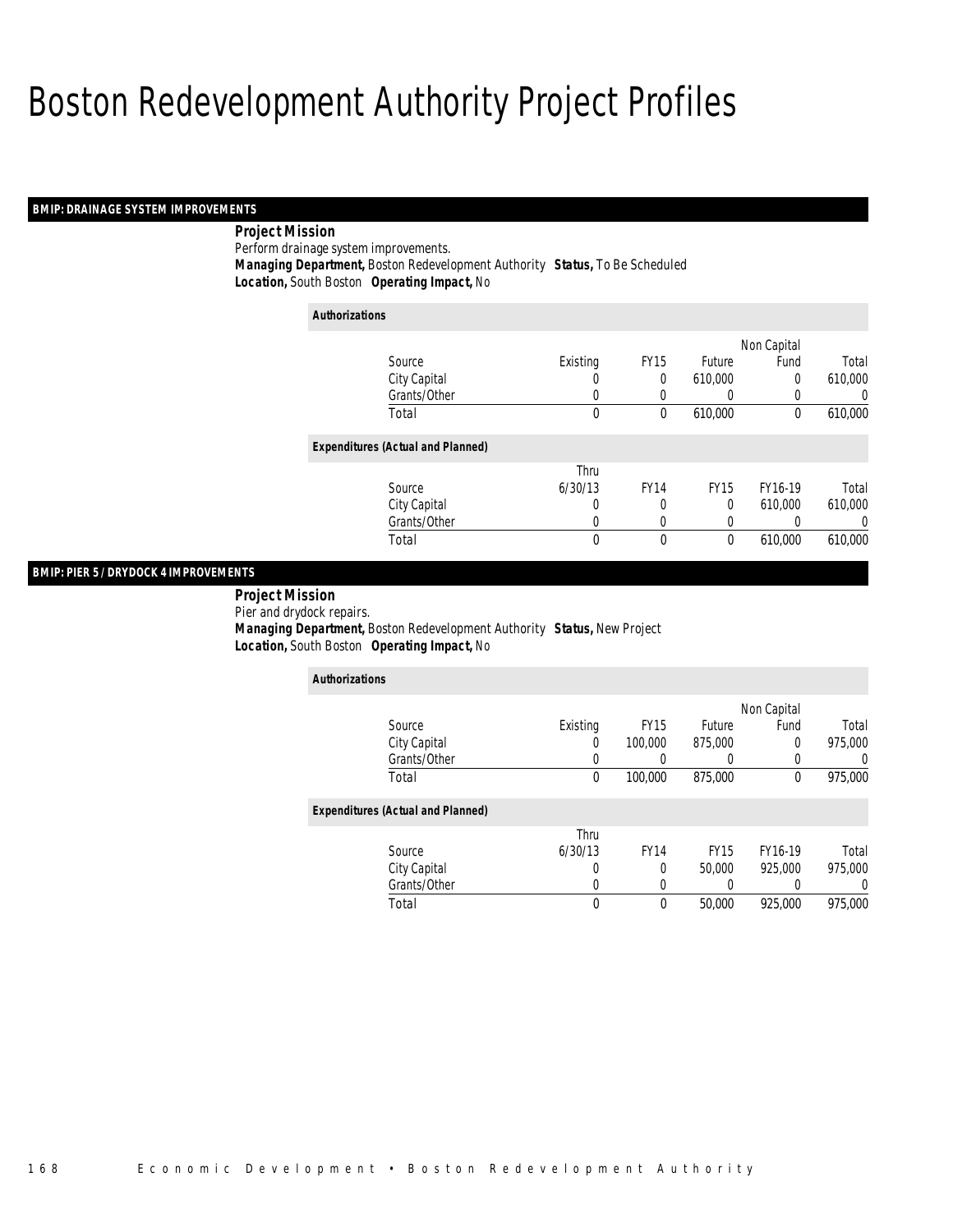#### *BMIP: DRAINAGE SYSTEM IMPROVEMENTS*

*Project Mission* 

Perform drainage system improvements.*Managing Department,* Boston Redevelopment Authority *Status,* To Be Scheduled

*Location,* South Boston *Operating Impact,* No

| <b>Authorizations</b>                    |          |             |                  |             |          |
|------------------------------------------|----------|-------------|------------------|-------------|----------|
|                                          |          |             |                  | Non Capital |          |
| Source                                   | Existing | <b>FY15</b> | <b>Future</b>    | Fund        | Total    |
| City Capital                             | 0        | 0           | 610,000          | 0           | 610,000  |
| Grants/Other                             | 0        | 0           | $\left( \right)$ | 0           | 0        |
| Total                                    | 0        | 0           | 610,000          | $\theta$    | 610,000  |
| <b>Expenditures (Actual and Planned)</b> |          |             |                  |             |          |
|                                          | Thru     |             |                  |             |          |
| Source                                   | 6/30/13  | <b>FY14</b> | <b>FY15</b>      | FY16-19     | Total    |
| City Capital                             | 0        | 0           | 0                | 610.000     | 610,000  |
| Grants/Other                             | 0        | 0           | 0                | 0           | $\Omega$ |
| Total                                    | 0        | 0           | 0                | 610,000     | 610,000  |

### *BMIP: PIER 5 / DRYDOCK 4 IMPROVEMENTS*

 *Project Mission* Pier and drydock repairs. *Managing Department,* Boston Redevelopment Authority *Status,* New Project*Location,* South Boston *Operating Impact,* No

| <b>Authorizations</b>                    |          |             |             |             |         |
|------------------------------------------|----------|-------------|-------------|-------------|---------|
|                                          |          |             |             | Non Capital |         |
| Source                                   | Existing | <b>FY15</b> | Future      | Fund        | Total   |
| City Capital                             | O        | 100,000     | 875,000     | 0           | 975,000 |
| Grants/Other                             | 0        | 0           | 0           | 0           |         |
| Total                                    | $\theta$ | 100,000     | 875,000     | 0           | 975,000 |
| <b>Expenditures (Actual and Planned)</b> |          |             |             |             |         |
|                                          | Thru     |             |             |             |         |
| Source                                   | 6/30/13  | <b>FY14</b> | <b>FY15</b> | FY16-19     | Total   |
| City Capital                             | 0        | $\Omega$    | 50,000      | 925,000     | 975,000 |
| Grants/Other                             | 0        | 0           | 0           | 0           |         |
| Total                                    | 0        | $\Omega$    | 50,000      | 925,000     | 975,000 |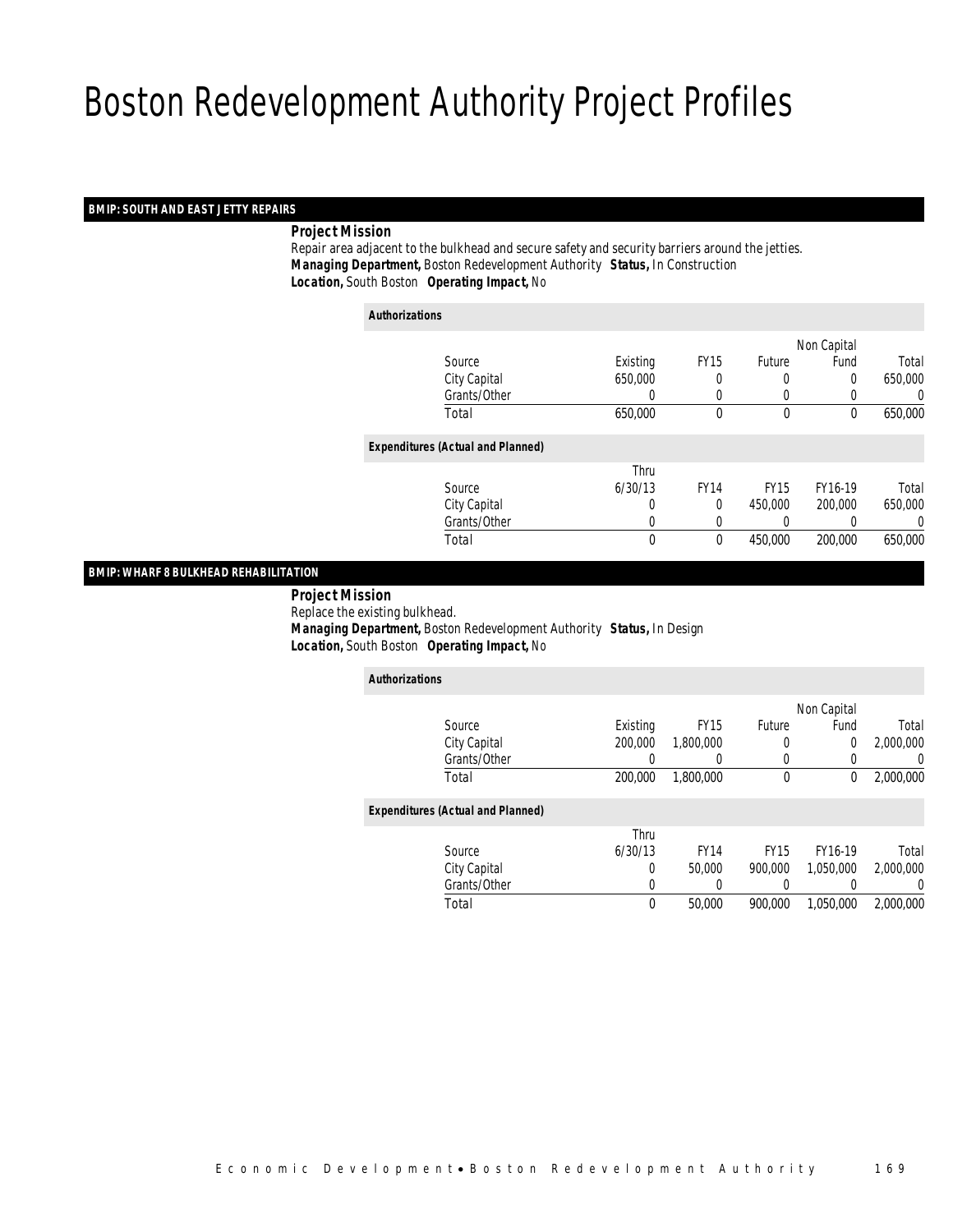#### *BMIP: SOUTH AND EAST JETTY REPAIRS*

#### *Project Mission*

 Repair area adjacent to the bulkhead and secure safety and security barriers around the jetties. *Managing Department,* Boston Redevelopment Authority *Status,* In Construction*Location,* South Boston *Operating Impact,* No

| <b>Authorizations</b>                    |          |             |              |             |         |
|------------------------------------------|----------|-------------|--------------|-------------|---------|
|                                          |          |             |              | Non Capital |         |
| Source                                   | Existing | <b>FY15</b> | Future       | Fund        | Total   |
| City Capital                             | 650,000  | 0           | 0            | 0           | 650,000 |
| Grants/Other                             | 0        | 0           | 0            | 0           | 0       |
| Total                                    | 650,000  | $\theta$    | $\mathbf{0}$ | $\theta$    | 650,000 |
| <b>Expenditures (Actual and Planned)</b> |          |             |              |             |         |
|                                          | Thru     |             |              |             |         |
| Source                                   | 6/30/13  | <b>FY14</b> | <b>FY15</b>  | FY16-19     | Total   |
| City Capital                             | 0        | 0           | 450,000      | 200,000     | 650,000 |
| Grants/Other                             | 0        |             | 0            |             | 0       |
| Total                                    | 0        | 0           | 450,000      | 200,000     | 650,000 |

#### *BMIP: WHARF 8 BULKHEAD REHABILITATION*

 *Project Mission* Replace the existing bulkhead. *Managing Department,* Boston Redevelopment Authority *Status,* In Design*Location,* South Boston *Operating Impact,* No

| <b>Authorizations</b>                    |              |          |             |             |             |           |
|------------------------------------------|--------------|----------|-------------|-------------|-------------|-----------|
|                                          |              |          |             |             | Non Capital |           |
| Source                                   |              | Existing | <b>FY15</b> | Future      | Fund        | Total     |
| City Capital                             |              | 200,000  | 1,800,000   | 0           | 0           | 2,000,000 |
|                                          | Grants/Other | 0        | 0           | 0           | 0           | 0         |
| Total                                    |              | 200,000  | 1,800,000   | $\mathbf 0$ | 0           | 2,000,000 |
| <b>Expenditures (Actual and Planned)</b> |              |          |             |             |             |           |
|                                          |              | Thru     |             |             |             |           |
| Source                                   |              | 6/30/13  | <b>FY14</b> | <b>FY15</b> | FY16-19     | Total     |
| City Capital                             |              | $\Omega$ | 50,000      | 900.000     | 1,050,000   | 2,000,000 |
|                                          | Grants/Other | 0        | $\Omega$    |             |             | 0         |
| Total                                    |              | $\theta$ | 50,000      | 900.000     | 1,050,000   | 2.000.000 |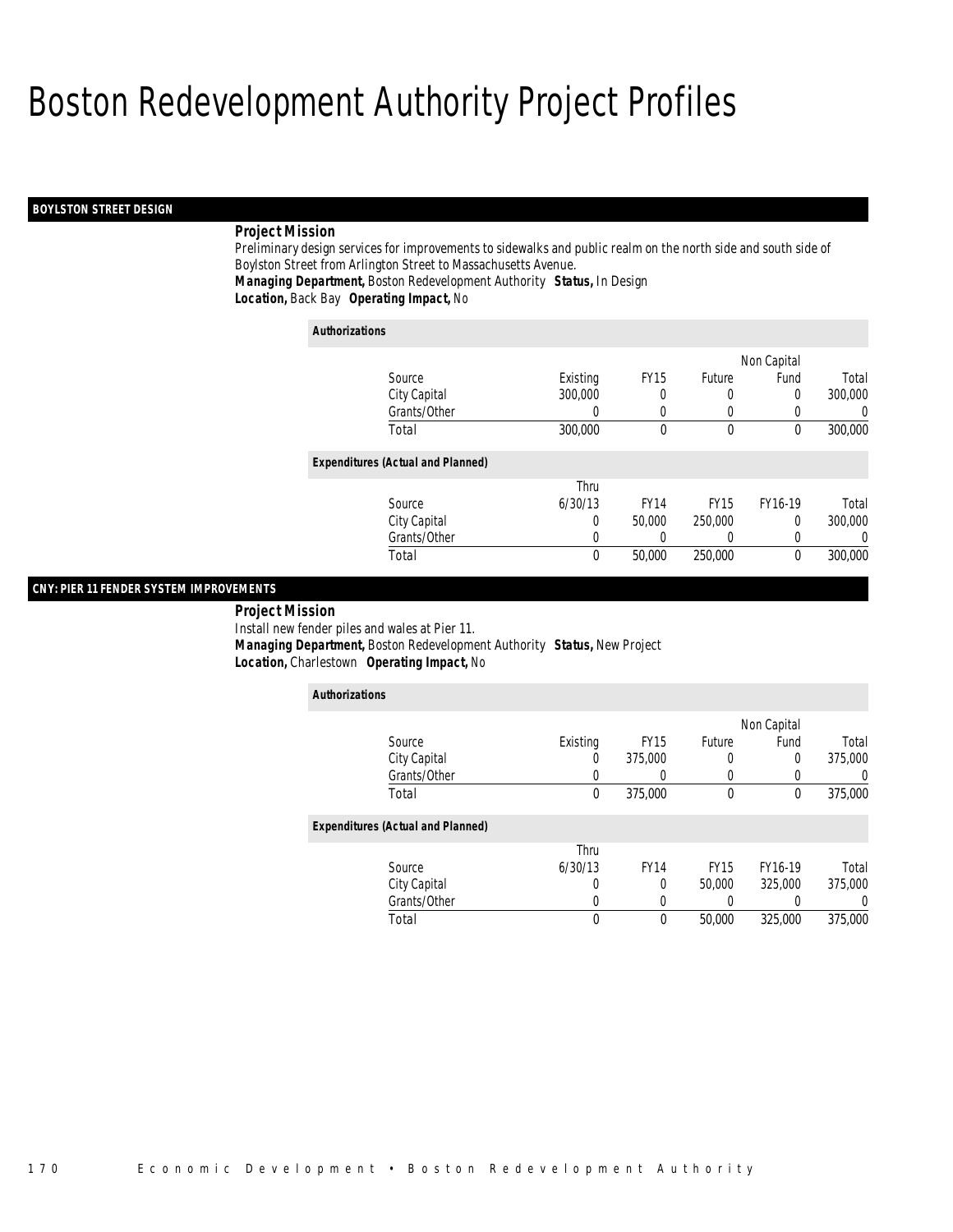#### *BOYLSTON STREET DESIGN*

#### *Project Mission*

Preliminary design services for improvements to sidewalks and public realm on the north side and south side of Boylston Street from Arlington Street to Massachusetts Avenue. *Managing Department,* Boston Redevelopment Authority *Status,* In Design

*Location,* Back Bay *Operating Impact,* No

| <b>Authorizations</b>                    |          |             |             |             |         |
|------------------------------------------|----------|-------------|-------------|-------------|---------|
|                                          |          |             |             | Non Capital |         |
| Source                                   | Existing | <b>FY15</b> | Future      | Fund        | Total   |
| City Capital                             | 300,000  | 0           | 0           | 0           | 300,000 |
| Grants/Other                             |          | 0           |             | 0           | 0       |
| Total                                    | 300,000  | 0           | $\mathbf 0$ | $\mathbf 0$ | 300,000 |
| <b>Expenditures (Actual and Planned)</b> |          |             |             |             |         |
|                                          | Thru     |             |             |             |         |
| Source                                   | 6/30/13  | <b>FY14</b> | <b>FY15</b> | FY16-19     | Total   |
| City Capital                             | 0        | 50,000      | 250,000     | 0           | 300,000 |
| Grants/Other                             | 0        |             | 0           | 0           | 0       |
| Total                                    | 0        | 50,000      | 250,000     | 0           | 300,000 |

#### *CNY: PIER 11 FENDER SYSTEM IMPROVEMENTS*

*Project Mission* 

Install new fender piles and wales at Pier 11.

 *Managing Department,* Boston Redevelopment Authority *Status,* New Project*Location,* Charlestown *Operating Impact,* No

| <b>Authorizations</b>                    |          |             |             |             |         |
|------------------------------------------|----------|-------------|-------------|-------------|---------|
|                                          |          |             |             | Non Capital |         |
| Source                                   | Existing | <b>FY15</b> | Future      | Fund        | Total   |
| City Capital                             | 0        | 375,000     | 0           | $\Omega$    | 375,000 |
| Grants/Other                             |          |             |             | 0           |         |
| Total                                    | 0        | 375,000     | 0           | 0           | 375,000 |
| <b>Expenditures (Actual and Planned)</b> |          |             |             |             |         |
|                                          | Thru     |             |             |             |         |
| Source                                   | 6/30/13  | <b>FY14</b> | <b>FY15</b> | FY16-19     | Total   |
| City Capital                             | 0        | 0           | 50,000      | 325,000     | 375,000 |
| Grants/Other                             |          |             |             |             |         |
| Total                                    | 0        | $\theta$    | 50,000      | 325,000     | 375,000 |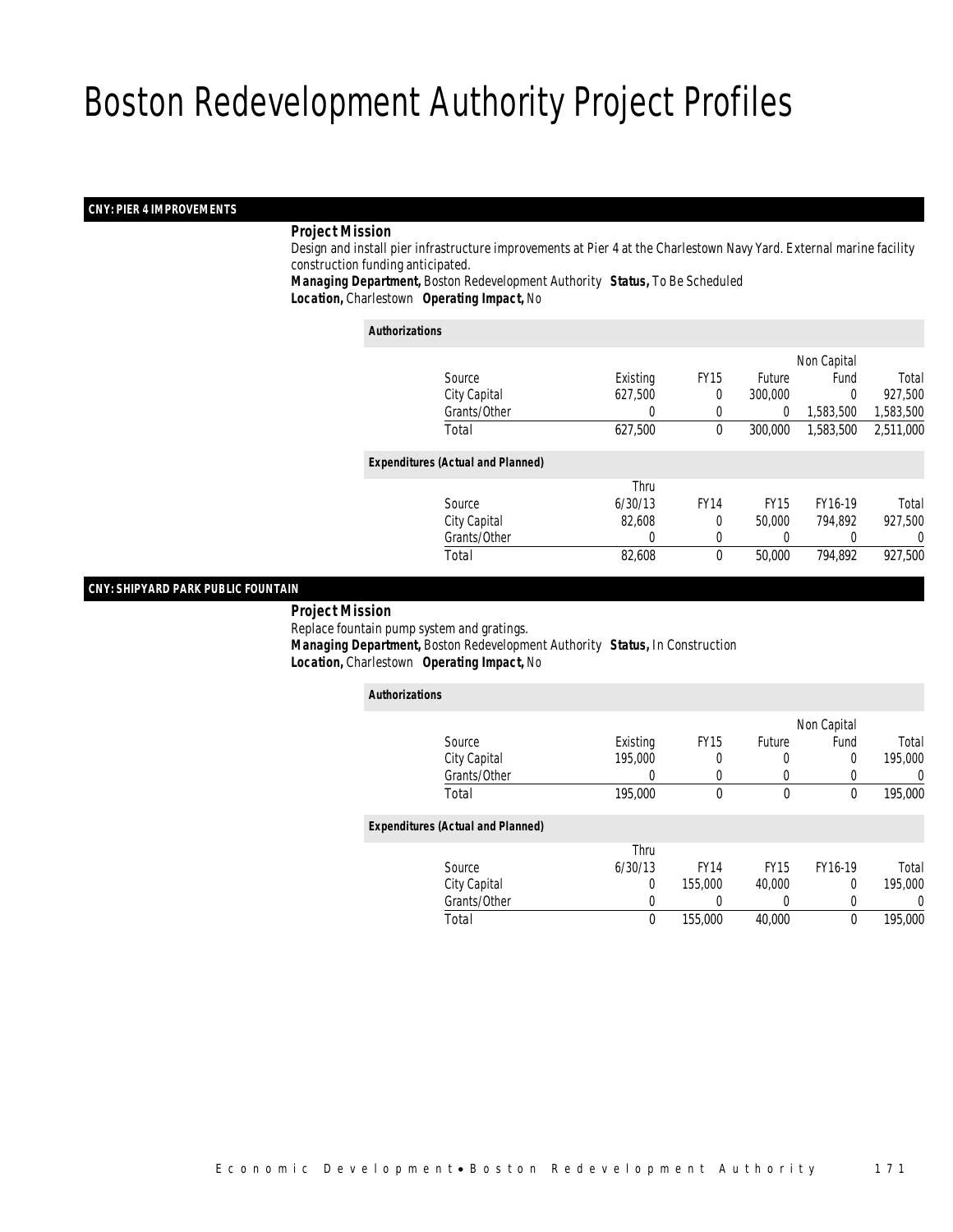#### *CNY: PIER 4 IMPROVEMENTS*

#### *Project Mission*

 Design and install pier infrastructure improvements at Pier 4 at the Charlestown Navy Yard. External marine facility construction funding anticipated.

*Managing Department,* Boston Redevelopment Authority *Status,* To Be Scheduled*Location,* Charlestown *Operating Impact,* No

#### *Authorizations*

|                                          |          |             |               | Non Capital |           |
|------------------------------------------|----------|-------------|---------------|-------------|-----------|
| Source                                   | Existing | <b>FY15</b> | <b>Future</b> | Fund        | Total     |
| City Capital                             | 627,500  | 0           | 300,000       | 0           | 927,500   |
| Grants/Other                             | 0        |             | 0             | 1,583,500   | 1,583,500 |
| Total                                    | 627,500  | $\theta$    | 300,000       | 1,583,500   | 2,511,000 |
| <b>Expenditures (Actual and Planned)</b> |          |             |               |             |           |
|                                          | Thru     |             |               |             |           |
| Source                                   | 6/30/13  | <b>FY14</b> | <b>FY15</b>   | FY16-19     | Total     |
| City Capital                             | 82,608   | 0           | 50,000        | 794.892     | 927,500   |
| Grants/Other                             | 0        | 0           | 0             |             | 0         |
| Total                                    | 82,608   | $\theta$    | 50,000        | 794,892     | 927,500   |
|                                          |          |             |               |             |           |

#### *CNY: SHIPYARD PARK PUBLIC FOUNTAIN*

*Project Mission*

Replace fountain pump system and gratings.

*Managing Department,* Boston Redevelopment Authority *Status,* In Construction

*Location,* Charlestown *Operating Impact,* No

| <b>Authorizations</b> |                                          |          |             |             |          |         |
|-----------------------|------------------------------------------|----------|-------------|-------------|----------|---------|
|                       |                                          |          | Non Capital |             |          |         |
|                       | Source                                   | Existing | <b>FY15</b> | Future      | Fund     | Total   |
|                       | City Capital                             | 195,000  |             |             | 0        | 195,000 |
|                       | Grants/Other                             | 0        |             |             |          | 0       |
|                       | Total                                    | 195,000  | $\theta$    | $\theta$    | 0        | 195,000 |
|                       | <b>Expenditures (Actual and Planned)</b> |          |             |             |          |         |
|                       |                                          | Thru     |             |             |          |         |
|                       | Source                                   | 6/30/13  | <b>FY14</b> | <b>FY15</b> | FY16-19  | Total   |
|                       | City Capital                             | $\Omega$ | 155,000     | 40,000      | 0        | 195,000 |
|                       | Grants/Other                             | 0        |             | 0           |          | 0       |
|                       | Total                                    | 0        | 155,000     | 40,000      | $\theta$ | 195,000 |
|                       |                                          |          |             |             |          |         |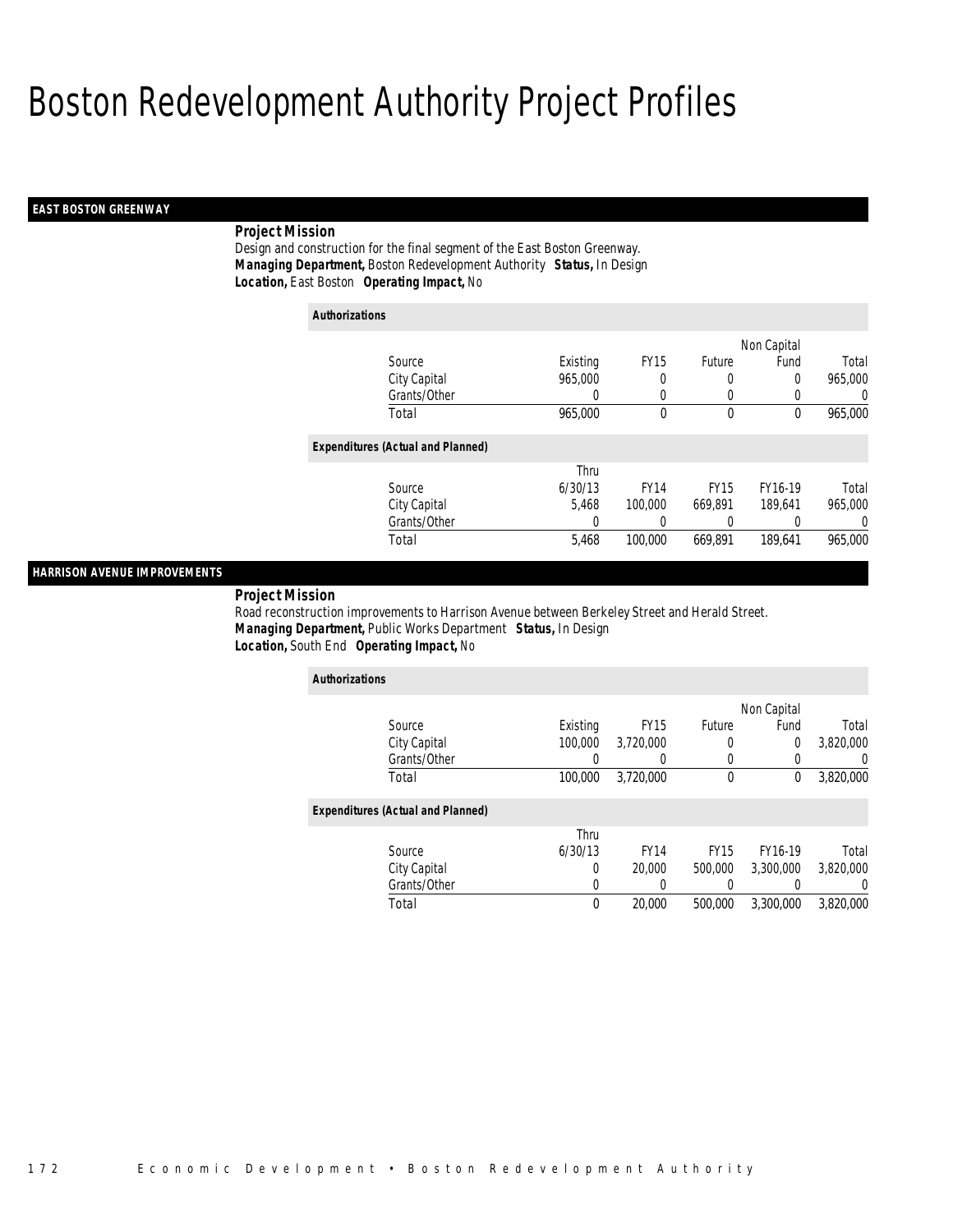#### *EAST BOSTON GREENWAY*

## *Project Mission*

Design and construction for the final segment of the East Boston Greenway. *Managing Department,* Boston Redevelopment Authority *Status,* In Design*Location,* East Boston *Operating Impact,* No

| <b>Authorizations</b>                    |          |             |             |             |          |  |  |
|------------------------------------------|----------|-------------|-------------|-------------|----------|--|--|
|                                          |          |             |             | Non Capital |          |  |  |
| Source                                   | Existing | <b>FY15</b> | Future      | Fund        | Total    |  |  |
| City Capital                             | 965,000  | 0           | 0           | 0           | 965,000  |  |  |
| Grants/Other                             | 0        | $\left($    | 0           | $\left($    | $\Omega$ |  |  |
| Total                                    | 965,000  | 0           | $\mathbf 0$ | $\theta$    | 965,000  |  |  |
| <b>Expenditures (Actual and Planned)</b> |          |             |             |             |          |  |  |
|                                          | Thru     |             |             |             |          |  |  |
| Source                                   | 6/30/13  | <b>FY14</b> | <b>FY15</b> | FY16-19     | Total    |  |  |
| City Capital                             | 5.468    | 100,000     | 669.891     | 189.641     | 965,000  |  |  |
| Grants/Other                             | 0        | 0           | 0           |             | $\Omega$ |  |  |
| Total                                    | 5,468    | 100,000     | 669.891     | 189,641     | 965,000  |  |  |

## *HARRISON AVENUE IMPROVEMENTS*

*Project Mission* 

Road reconstruction improvements to Harrison Avenue between Berkeley Street and Herald Street. *Managing Department,* Public Works Department *Status,* In Design*Location,* South End *Operating Impact,* No

| <b>Authorizations</b>                    |             |             |             |           |                  |  |  |  |  |
|------------------------------------------|-------------|-------------|-------------|-----------|------------------|--|--|--|--|
|                                          | Non Capital |             |             |           |                  |  |  |  |  |
| Source                                   | Existing    | <b>FY15</b> | Future      | Fund      | Total            |  |  |  |  |
| City Capital                             | 100,000     | 3,720,000   | 0           | 0         | 3,820,000        |  |  |  |  |
| Grants/Other                             |             |             | 0           | 0         | 0                |  |  |  |  |
| Total                                    | 100,000     | 3,720,000   | $\mathbf 0$ | 0         | 3,820,000        |  |  |  |  |
| <b>Expenditures (Actual and Planned)</b> |             |             |             |           |                  |  |  |  |  |
|                                          | Thru        |             |             |           |                  |  |  |  |  |
| Source                                   | 6/30/13     | <b>FY14</b> | <b>FY15</b> | FY16-19   | Total            |  |  |  |  |
| City Capital                             | 0           | 20,000      | 500,000     | 3.300.000 | 3,820,000        |  |  |  |  |
| Grants/Other                             | 0           |             |             |           | $\left( \right)$ |  |  |  |  |
| Total                                    | 0           | 20,000      | 500,000     | 3,300,000 | 3.820.000        |  |  |  |  |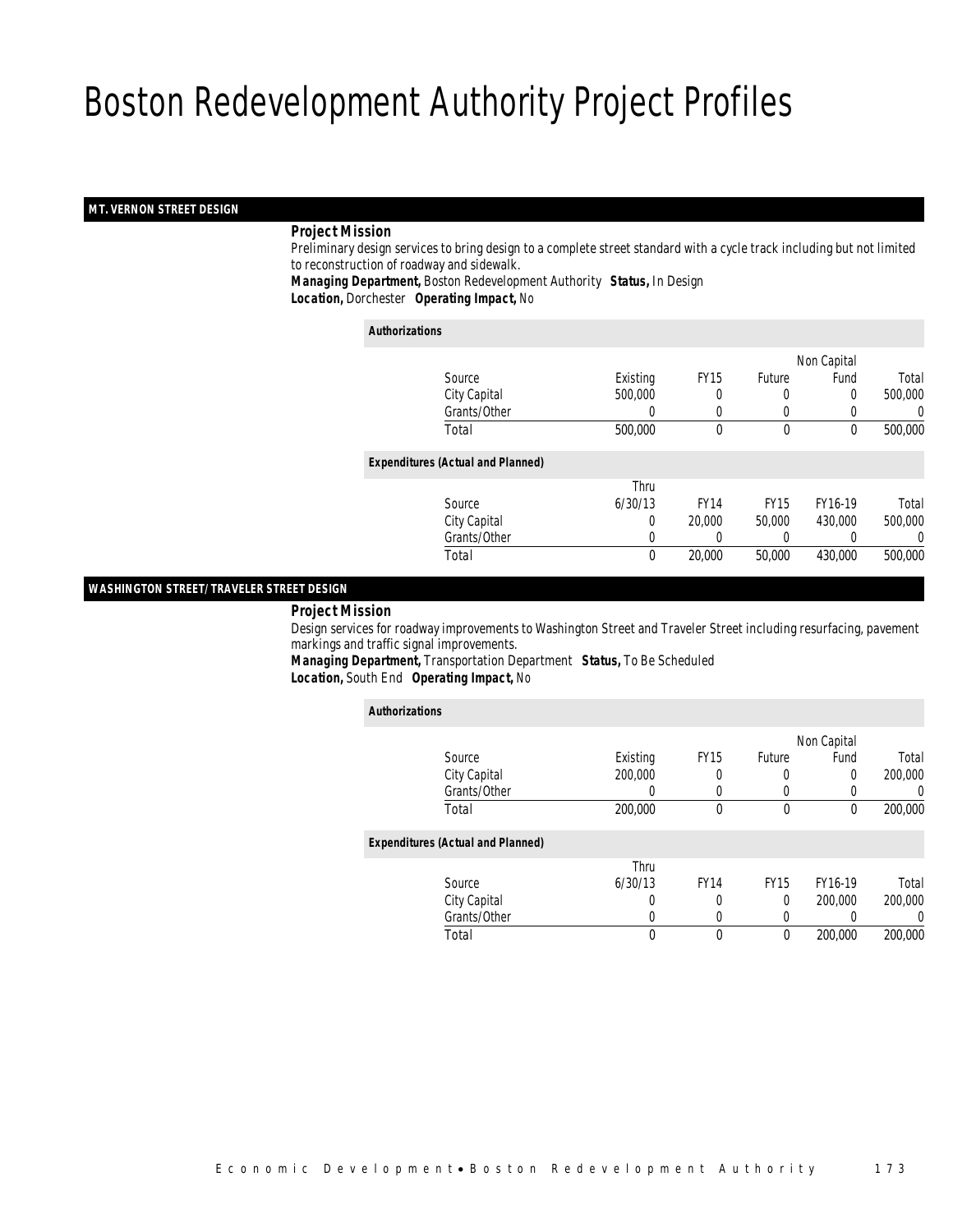#### *MT. VERNON STREET DESIGN*

#### *Project Mission*

 Preliminary design services to bring design to a complete street standard with a cycle track including but not limited to reconstruction of roadway and sidewalk.

*Managing Department,* Boston Redevelopment Authority *Status,* In Design*Location,* Dorchester *Operating Impact,* No

#### *Authorizations*

|                                          |                  |             |               | Non Capital |         |
|------------------------------------------|------------------|-------------|---------------|-------------|---------|
| Source                                   | Existing         | <b>FY15</b> | <b>Future</b> | Fund        | Total   |
| City Capital                             | 500,000          | 0           | $\left($      | 0           | 500,000 |
| Grants/Other                             | $\left( \right)$ | 0           | $\left($      |             | 0       |
| Total                                    | 500,000          | 0           | $\mathbf 0$   | 0           | 500,000 |
| <b>Expenditures (Actual and Planned)</b> |                  |             |               |             |         |
|                                          | Thru             |             |               |             |         |
| Source                                   | 6/30/13          | <b>FY14</b> | <b>FY15</b>   | FY16-19     | Total   |
| City Capital                             | 0                | 20,000      | 50,000        | 430,000     | 500,000 |
| Grants/Other                             | 0                |             | 0             |             | 0       |
| Total                                    | 0                | 20,000      | 50,000        | 430,000     | 500,000 |
|                                          |                  |             |               |             |         |

#### *WASHINGTON STREET/ TRAVELER STREET DESIGN*

#### *Project Mission*

 Design services for roadway improvements to Washington Street and Traveler Street including resurfacing, pavement markings and traffic signal improvements.

*Managing Department,* Transportation Department *Status,* To Be Scheduled*Location,* South End *Operating Impact,* No

| <b>Authorizations</b>                    |          |             |               |                  |                  |
|------------------------------------------|----------|-------------|---------------|------------------|------------------|
|                                          |          |             |               | Non Capital      |                  |
| Source                                   | Existing | <b>FY15</b> | <b>Future</b> | Fund             | Total            |
| City Capital                             | 200,000  | 0           | 0             | $\Omega$         | 200,000          |
| Grants/Other                             | 0        | 0           | 0             | $\left( \right)$ | $\left( \right)$ |
| Total                                    | 200,000  | 0           | 0             | 0                | 200,000          |
| <b>Expenditures (Actual and Planned)</b> |          |             |               |                  |                  |
|                                          | Thru     |             |               |                  |                  |
| Source                                   | 6/30/13  | <b>FY14</b> | <b>FY15</b>   | FY16-19          | Total            |
| City Capital                             | 0        | 0           | 0             | 200,000          | 200,000          |
| Grants/Other                             | 0        | 0           | 0             |                  | 0                |
| Total                                    | 0        | 0           | 0             | 200,000          | 200,000          |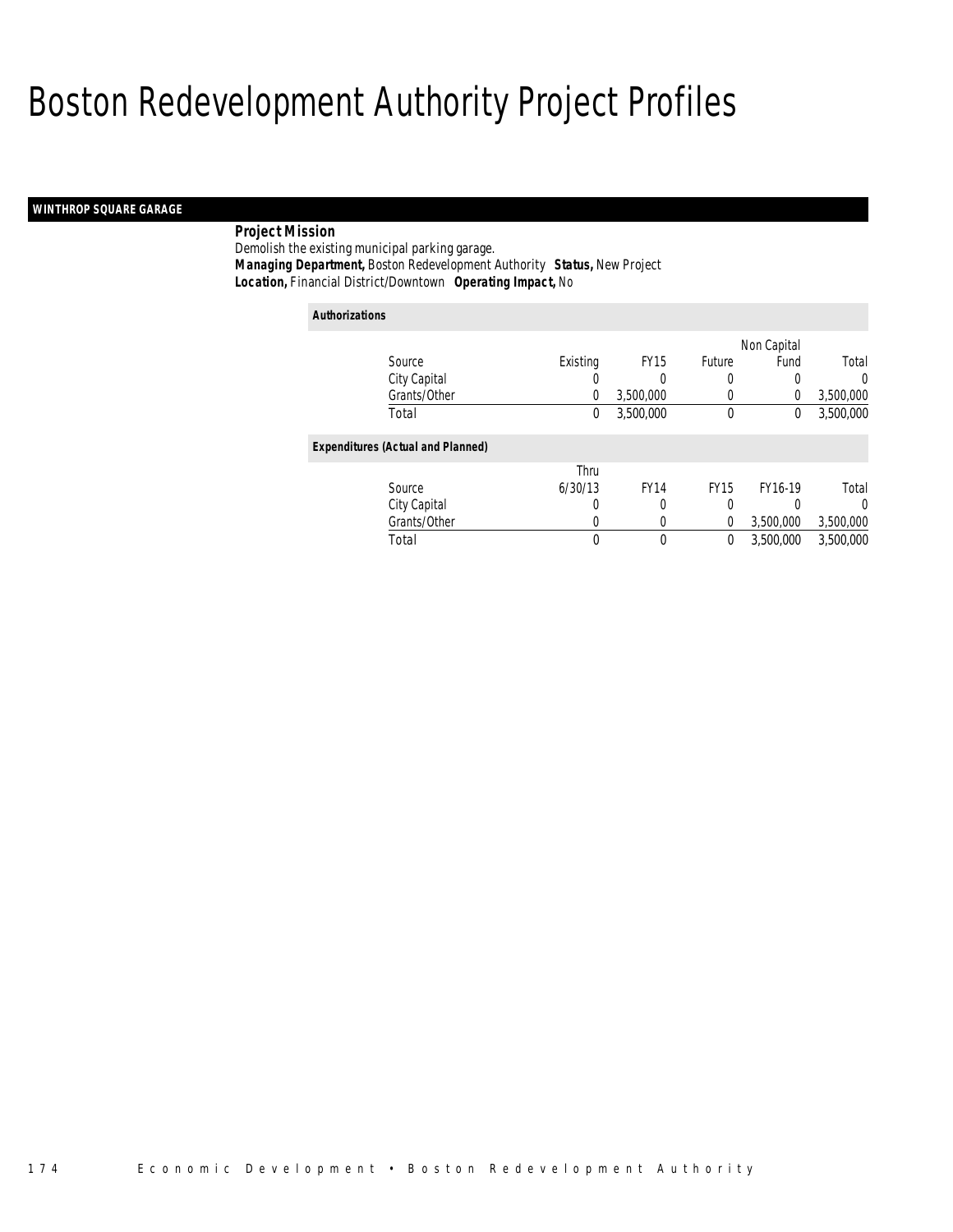## *WINTHROP SQUARE GARAGE*

## *Project Mission*

Demolish the existing municipal parking garage. *Managing Department,* Boston Redevelopment Authority *Status,* New Project*Location,* Financial District/Downtown *Operating Impact,* No

| <b>Authorizations</b>                    |          |                  |             |             |           |  |  |
|------------------------------------------|----------|------------------|-------------|-------------|-----------|--|--|
|                                          |          |                  |             | Non Capital |           |  |  |
| Source                                   | Existing | FY <sub>15</sub> | Future      | Fund        | Total     |  |  |
| City Capital                             | 0        | 0                | 0           | 0           | $\Omega$  |  |  |
| Grants/Other                             | $\theta$ | 3,500,000        | 0           | 0           | 3,500,000 |  |  |
| Total                                    | 0        | 3.500.000        | 0           | 0           | 3,500,000 |  |  |
| <b>Expenditures (Actual and Planned)</b> |          |                  |             |             |           |  |  |
|                                          | Thru     |                  |             |             |           |  |  |
| Source                                   | 6/30/13  | <b>FY14</b>      | <b>FY15</b> | FY16-19     | Total     |  |  |
| City Capital                             | 0        | 0                | 0           | 0           | $\Omega$  |  |  |
| Grants/Other                             | 0        |                  | 0           | 3,500,000   | 3,500,000 |  |  |
| Total                                    | 0        | $\Omega$         | 0           | 3,500,000   | 3,500,000 |  |  |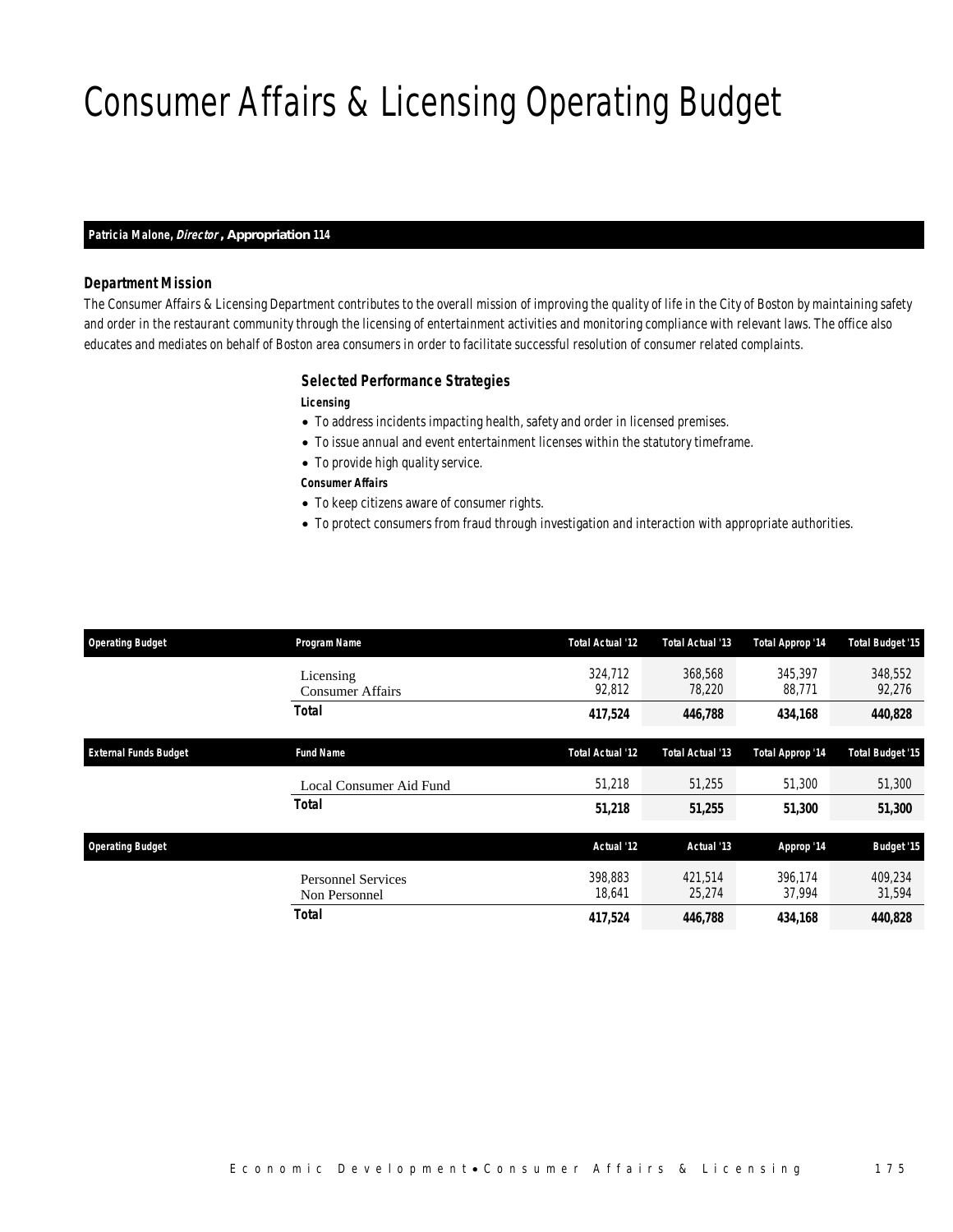# Consumer Affairs & Licensing Operating Budget

#### *Patricia Malone, Director , Appropriation 114*

#### *Department Mission*

The Consumer Affairs & Licensing Department contributes to the overall mission of improving the quality of life in the City of Boston by maintaining safety and order in the restaurant community through the licensing of entertainment activities and monitoring compliance with relevant laws. The office also educates and mediates on behalf of Boston area consumers in order to facilitate successful resolution of consumer related complaints.

#### *Selected Performance Strategies*

*Licensing* 

- To address incidents impacting health, safety and order in licensed premises.
- To issue annual and event entertainment licenses within the statutory timeframe.
- To provide high quality service.

*Consumer Affairs* 

- To keep citizens aware of consumer rights.
- To protect consumers from fraud through investigation and interaction with appropriate authorities.

| <b>Operating Budget</b>      | Program Name                               | <b>Total Actual '12</b> | Total Actual '13  | Total Approp '14  | <b>Total Budget '15</b> |
|------------------------------|--------------------------------------------|-------------------------|-------------------|-------------------|-------------------------|
|                              | Licensing<br>Consumer Affairs              | 324,712<br>92,812       | 368,568<br>78,220 | 345,397<br>88,771 | 348,552<br>92,276       |
|                              | <b>Total</b>                               | 417,524                 | 446,788           | 434,168           | 440,828                 |
| <b>External Funds Budget</b> | <b>Fund Name</b>                           | <b>Total Actual '12</b> | Total Actual '13  | Total Approp '14  | <b>Total Budget '15</b> |
|                              | Local Consumer Aid Fund                    | 51,218                  | 51,255            | 51,300            | 51,300                  |
|                              | <b>Total</b>                               | 51,218                  | 51,255            | 51,300            | 51,300                  |
| <b>Operating Budget</b>      |                                            | Actual '12              | Actual '13        | Approp '14        | <b>Budget '15</b>       |
|                              | <b>Personnel Services</b><br>Non Personnel | 398.883<br>18,641       | 421.514<br>25,274 | 396.174<br>37,994 | 409.234<br>31,594       |
|                              | <b>Total</b>                               | 417,524                 | 446,788           | 434,168           | 440,828                 |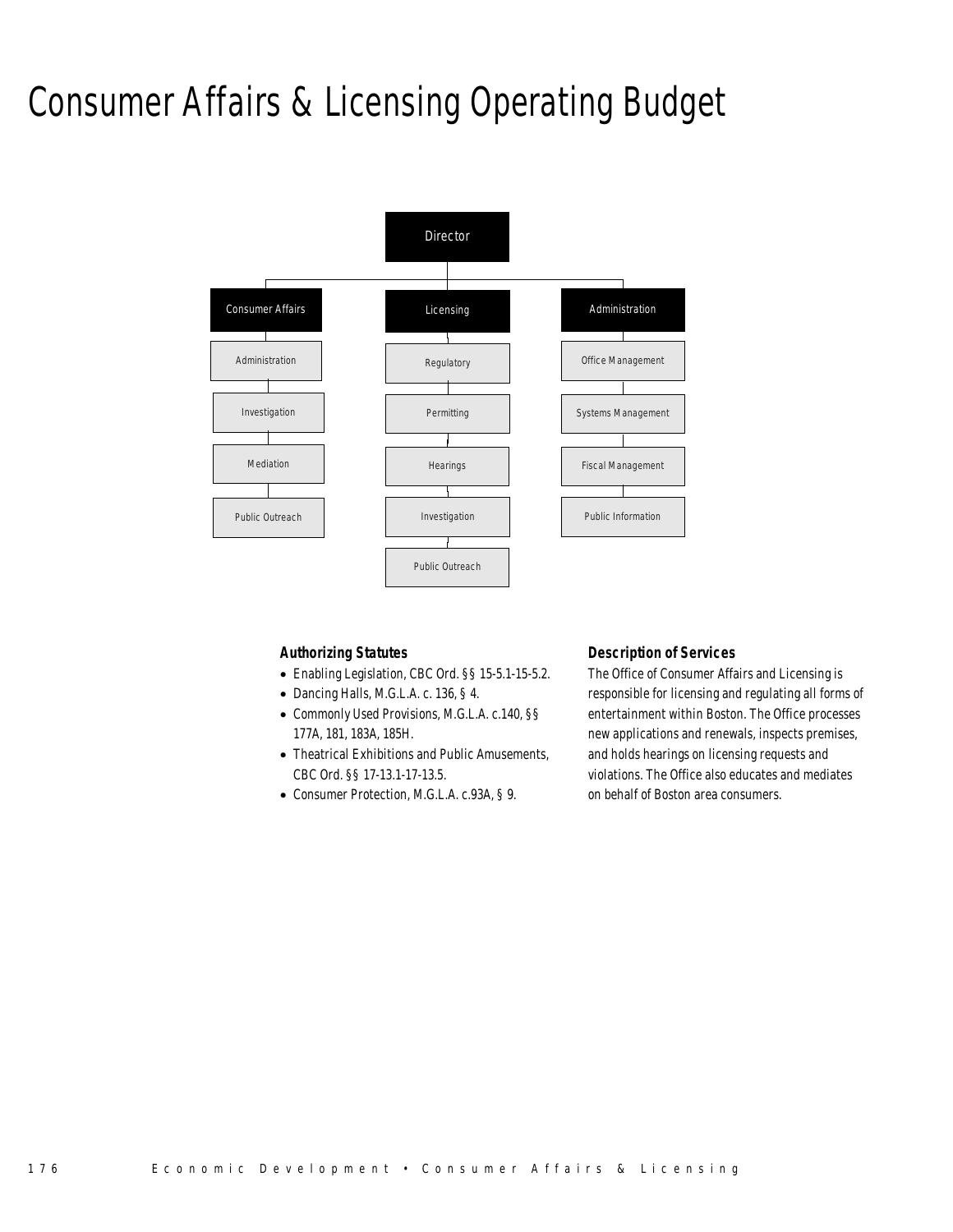## Consumer Affairs & Licensing Operating Budget



### *Authorizing Statutes*

- Enabling Legislation, CBC Ord. §§ 15-5.1-15-5.2.
- Dancing Halls, M.G.L.A. c. 136, § 4.
- Commonly Used Provisions, M.G.L.A. c.140, §§ 177A, 181, 183A, 185H.
- Theatrical Exhibitions and Public Amusements, CBC Ord. §§ 17-13.1-17-13.5.
- Consumer Protection, M.G.L.A. c.93A, § 9.

#### *Description of Services*

The Office of Consumer Affairs and Licensing is responsible for licensing and regulating all forms of entertainment within Boston. The Office processes new applications and renewals, inspects premises, and holds hearings on licensing requests and violations. The Office also educates and mediates on behalf of Boston area consumers.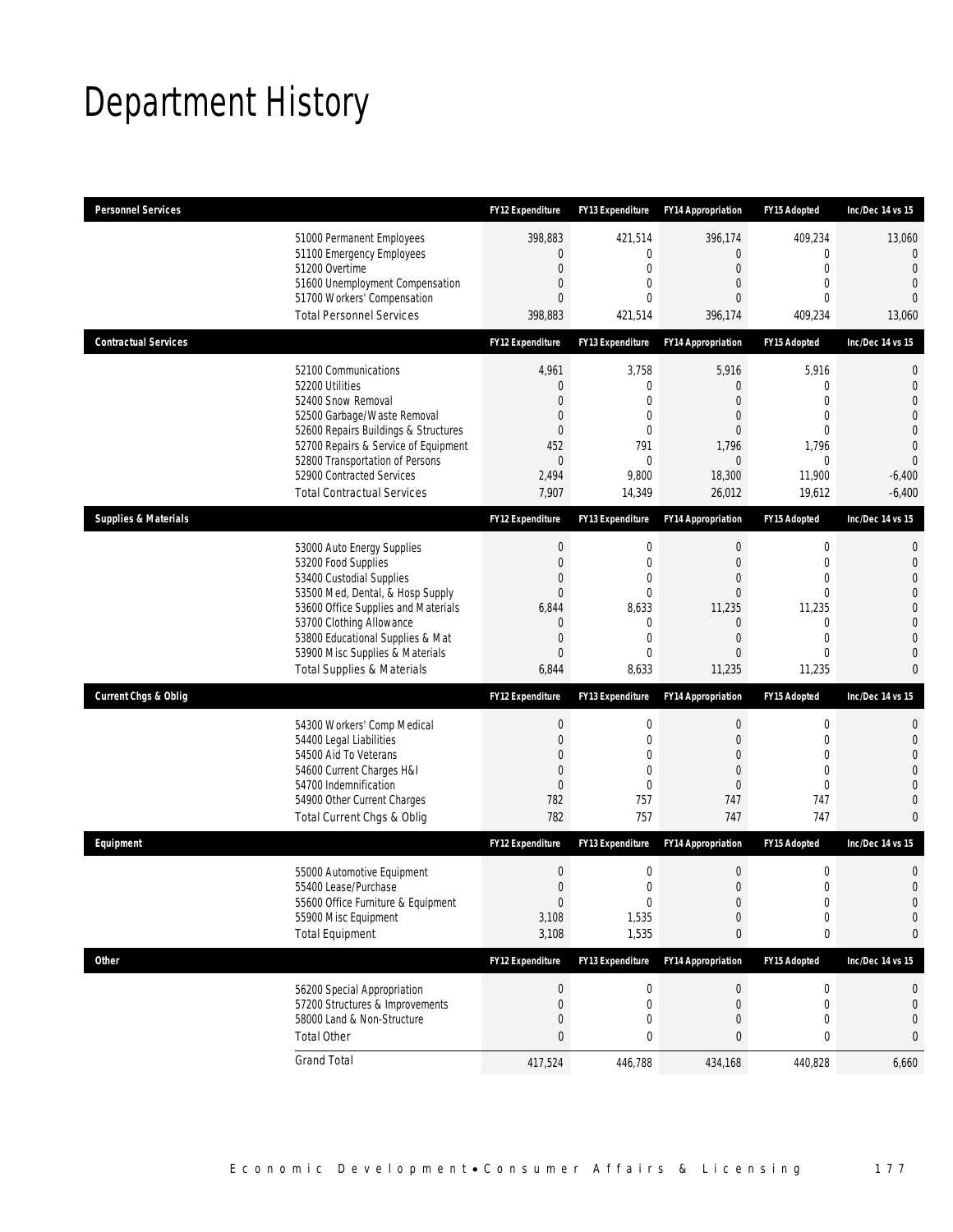# Department History

| <b>Personnel Services</b>                                                                                                                                                                                                                                                                            | <b>FY12 Expenditure</b>                                                                      | <b>FY13 Expenditure</b>                                                                            | <b>FY14 Appropriation</b>                                                  | FY15 Adopted                                                                                                                | Inc/Dec 14 vs 15                                                                                                                                     |
|------------------------------------------------------------------------------------------------------------------------------------------------------------------------------------------------------------------------------------------------------------------------------------------------------|----------------------------------------------------------------------------------------------|----------------------------------------------------------------------------------------------------|----------------------------------------------------------------------------|-----------------------------------------------------------------------------------------------------------------------------|------------------------------------------------------------------------------------------------------------------------------------------------------|
| 51000 Permanent Employees<br>51100 Emergency Employees<br>51200 Overtime<br>51600 Unemployment Compensation<br>51700 Workers' Compensation<br><b>Total Personnel Services</b>                                                                                                                        | 398,883<br>$\mathbf{0}$<br>$\boldsymbol{0}$<br>0<br>0<br>398,883                             | 421,514<br>0<br>$\boldsymbol{0}$<br>$\mathbf{0}$<br>$\Omega$<br>421,514                            | 396,174<br>0<br>$\mathbf 0$<br>0<br>0<br>396,174                           | 409,234<br>0<br>$\mathbf 0$<br>$\mathbf{0}$<br>$\theta$<br>409,234                                                          | 13,060<br>$\mathbf{0}$<br>$\overline{0}$<br>$\overline{0}$<br>$\Omega$<br>13,060                                                                     |
| <b>Contractual Services</b>                                                                                                                                                                                                                                                                          | FY12 Expenditure                                                                             | <b>FY13 Expenditure</b>                                                                            | <b>FY14 Appropriation</b>                                                  | FY15 Adopted                                                                                                                | Inc/Dec 14 vs 15                                                                                                                                     |
| 52100 Communications<br>52200 Utilities<br>52400 Snow Removal<br>52500 Garbage/Waste Removal<br>52600 Repairs Buildings & Structures<br>52700 Repairs & Service of Equipment<br>52800 Transportation of Persons<br>52900 Contracted Services<br><b>Total Contractual Services</b>                    | 4,961<br>$\mathbf 0$<br>$\Omega$<br>0<br>0<br>452<br>$\mathbf 0$<br>2,494<br>7,907           | 3,758<br>0<br>0<br>0<br>$\mathbf{0}$<br>791<br>0<br>9,800<br>14,349                                | 5,916<br>0<br>0<br>0<br>0<br>1,796<br>$\mathbf{0}$<br>18,300<br>26,012     | 5,916<br>$\mathbf{0}$<br>$\mathbf{0}$<br>$\mathbf{0}$<br>$\mathbf{0}$<br>1,796<br>0<br>11,900<br>19,612                     | $\mathbf 0$<br>$\mathbf 0$<br>$\overline{0}$<br>$\overline{0}$<br>$\overline{0}$<br>$\overline{0}$<br>$\overline{0}$<br>$-6,400$<br>$-6,400$         |
| <b>Supplies &amp; Materials</b>                                                                                                                                                                                                                                                                      | <b>FY12 Expenditure</b>                                                                      | FY13 Expenditure                                                                                   | <b>FY14 Appropriation</b>                                                  | FY15 Adopted                                                                                                                | Inc/Dec 14 vs 15                                                                                                                                     |
| 53000 Auto Energy Supplies<br>53200 Food Supplies<br>53400 Custodial Supplies<br>53500 Med, Dental, & Hosp Supply<br>53600 Office Supplies and Materials<br>53700 Clothing Allowance<br>53800 Educational Supplies & Mat<br>53900 Misc Supplies & Materials<br><b>Total Supplies &amp; Materials</b> | $\boldsymbol{0}$<br>$\boldsymbol{0}$<br>0<br>$\overline{0}$<br>6,844<br>0<br>0<br>0<br>6,844 | 0<br>$\mathbf 0$<br>$\mathbf{0}$<br>$\mathbf 0$<br>8,633<br>0<br>$\mathbf{0}$<br>$\Omega$<br>8,633 | 0<br>$\mathbf 0$<br>0<br>$\overline{0}$<br>11,235<br>0<br>0<br>0<br>11,235 | $\mathbf 0$<br>$\mathbf{0}$<br>$\mathbf{0}$<br>$\mathbf{0}$<br>11,235<br>$\mathbf{0}$<br>$\mathbf{0}$<br>$\theta$<br>11,235 | $\mathbf{0}$<br>$\mathbf 0$<br>$\overline{0}$<br>$\overline{0}$<br>$\mathbf 0$<br>$\overline{0}$<br>$\overline{0}$<br>$\overline{0}$<br>$\mathbf{0}$ |
| <b>Current Chgs &amp; Oblig</b>                                                                                                                                                                                                                                                                      | FY12 Expenditure                                                                             | FY13 Expenditure                                                                                   | <b>FY14 Appropriation</b>                                                  | FY15 Adopted                                                                                                                | Inc/Dec 14 vs 15                                                                                                                                     |
| 54300 Workers' Comp Medical<br>54400 Legal Liabilities<br>54500 Aid To Veterans<br>54600 Current Charges H&I<br>54700 Indemnification<br>54900 Other Current Charges<br>Total Current Chgs & Oblig                                                                                                   | $\boldsymbol{0}$<br>$\boldsymbol{0}$<br>0<br>$\mathbf 0$<br>$\overline{0}$<br>782<br>782     | 0<br>$\mathbf 0$<br>$\mathbf{0}$<br>$\mathbf{0}$<br>0<br>757<br>757                                | 0<br>$\mathbf 0$<br>0<br>0<br>0<br>747<br>747                              | 0<br>$\mathbf 0$<br>$\mathbf{0}$<br>$\mathbf{0}$<br>$\mathbf{0}$<br>747<br>747                                              | 0<br>$\mathbf{0}$<br>$\overline{0}$<br>$\Omega$<br>$\overline{0}$<br>$\overline{0}$<br>$\overline{0}$                                                |
| Equipment                                                                                                                                                                                                                                                                                            | <b>FY12 Expenditure</b>                                                                      | <b>FY13 Expenditure</b>                                                                            | <b>FY14 Appropriation</b>                                                  | FY15 Adopted                                                                                                                | Inc/Dec 14 vs 15                                                                                                                                     |
| 55000 Automotive Equipment<br>55400 Lease/Purchase<br>55600 Office Furniture & Equipment<br>55900 Misc Equipment<br><b>Total Equipment</b>                                                                                                                                                           | $\boldsymbol{0}$<br>$\boldsymbol{0}$<br>$\boldsymbol{0}$<br>3,108<br>3,108                   | 0<br>$\mathbf 0$<br>0<br>1,535<br>1,535                                                            | $\mathbf 0$<br>$\overline{0}$<br>0<br>0<br>0                               | $\boldsymbol{0}$<br>$\mathbf 0$<br>$\boldsymbol{0}$<br>$\boldsymbol{0}$<br>0                                                | $\mathbf 0$<br>$\overline{0}$<br>$\mathbf 0$<br>$\mathbf 0$<br>0                                                                                     |
| <b>Other</b>                                                                                                                                                                                                                                                                                         | FY12 Expenditure                                                                             | FY13 Expenditure                                                                                   | <b>FY14 Appropriation</b>                                                  | FY15 Adopted                                                                                                                | Inc/Dec 14 vs 15                                                                                                                                     |
| 56200 Special Appropriation<br>57200 Structures & Improvements<br>58000 Land & Non-Structure<br><b>Total Other</b>                                                                                                                                                                                   | $\boldsymbol{0}$<br>$\boldsymbol{0}$<br>0<br>0                                               | 0<br>0<br>0<br>0                                                                                   | 0<br>0<br>$\mathbf 0$<br>0                                                 | 0<br>0<br>$\mathbf 0$<br>0                                                                                                  | 0<br>$\mathbf 0$<br>$\mathbf 0$<br>0                                                                                                                 |
| <b>Grand Total</b>                                                                                                                                                                                                                                                                                   | 417,524                                                                                      | 446,788                                                                                            | 434,168                                                                    | 440,828                                                                                                                     | 6,660                                                                                                                                                |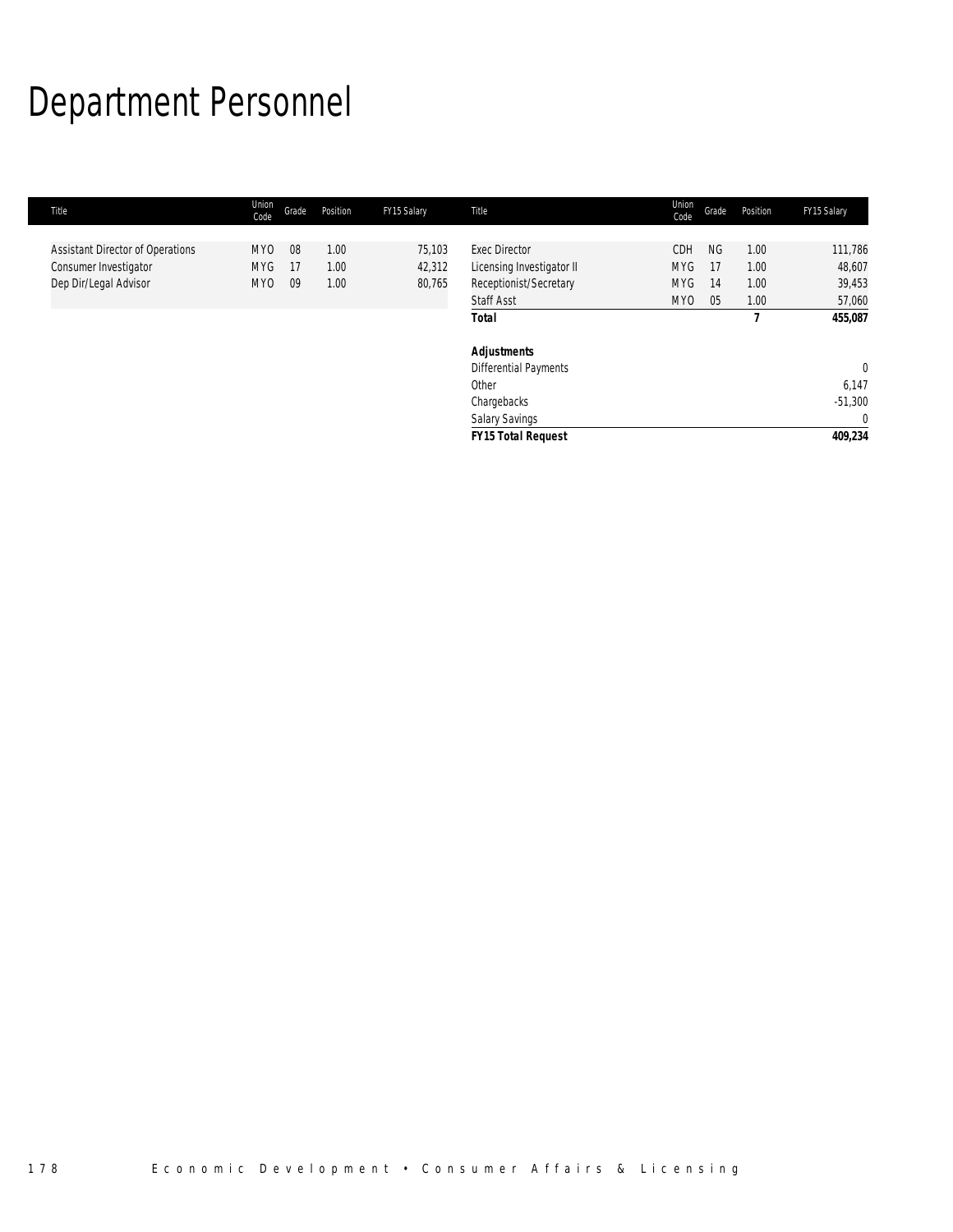# Department Personnel

| Title                                   | Union<br>Code   | Grade | Position | FY15 Salary | Title                     | Union<br>Code | Grade     | Position | FY15 Salary    |
|-----------------------------------------|-----------------|-------|----------|-------------|---------------------------|---------------|-----------|----------|----------------|
|                                         |                 |       |          |             |                           |               |           |          |                |
| <b>Assistant Director of Operations</b> | MY <sub>0</sub> | 08    | 1.00     | 75,103      | <b>Exec Director</b>      | <b>CDH</b>    | <b>NG</b> | 1.00     | 111,786        |
| Consumer Investigator                   | <b>MYG</b>      | -17   | 1.00     | 42,312      | Licensing Investigator II | <b>MYG</b>    | 17        | 1.00     | 48,607         |
| Dep Dir/Legal Advisor                   | MY <sub>0</sub> | 09    | 1.00     | 80,765      | Receptionist/Secretary    | <b>MYG</b>    | 14        | 1.00     | 39,453         |
|                                         |                 |       |          |             | <b>Staff Asst</b>         | MY0           | 05        | 1.00     | 57,060         |
|                                         |                 |       |          |             | <b>Total</b>              |               |           |          | 455,087        |
|                                         |                 |       |          |             | <b>Adjustments</b>        |               |           |          |                |
|                                         |                 |       |          |             | Differential Payments     |               |           |          | $\overline{0}$ |
|                                         |                 |       |          |             | Other                     |               |           |          | 6,147          |
|                                         |                 |       |          |             | Chargebacks               |               |           |          | $-51,300$      |
|                                         |                 |       |          |             | <b>Salary Savings</b>     |               |           |          | $\mathbf 0$    |
|                                         |                 |       |          |             | <b>FY15 Total Request</b> |               |           |          | 409,234        |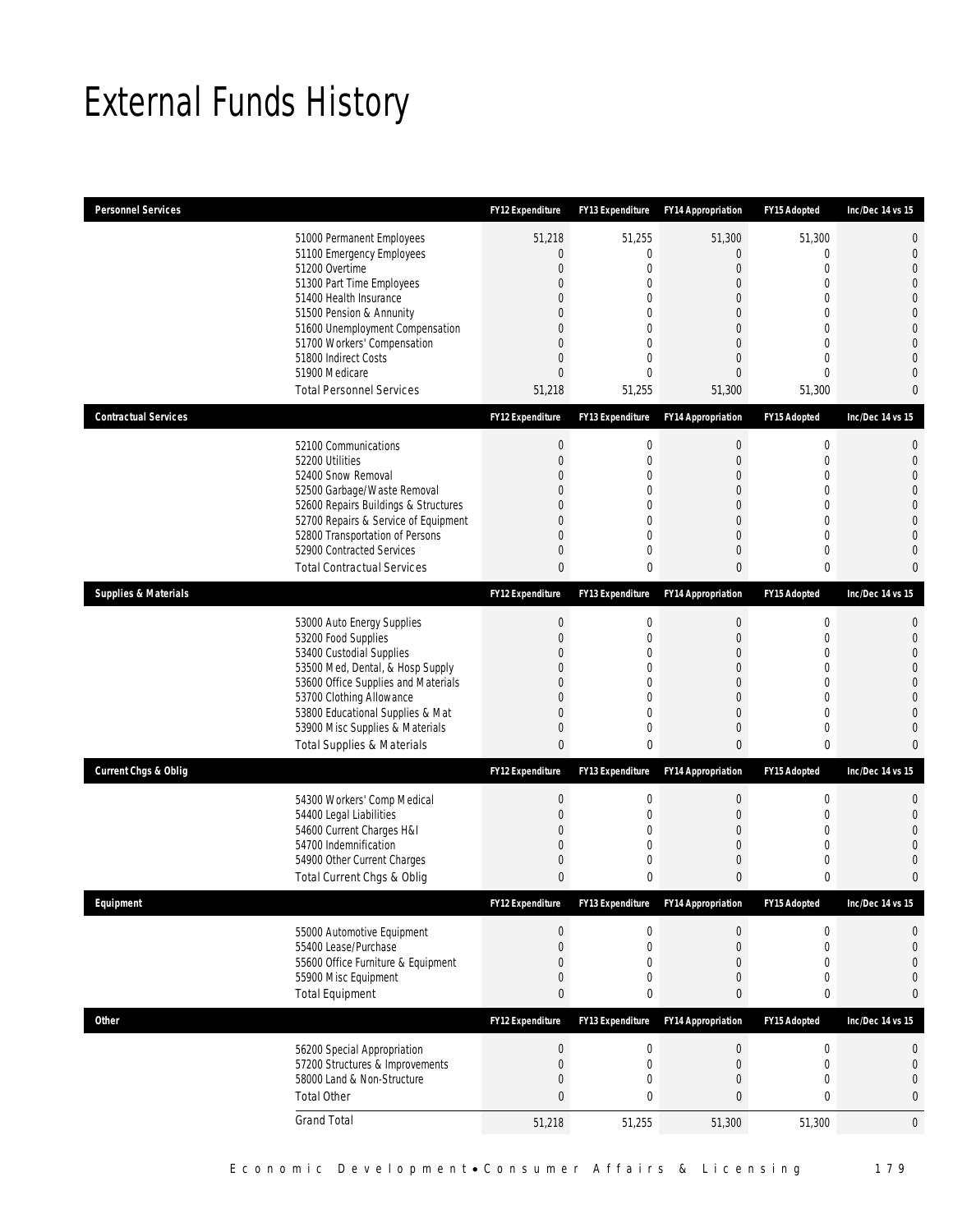# External Funds History

| <b>Personnel Services</b>       |                                                                                                                                                                                                                                                                                                            | <b>FY12 Expenditure</b>                                                                   | <b>FY13 Expenditure</b>                                                                                                             | <b>FY14 Appropriation</b>                                                                                   | FY15 Adopted                                                                                                                     | Inc/Dec 14 vs 15                                                                                                                                                   |
|---------------------------------|------------------------------------------------------------------------------------------------------------------------------------------------------------------------------------------------------------------------------------------------------------------------------------------------------------|-------------------------------------------------------------------------------------------|-------------------------------------------------------------------------------------------------------------------------------------|-------------------------------------------------------------------------------------------------------------|----------------------------------------------------------------------------------------------------------------------------------|--------------------------------------------------------------------------------------------------------------------------------------------------------------------|
|                                 | 51000 Permanent Employees<br>51100 Emergency Employees<br>51200 Overtime<br>51300 Part Time Employees<br>51400 Health Insurance<br>51500 Pension & Annunity<br>51600 Unemployment Compensation<br>51700 Workers' Compensation<br>51800 Indirect Costs<br>51900 Medicare<br><b>Total Personnel Services</b> | 51,218<br>0<br>$\boldsymbol{0}$<br>0<br>0<br>0<br>0<br>0<br>0<br>$\overline{0}$<br>51,218 | 51,255<br>$\mathbf{0}$<br>$\mathbf 0$<br>0<br>$\Omega$<br>$\mathbf{0}$<br>$\mathbf 0$<br>$\mathbf 0$<br>0<br>$\mathbf{0}$<br>51,255 | 51,300<br>$\overline{0}$<br>$\mathbf 0$<br>0<br>0<br>0<br>0<br>$\mathbf 0$<br>0<br>$\overline{0}$<br>51,300 | 51,300<br>0<br>$\mathbf{0}$<br>$\mathbf 0$<br>$\Omega$<br>0<br>$\Omega$<br>$\mathbf{0}$<br>$\mathbf 0$<br>$\mathbf{0}$<br>51,300 | $\overline{0}$<br>$\mathbf{0}$<br>$\overline{0}$<br>$\Omega$<br>$\Omega$<br>$\overline{0}$<br>$\overline{0}$<br>$\overline{0}$<br>$\Omega$<br>$\Omega$<br>$\Omega$ |
| <b>Contractual Services</b>     |                                                                                                                                                                                                                                                                                                            | <b>FY12 Expenditure</b>                                                                   | FY13 Expenditure                                                                                                                    | <b>FY14 Appropriation</b>                                                                                   | FY15 Adopted                                                                                                                     | Inc/Dec 14 vs 15                                                                                                                                                   |
|                                 | 52100 Communications<br>52200 Utilities<br>52400 Snow Removal<br>52500 Garbage/Waste Removal<br>52600 Repairs Buildings & Structures<br>52700 Repairs & Service of Equipment<br>52800 Transportation of Persons<br>52900 Contracted Services<br><b>Total Contractual Services</b>                          | $\boldsymbol{0}$<br>$\boldsymbol{0}$<br>0<br>0<br>0<br>0<br>0<br>0<br>0                   | 0<br>$\mathbf 0$<br>$\Omega$<br>$\mathbf 0$<br>$\Omega$<br>$\mathbf 0$<br>0<br>$\mathbf 0$<br>0                                     | $\boldsymbol{0}$<br>0<br>$\overline{0}$<br>0<br>0<br>$\mathbf 0$<br>0<br>0<br>0                             | $\boldsymbol{0}$<br>$\mathbf{0}$<br>$\Omega$<br>$\mathbf 0$<br>$\mathbf 0$<br>$\mathbf{0}$<br>$\mathbf 0$<br>$\mathbf 0$<br>0    | $\mathbf{0}$<br>$\mathbf{0}$<br>$\Omega$<br>$\overline{0}$<br>$\overline{0}$<br>$\Omega$<br>$\overline{0}$<br>$\overline{0}$<br>$\mathbf{0}$                       |
| <b>Supplies &amp; Materials</b> |                                                                                                                                                                                                                                                                                                            | <b>FY12 Expenditure</b>                                                                   | <b>FY13 Expenditure</b>                                                                                                             | <b>FY14 Appropriation</b>                                                                                   | FY15 Adopted                                                                                                                     | Inc/Dec 14 vs 15                                                                                                                                                   |
|                                 | 53000 Auto Energy Supplies<br>53200 Food Supplies<br>53400 Custodial Supplies<br>53500 Med, Dental, & Hosp Supply<br>53600 Office Supplies and Materials<br>53700 Clothing Allowance<br>53800 Educational Supplies & Mat<br>53900 Misc Supplies & Materials<br><b>Total Supplies &amp; Materials</b>       | $\boldsymbol{0}$<br>$\boldsymbol{0}$<br>0<br>0<br>0<br>0<br>0<br>0<br>0                   | $\boldsymbol{0}$<br>$\mathbf{0}$<br>$\mathbf 0$<br>0<br>0<br>$\mathbf 0$<br>$\mathbf 0$<br>$\mathbf 0$<br>0                         | $\pmb{0}$<br>$\mathbf 0$<br>0<br>0<br>0<br>$\overline{0}$<br>0<br>0<br>0                                    | $\mathbf 0$<br>$\mathbf{0}$<br>$\mathbf 0$<br>$\mathbf 0$<br>$\Omega$<br>$\mathbf{0}$<br>$\mathbf{0}$<br>$\mathbf 0$<br>0        | 0<br>$\overline{0}$<br>$\Omega$<br>$\Omega$<br>$\overline{0}$<br>$\Omega$<br>$\Omega$<br>$\Omega$<br>$\Omega$                                                      |
| <b>Current Chgs &amp; Oblig</b> |                                                                                                                                                                                                                                                                                                            | <b>FY12 Expenditure</b>                                                                   | FY13 Expenditure                                                                                                                    | <b>FY14 Appropriation</b>                                                                                   | FY15 Adopted                                                                                                                     | Inc/Dec 14 vs 15                                                                                                                                                   |
|                                 | 54300 Workers' Comp Medical<br>54400 Legal Liabilities<br>54600 Current Charges H&I<br>54700 Indemnification<br>54900 Other Current Charges<br>Total Current Chgs & Oblig                                                                                                                                  | $\boldsymbol{0}$<br>$\boldsymbol{0}$<br>0<br>0<br>0<br>$\mathbf{0}$                       | $\boldsymbol{0}$<br>$\mathbf 0$<br>$\Omega$<br>0<br>$\mathbf 0$<br>0                                                                | $\pmb{0}$<br>0<br>0<br>0<br>0<br>0                                                                          | $\mathbf 0$<br>$\mathbf{0}$<br>$\Omega$<br>$\mathbf 0$<br>0<br>0                                                                 | 0<br>$\mathbf{0}$<br>$\Omega$<br>$\Omega$<br>0<br>$\mathbf{0}$                                                                                                     |
| Equipment                       |                                                                                                                                                                                                                                                                                                            | FY12 Expenditure                                                                          | FY13 Expenditure                                                                                                                    | <b>FY14 Appropriation</b>                                                                                   | FY15 Adopted                                                                                                                     | Inc/Dec 14 vs 15                                                                                                                                                   |
|                                 | 55000 Automotive Equipment<br>55400 Lease/Purchase<br>55600 Office Furniture & Equipment<br>55900 Misc Equipment<br><b>Total Equipment</b>                                                                                                                                                                 | $\mathbf 0$<br>$\mathbf 0$<br>0<br>0<br>0                                                 | 0<br>$\boldsymbol{0}$<br>$\mathbf{0}$<br>$\mathbf 0$<br>0                                                                           | $\pmb{0}$<br>$\mathbf 0$<br>0<br>0<br>0                                                                     | $\boldsymbol{0}$<br>$\boldsymbol{0}$<br>$\mathbf{0}$<br>$\mathbf 0$<br>0                                                         | 0<br>$\overline{0}$<br>0<br>$\overline{0}$<br>$\bf{0}$                                                                                                             |
| <b>Other</b>                    |                                                                                                                                                                                                                                                                                                            | FY12 Expenditure                                                                          | <b>FY13 Expenditure</b>                                                                                                             | <b>FY14 Appropriation</b>                                                                                   | FY15 Adopted                                                                                                                     | Inc/Dec 14 vs 15                                                                                                                                                   |
|                                 | 56200 Special Appropriation<br>57200 Structures & Improvements<br>58000 Land & Non-Structure<br><b>Total Other</b>                                                                                                                                                                                         | $\boldsymbol{0}$<br>$\mathbf 0$<br>0<br>$\mathbf{0}$                                      | $\boldsymbol{0}$<br>$\boldsymbol{0}$<br>$\mathbf 0$<br>$\mathbf 0$                                                                  | $\boldsymbol{0}$<br>$\mathbf 0$<br>0<br>$\overline{0}$                                                      | $\boldsymbol{0}$<br>$\boldsymbol{0}$<br>$\mathbf 0$<br>0                                                                         | $\mathbf 0$<br>$\boldsymbol{0}$<br>$\mathbf{0}$<br>0                                                                                                               |
|                                 | <b>Grand Total</b>                                                                                                                                                                                                                                                                                         | 51,218                                                                                    | 51,255                                                                                                                              | 51,300                                                                                                      | 51,300                                                                                                                           | $\mathbf 0$                                                                                                                                                        |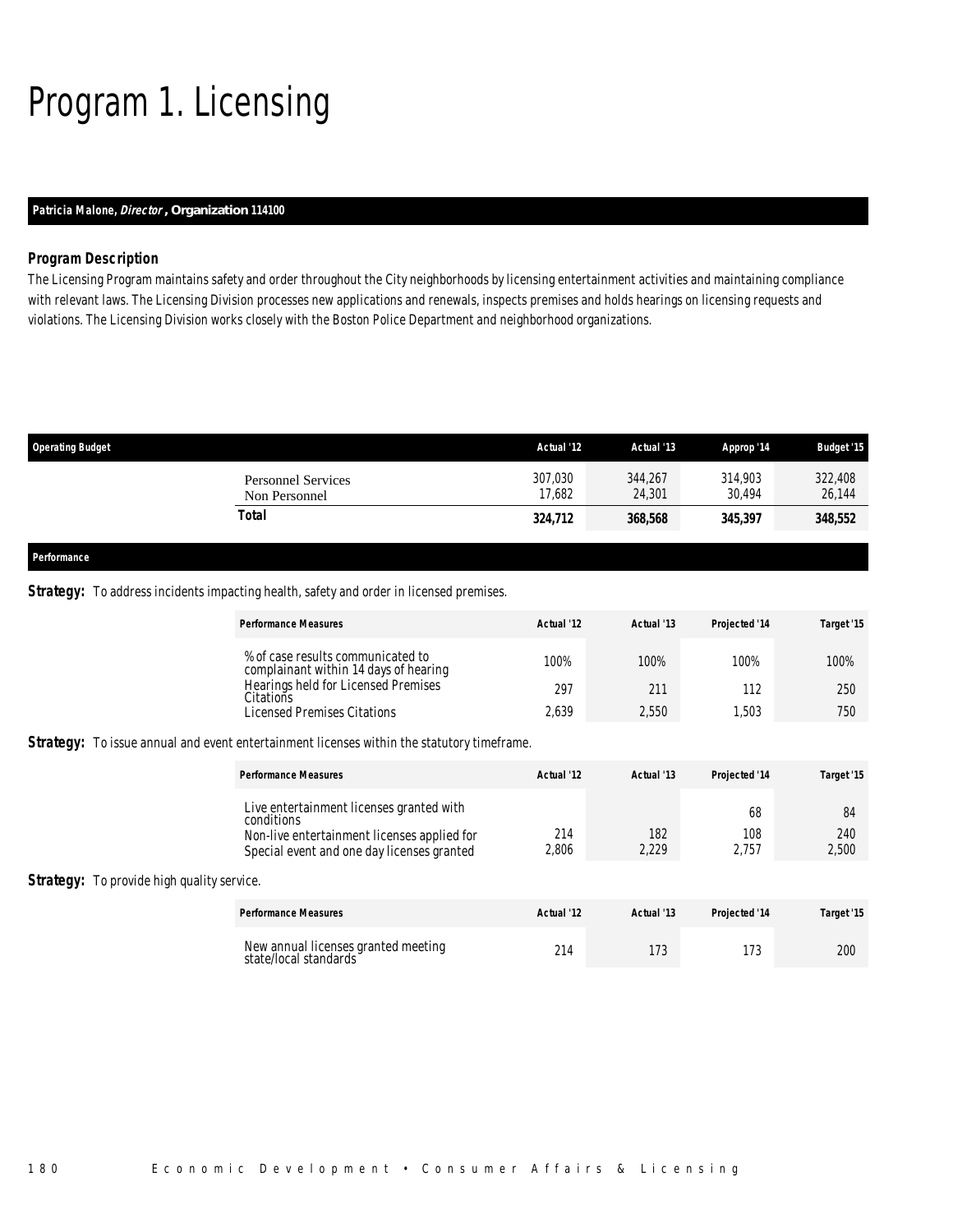# Program 1. Licensing

## *Patricia Malone, Director , Organization 114100*

#### *Program Description*

The Licensing Program maintains safety and order throughout the City neighborhoods by licensing entertainment activities and maintaining compliance with relevant laws. The Licensing Division processes new applications and renewals, inspects premises and holds hearings on licensing requests and violations. The Licensing Division works closely with the Boston Police Department and neighborhood organizations.

| <b>Operating Budget</b> |                                            | Actual '12        | Actual '13        | Approp '14        | <b>Budget '15</b> |
|-------------------------|--------------------------------------------|-------------------|-------------------|-------------------|-------------------|
|                         | <b>Personnel Services</b><br>Non Personnel | 307,030<br>17.682 | 344,267<br>24,301 | 314,903<br>30.494 | 322,408<br>26,144 |
|                         | <b>Total</b>                               | 324,712           | 368,568           | 345,397           | 348,552           |
|                         |                                            |                   |                   |                   |                   |
| Performance             |                                            |                   |                   |                   |                   |

### **Strategy:** To address incidents impacting health, safety and order in licensed premises.

|                                                   | <b>Performance Measures</b>                                                                                                                         | Actual '12   | Actual '13   | Projected '14      | Target '15         |
|---------------------------------------------------|-----------------------------------------------------------------------------------------------------------------------------------------------------|--------------|--------------|--------------------|--------------------|
|                                                   | % of case results communicated to<br>complainant within 14 days of hearing                                                                          | 100%         | 100%         | 100%               | 100%               |
|                                                   | Hearings held for Licensed Premises<br>Citations                                                                                                    | 297          | 211          | 112                | 250                |
|                                                   | <b>Licensed Premises Citations</b>                                                                                                                  | 2,639        | 2,550        | 1,503              | 750                |
|                                                   | <b>Strategy:</b> To issue annual and event entertainment licenses within the statutory timeframe.                                                   |              |              |                    |                    |
|                                                   | <b>Performance Measures</b>                                                                                                                         | Actual '12   | Actual '13   | Projected '14      | Target '15         |
|                                                   | Live entertainment licenses granted with<br>conditions<br>Non-live entertainment licenses applied for<br>Special event and one day licenses granted | 214<br>2,806 | 182<br>2,229 | 68<br>108<br>2,757 | 84<br>240<br>2,500 |
| <b>Strategy:</b> To provide high quality service. |                                                                                                                                                     |              |              |                    |                    |
|                                                   | <b>Performance Measures</b>                                                                                                                         | Actual '12   | Actual '13   | Projected '14      | Target '15         |
|                                                   | New annual licenses granted meeting<br>state/local standards                                                                                        | 214          | 173          | 173                | 200                |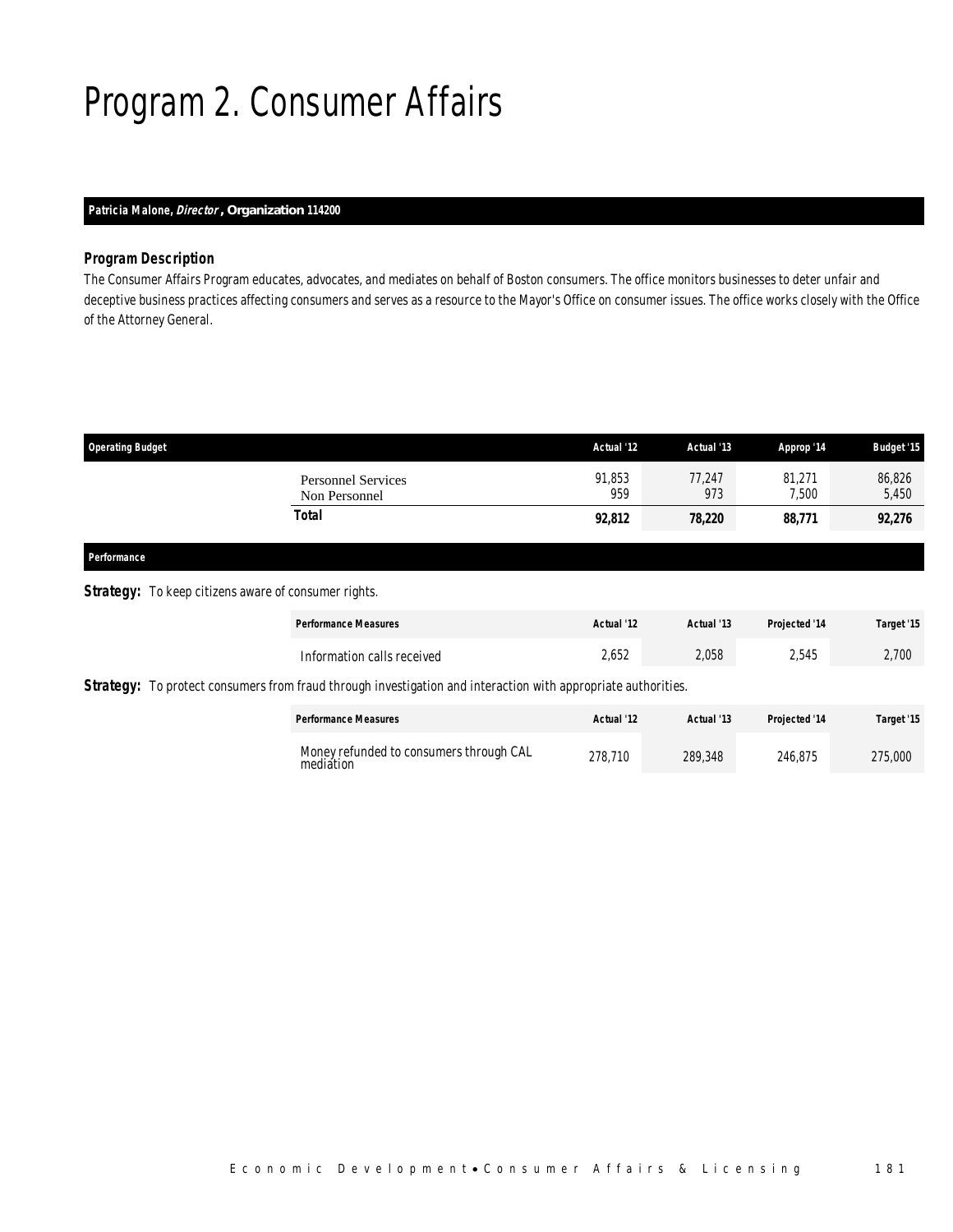# Program 2. Consumer Affairs

## *Patricia Malone, Director , Organization 114200*

#### *Program Description*

The Consumer Affairs Program educates, advocates, and mediates on behalf of Boston consumers. The office monitors businesses to deter unfair and deceptive business practices affecting consumers and serves as a resource to the Mayor's Office on consumer issues. The office works closely with the Office of the Attorney General.

| <b>Operating Budget</b>                    | Actual '12    | Actual '13    | Approp '14      | <b>Budget '15</b> |
|--------------------------------------------|---------------|---------------|-----------------|-------------------|
| <b>Personnel Services</b><br>Non Personnel | 91,853<br>959 | 77,247<br>973 | 81,271<br>7,500 | 86,826<br>5,450   |
| Total                                      | 92,812        | 78,220        | 88,771          | 92,276            |
|                                            |               |               |                 |                   |

## *Performance*

### **Strategy:** To keep citizens aware of consumer rights.

| <b>Performance Measures</b>                                                                                          | Actual '12 | Actual '13 | Projected '14 | Target '15 |
|----------------------------------------------------------------------------------------------------------------------|------------|------------|---------------|------------|
| Information calls received                                                                                           | 2.652      | 2,058      | 2.545         | 2,700      |
| <b>Strategy:</b> To protect consumers from fraud through investigation and interaction with appropriate authorities. |            |            |               |            |
| <b>Performance Measures</b>                                                                                          | Actual '12 | Actual '13 | Projected '14 | Target '15 |

| Money refunded to consumers through CAL<br>mediătion | 278.710 | 289,348 | 246.875 | 275,000 |
|------------------------------------------------------|---------|---------|---------|---------|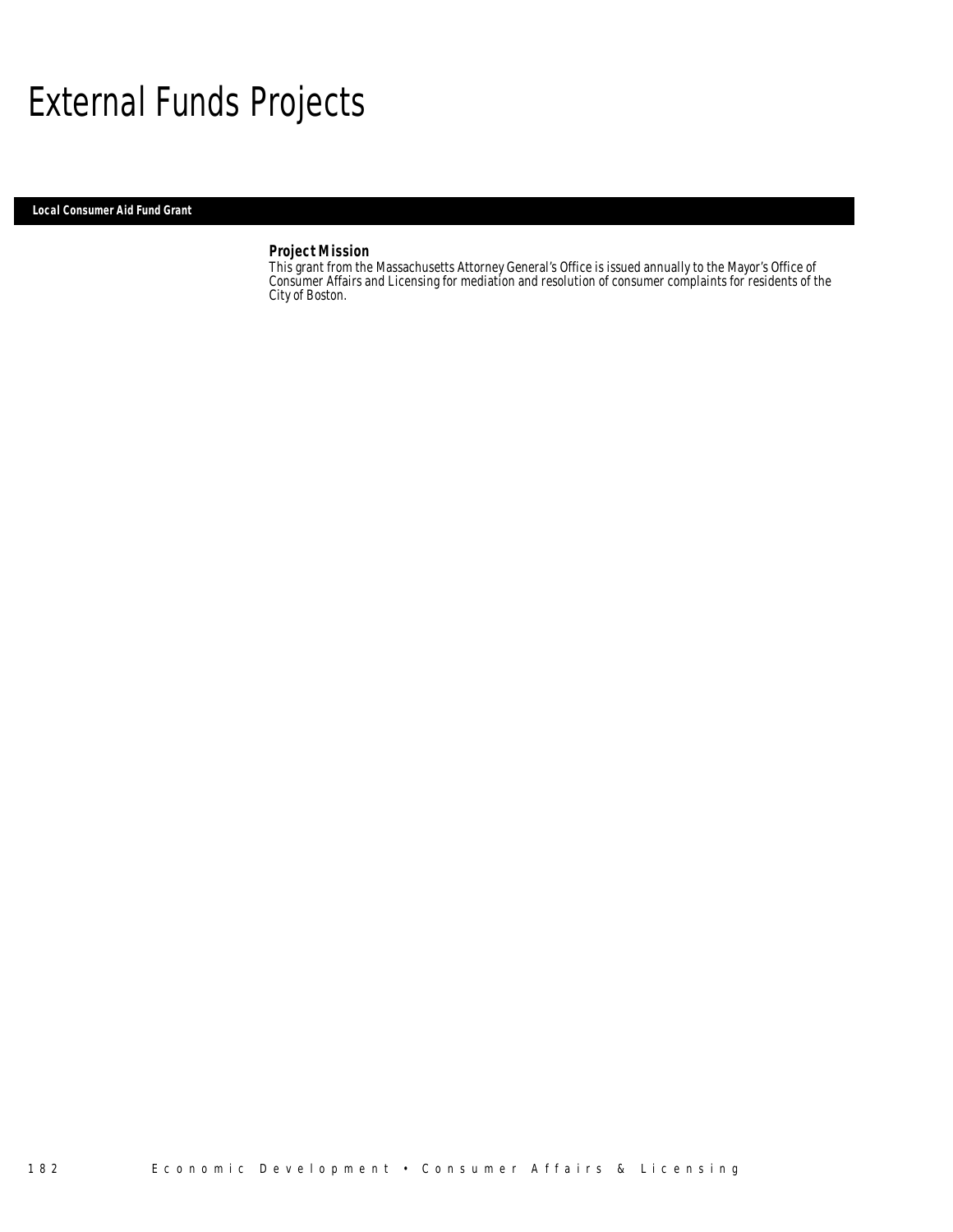## External Funds Projects

*Local Consumer Aid Fund Grant* 

### *Project Mission*

This grant from the Massachusetts Attorney General's Office is issued annually to the Mayor's Office of Consumer Affairs and Licensing for mediation and resolution of consumer complaints for residents of the City of Boston.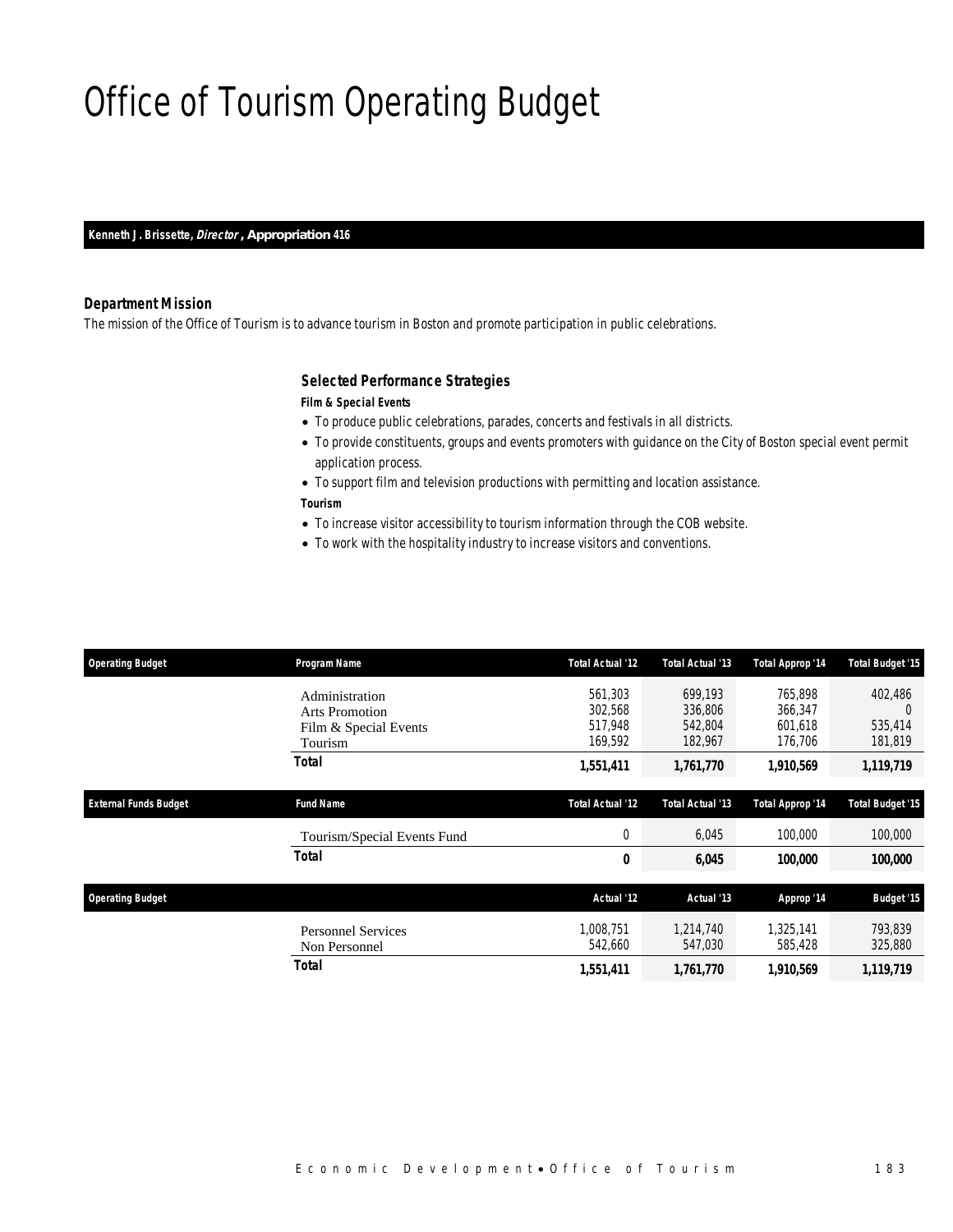# Office of Tourism Operating Budget

*Kenneth J. Brissette, Director , Appropriation 416* 

#### *Department Mission*

The mission of the Office of Tourism is to advance tourism in Boston and promote participation in public celebrations.

#### *Selected Performance Strategies*

#### *Film & Special Events*

- To produce public celebrations, parades, concerts and festivals in all districts.
- To provide constituents, groups and events promoters with guidance on the City of Boston special event permit application process.
- To support film and television productions with permitting and location assistance. *Tourism*
- To increase visitor accessibility to tourism information through the COB website.
- To work with the hospitality industry to increase visitors and conventions.

| <b>Operating Budget</b>      | Program Name                               | Total Actual '12        | Total Actual '13     | Total Approp '14        | <b>Total Budget '15</b> |
|------------------------------|--------------------------------------------|-------------------------|----------------------|-------------------------|-------------------------|
|                              | Administration                             | 561,303                 | 699,193              | 765,898                 | 402,486                 |
|                              | <b>Arts Promotion</b>                      | 302,568                 | 336,806              | 366,347                 | $\Omega$                |
|                              | Film & Special Events                      | 517,948                 | 542,804              | 601,618                 | 535,414                 |
|                              | Tourism                                    | 169,592                 | 182,967              | 176,706                 | 181,819                 |
|                              | Total                                      | 1,551,411               | 1,761,770            | 1,910,569               | 1,119,719               |
| <b>External Funds Budget</b> | <b>Fund Name</b>                           | <b>Total Actual '12</b> | Total Actual '13     | <b>Total Approp '14</b> | <b>Total Budget '15</b> |
|                              | Tourism/Special Events Fund                | 0                       | 6,045                | 100,000                 | 100,000                 |
|                              | <b>Total</b>                               | 0                       | 6,045                | 100,000                 | 100,000                 |
| <b>Operating Budget</b>      |                                            | Actual '12              | Actual '13           | Approp '14              | <b>Budget '15</b>       |
|                              | <b>Personnel Services</b><br>Non Personnel | 1.008.751<br>542,660    | 1.214.740<br>547,030 | 1.325.141<br>585,428    | 793.839<br>325,880      |
|                              | Total                                      | 1,551,411               | 1,761,770            | 1,910,569               | 1,119,719               |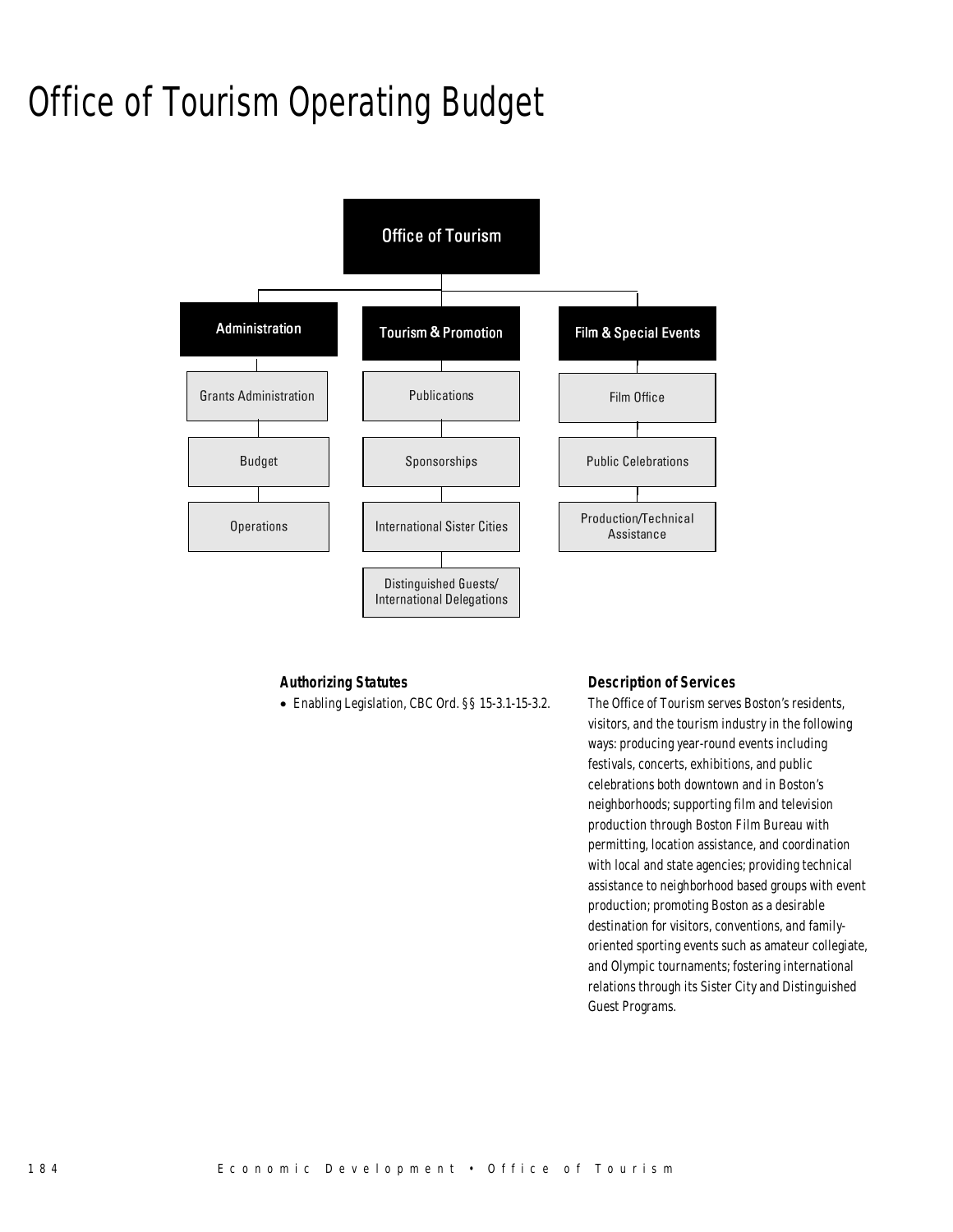# Office of Tourism Operating Budget



#### *Authorizing Statutes*

• Enabling Legislation, CBC Ord. §§ 15-3.1-15-3.2.

## *Description of Services*

The Office of Tourism serves Boston's residents, visitors, and the tourism industry in the following ways: producing year-round events including festivals, concerts, exhibitions, and public celebrations both downtown and in Boston's neighborhoods; supporting film and television production through Boston Film Bureau with permitting, location assistance, and coordination with local and state agencies; providing technical assistance to neighborhood based groups with event production; promoting Boston as a desirable destination for visitors, conventions, and familyoriented sporting events such as amateur collegiate, and Olympic tournaments; fostering international relations through its Sister City and Distinguished Guest Programs.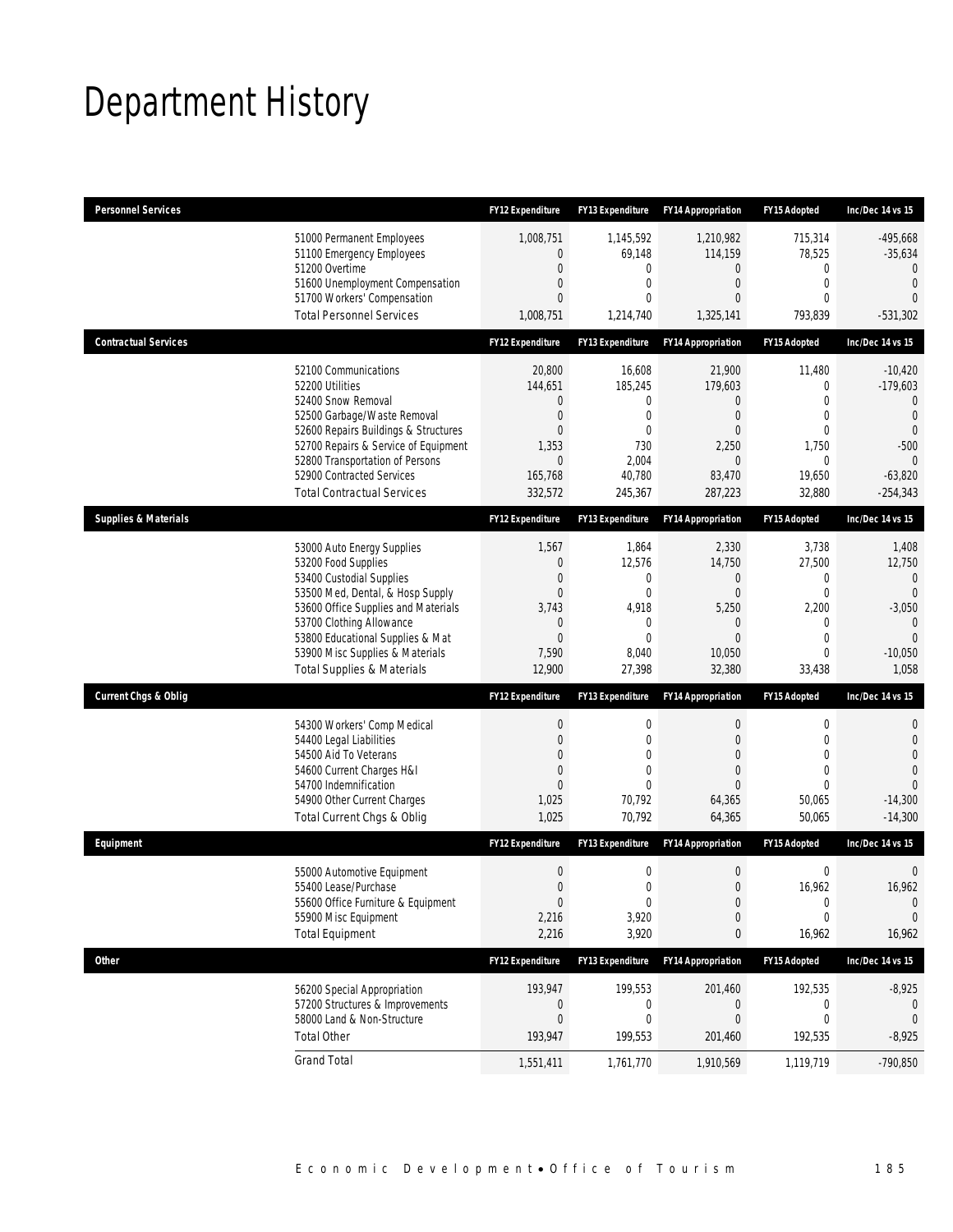# Department History

| <b>Personnel Services</b>       |                                                                                                                                                                                                                                                                                                      | <b>FY12 Expenditure</b>                                                             | <b>FY13 Expenditure</b>                                                                           | <b>FY14 Appropriation</b>                                                                             | FY15 Adopted                                                                                      | Inc/Dec 14 vs 15                                                                                                     |
|---------------------------------|------------------------------------------------------------------------------------------------------------------------------------------------------------------------------------------------------------------------------------------------------------------------------------------------------|-------------------------------------------------------------------------------------|---------------------------------------------------------------------------------------------------|-------------------------------------------------------------------------------------------------------|---------------------------------------------------------------------------------------------------|----------------------------------------------------------------------------------------------------------------------|
|                                 | 51000 Permanent Employees<br>51100 Emergency Employees<br>51200 Overtime<br>51600 Unemployment Compensation<br>51700 Workers' Compensation<br><b>Total Personnel Services</b>                                                                                                                        | 1,008,751<br>0<br>0<br>0<br>0<br>1,008,751                                          | 1,145,592<br>69,148<br>0<br>0<br>0<br>1,214,740                                                   | 1,210,982<br>114,159<br>0<br>$\mathbf{0}$<br>0<br>1,325,141                                           | 715,314<br>78,525<br>0<br>$\overline{0}$<br>$\mathbf{0}$<br>793,839                               | $-495,668$<br>$-35,634$<br>$\Omega$<br>$\overline{0}$<br>$\Omega$<br>$-531,302$                                      |
| <b>Contractual Services</b>     |                                                                                                                                                                                                                                                                                                      | <b>FY12 Expenditure</b>                                                             | <b>FY13 Expenditure</b>                                                                           | <b>FY14 Appropriation</b>                                                                             | FY15 Adopted                                                                                      | Inc/Dec 14 vs 15                                                                                                     |
|                                 | 52100 Communications<br>52200 Utilities<br>52400 Snow Removal<br>52500 Garbage/Waste Removal<br>52600 Repairs Buildings & Structures<br>52700 Repairs & Service of Equipment<br>52800 Transportation of Persons<br>52900 Contracted Services<br><b>Total Contractual Services</b>                    | 20,800<br>144,651<br>0<br>$\boldsymbol{0}$<br>0<br>1,353<br>0<br>165,768<br>332,572 | 16,608<br>185,245<br>0<br>0<br>0<br>730<br>2,004<br>40,780<br>245,367                             | 21,900<br>179,603<br>0<br>$\mathbf 0$<br>$\mathbf{0}$<br>2,250<br>$\overline{0}$<br>83,470<br>287,223 | 11,480<br>$\mathbf 0$<br>$\Omega$<br>$\mathbf 0$<br>$\mathbf 0$<br>1,750<br>0<br>19,650<br>32,880 | $-10,420$<br>$-179,603$<br>$\Omega$<br>$\mathbf{0}$<br>$\mathbf{0}$<br>$-500$<br>$\theta$<br>$-63,820$<br>$-254,343$ |
| <b>Supplies &amp; Materials</b> |                                                                                                                                                                                                                                                                                                      | FY12 Expenditure                                                                    | FY13 Expenditure                                                                                  | <b>FY14 Appropriation</b>                                                                             | FY15 Adopted                                                                                      | Inc/Dec 14 vs 15                                                                                                     |
|                                 | 53000 Auto Energy Supplies<br>53200 Food Supplies<br>53400 Custodial Supplies<br>53500 Med, Dental, & Hosp Supply<br>53600 Office Supplies and Materials<br>53700 Clothing Allowance<br>53800 Educational Supplies & Mat<br>53900 Misc Supplies & Materials<br><b>Total Supplies &amp; Materials</b> | 1,567<br>0<br>0<br>0<br>3,743<br>0<br>$\overline{0}$<br>7,590<br>12,900             | 1,864<br>12,576<br>0<br>$\mathbf{0}$<br>4,918<br>$\mathbf 0$<br>$\overline{0}$<br>8,040<br>27,398 | 2,330<br>14,750<br>0<br>$\boldsymbol{0}$<br>5,250<br>0<br>$\overline{0}$<br>10,050<br>32,380          | 3,738<br>27,500<br>0<br>$\mathbf 0$<br>2,200<br>0<br>$\mathbf{0}$<br>$\mathbf{0}$<br>33,438       | 1,408<br>12,750<br>$\mathbf{0}$<br>$\Omega$<br>$-3,050$<br>$\mathbf{0}$<br>$\overline{0}$<br>$-10,050$<br>1,058      |
| <b>Current Chgs &amp; Oblig</b> |                                                                                                                                                                                                                                                                                                      | <b>FY12 Expenditure</b>                                                             | <b>FY13 Expenditure</b>                                                                           | <b>FY14 Appropriation</b>                                                                             | <b>FY15 Adopted</b>                                                                               | Inc/Dec 14 vs 15                                                                                                     |
|                                 | 54300 Workers' Comp Medical<br>54400 Legal Liabilities<br>54500 Aid To Veterans<br>54600 Current Charges H&I<br>54700 Indemnification<br>54900 Other Current Charges<br>Total Current Chgs & Oblig                                                                                                   | 0<br>0<br>0<br>0<br>$\overline{0}$<br>1,025<br>1,025                                | 0<br>$\overline{0}$<br>0<br>$\overline{0}$<br>$\theta$<br>70,792<br>70,792                        | $\mathbf 0$<br>$\overline{0}$<br>0<br>0<br>$\Omega$<br>64,365<br>64,365                               | 0<br>$\mathbf 0$<br>$\mathbf{0}$<br>$\mathbf{0}$<br>$\Omega$<br>50,065<br>50,065                  | 0<br>$\mathbf{0}$<br>$\overline{0}$<br>$\Omega$<br>$\theta$<br>$-14,300$<br>$-14,300$                                |
| Equipment                       |                                                                                                                                                                                                                                                                                                      | <b>FY12 Expenditure</b>                                                             | <b>FY13 Expenditure</b>                                                                           | <b>FY14 Appropriation</b>                                                                             | FY15 Adopted                                                                                      | Inc/Dec 14 vs 15                                                                                                     |
|                                 | 55000 Automotive Equipment<br>55400 Lease/Purchase<br>55600 Office Furniture & Equipment<br>55900 Misc Equipment<br><b>Total Equipment</b>                                                                                                                                                           | $\mathbf 0$<br>$\boldsymbol{0}$<br>$\boldsymbol{0}$<br>2,216<br>2,216               | 0<br>0<br>$\boldsymbol{0}$<br>3,920<br>3,920                                                      | $\boldsymbol{0}$<br>$\mathbf{0}$<br>$\boldsymbol{0}$<br>$\mathbf 0$<br>0                              | 0<br>16,962<br>0<br>$\mathbf 0$<br>16,962                                                         | $\mathbf 0$<br>16,962<br>$\mathbf 0$<br>$\mathbf 0$<br>16,962                                                        |
| <b>Other</b>                    |                                                                                                                                                                                                                                                                                                      | FY12 Expenditure                                                                    | FY13 Expenditure                                                                                  | <b>FY14 Appropriation</b>                                                                             | FY15 Adopted                                                                                      | Inc/Dec 14 vs 15                                                                                                     |
|                                 | 56200 Special Appropriation<br>57200 Structures & Improvements<br>58000 Land & Non-Structure<br><b>Total Other</b>                                                                                                                                                                                   | 193,947<br>0<br>$\mathbf 0$<br>193,947                                              | 199,553<br>0<br>$\mathbf 0$<br>199,553                                                            | 201,460<br>0<br>$\boldsymbol{0}$<br>201,460                                                           | 192,535<br>0<br>$\mathbf{0}$<br>192,535                                                           | $-8,925$<br>0<br>$\theta$<br>$-8,925$                                                                                |
|                                 | <b>Grand Total</b>                                                                                                                                                                                                                                                                                   | 1,551,411                                                                           | 1,761,770                                                                                         | 1,910,569                                                                                             | 1,119,719                                                                                         | -790,850                                                                                                             |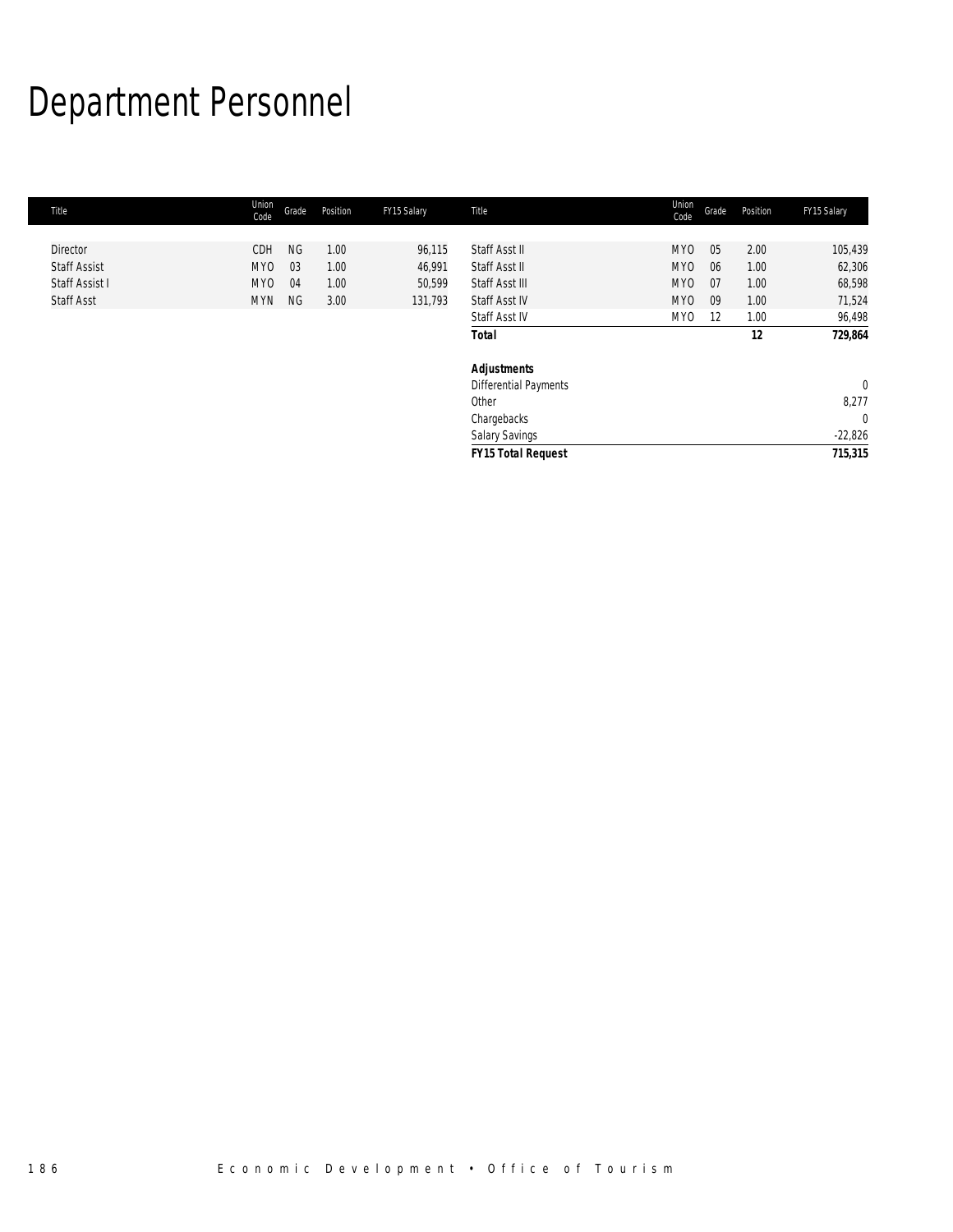# Department Personnel

| Title               | Union<br>Code   | Grade     | Position | FY15 Salary | Title                        | Union<br>Code | Grade | Position | FY15 Salary  |
|---------------------|-----------------|-----------|----------|-------------|------------------------------|---------------|-------|----------|--------------|
|                     |                 |           |          |             |                              |               |       |          |              |
| Director            | CDH             | <b>NG</b> | 1.00     | 96,115      | Staff Asst II                | MY0           | 05    | 2.00     | 105,439      |
| <b>Staff Assist</b> | MY <sub>0</sub> | 03        | 1.00     | 46,991      | Staff Asst II                | MY0           | 06    | 1.00     | 62,306       |
| Staff Assist I      | MY <sub>0</sub> | 04        | 1.00     | 50,599      | Staff Asst III               | MY0           | 07    | 1.00     | 68,598       |
| <b>Staff Asst</b>   | <b>MYN</b>      | NG        | 3.00     | 131,793     | Staff Asst IV                | MYO           | 09    | 1.00     | 71,524       |
|                     |                 |           |          |             | Staff Asst IV                | MY0           | 12    | 1.00     | 96,498       |
|                     |                 |           |          |             | <b>Total</b>                 |               |       | 12       | 729,864      |
|                     |                 |           |          |             | <b>Adjustments</b>           |               |       |          |              |
|                     |                 |           |          |             | <b>Differential Payments</b> |               |       |          | $\mathbf{0}$ |
|                     |                 |           |          |             | Other                        |               |       |          | 8,277        |
|                     |                 |           |          |             | Chargebacks                  |               |       |          | $\mathbf 0$  |
|                     |                 |           |          |             | <b>Salary Savings</b>        |               |       |          | $-22,826$    |
|                     |                 |           |          |             | <b>FY15 Total Request</b>    |               |       |          | 715,315      |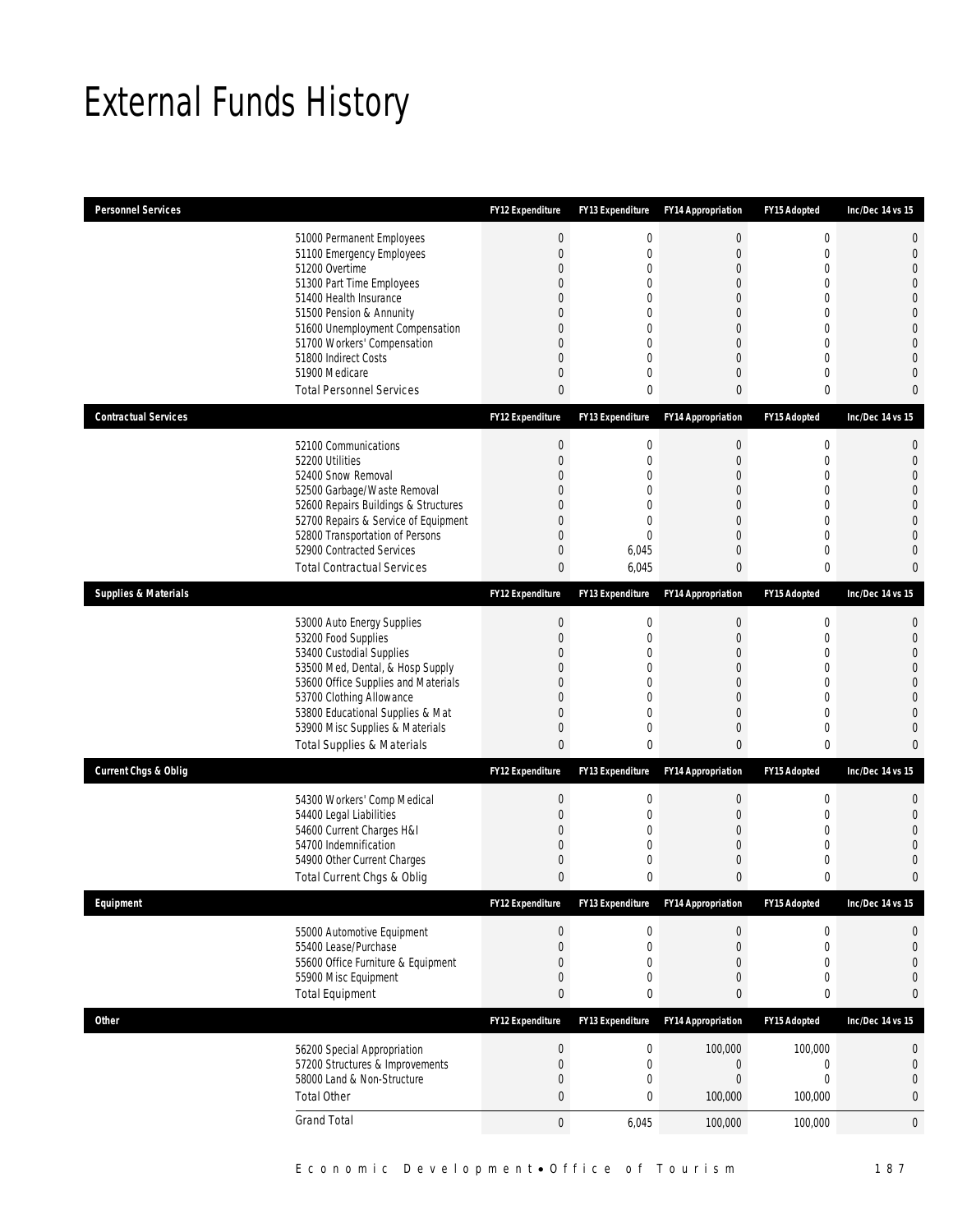# External Funds History

| <b>Personnel Services</b>       |                                                                                                                                                                                                                                                                                                            | <b>FY12 Expenditure</b>                                                                | <b>FY13 Expenditure</b>                                                                                         | <b>FY14 Appropriation</b>                                                                                    | FY15 Adopted                                                                             | Inc/Dec 14 vs 15                                                                                                                    |
|---------------------------------|------------------------------------------------------------------------------------------------------------------------------------------------------------------------------------------------------------------------------------------------------------------------------------------------------------|----------------------------------------------------------------------------------------|-----------------------------------------------------------------------------------------------------------------|--------------------------------------------------------------------------------------------------------------|------------------------------------------------------------------------------------------|-------------------------------------------------------------------------------------------------------------------------------------|
|                                 | 51000 Permanent Employees<br>51100 Emergency Employees<br>51200 Overtime<br>51300 Part Time Employees<br>51400 Health Insurance<br>51500 Pension & Annunity<br>51600 Unemployment Compensation<br>51700 Workers' Compensation<br>51800 Indirect Costs<br>51900 Medicare<br><b>Total Personnel Services</b> | $\boldsymbol{0}$<br>$\overline{0}$<br>0<br>0<br>$\Omega$<br>0<br>0<br>0<br>0<br>0<br>0 | $\boldsymbol{0}$<br>$\boldsymbol{0}$<br>$\mathbf 0$<br>0<br>0<br>0<br>0<br>$\mathbf 0$<br>0<br>0<br>$\mathbf 0$ | $\boldsymbol{0}$<br>$\mathbf{0}$<br>0<br>0<br>0<br>0<br>$\Omega$<br>$\overline{0}$<br>0<br>0<br>$\mathbf{0}$ | $\mathbf 0$<br>$\overline{0}$<br>0<br>0<br>$\theta$<br>0<br>$\theta$<br>0<br>0<br>0<br>0 | $\overline{0}$<br>$\mathbf 0$<br>$\Omega$<br>$\Omega$<br>$\bigcap$<br>$\Omega$<br>$\mathbf 0$<br>$\bigcap$<br>$\bigcap$<br>$\Omega$ |
| <b>Contractual Services</b>     |                                                                                                                                                                                                                                                                                                            | <b>FY12 Expenditure</b>                                                                | <b>FY13 Expenditure</b>                                                                                         | <b>FY14 Appropriation</b>                                                                                    | FY15 Adopted                                                                             | Inc/Dec 14 vs 15                                                                                                                    |
|                                 | 52100 Communications<br>52200 Utilities<br>52400 Snow Removal<br>52500 Garbage/Waste Removal<br>52600 Repairs Buildings & Structures<br>52700 Repairs & Service of Equipment<br>52800 Transportation of Persons<br>52900 Contracted Services<br><b>Total Contractual Services</b>                          | $\boldsymbol{0}$<br>0<br>0<br>0<br>0<br>0<br>0<br>0<br>0                               | 0<br>$\boldsymbol{0}$<br>0<br>$\overline{0}$<br>$\mathbf 0$<br>$\mathbf 0$<br>$\overline{0}$<br>6,045<br>6,045  | $\boldsymbol{0}$<br>$\boldsymbol{0}$<br>0<br>0<br>0<br>0<br>0<br>0<br>$\mathbf{0}$                           | $\mathbf 0$<br>$\mathbf 0$<br>0<br>$\overline{0}$<br>0<br>0<br>$\overline{0}$<br>0<br>0  | $\mathbf 0$<br>$\mathbf{0}$<br>$\bigcap$<br>$\bigcap$<br>$\Omega$<br>$\bigcap$<br>$\Omega$<br>$\Omega$                              |
| <b>Supplies &amp; Materials</b> |                                                                                                                                                                                                                                                                                                            | <b>FY12 Expenditure</b>                                                                | FY13 Expenditure                                                                                                | <b>FY14 Appropriation</b>                                                                                    | FY15 Adopted                                                                             | Inc/Dec 14 vs 15                                                                                                                    |
|                                 | 53000 Auto Energy Supplies<br>53200 Food Supplies<br>53400 Custodial Supplies<br>53500 Med, Dental, & Hosp Supply<br>53600 Office Supplies and Materials<br>53700 Clothing Allowance<br>53800 Educational Supplies & Mat<br>53900 Misc Supplies & Materials<br><b>Total Supplies &amp; Materials</b>       | 0<br>0<br>0<br>0<br>$\Omega$<br>0<br>0<br>0<br>0                                       | 0<br>$\boldsymbol{0}$<br>0<br>0<br>0<br>0<br>0<br>$\mathbf 0$<br>0                                              | $\boldsymbol{0}$<br>$\boldsymbol{0}$<br>0<br>0<br>0<br>$\overline{0}$<br>0<br>0<br>$\theta$                  | $\mathbf 0$<br>$\overline{0}$<br>0<br>0<br>0<br>0<br>$\overline{0}$<br>0<br>0            | $\mathbf 0$<br>$\overline{0}$<br>$\bigcap$<br>$\bigcap$<br>$\Omega$<br>$\Omega$                                                     |
| <b>Current Chgs &amp; Oblig</b> |                                                                                                                                                                                                                                                                                                            | <b>FY12 Expenditure</b>                                                                | <b>FY13 Expenditure</b>                                                                                         | <b>FY14 Appropriation</b>                                                                                    | FY15 Adopted                                                                             | Inc/Dec 14 vs 15                                                                                                                    |
|                                 | 54300 Workers' Comp Medical<br>54400 Legal Liabilities<br>54600 Current Charges H&I<br>54700 Indemnification<br>54900 Other Current Charges<br>Total Current Chgs & Oblig                                                                                                                                  | $\boldsymbol{0}$<br>$\boldsymbol{0}$<br>0<br>0<br>0<br>0                               | $\boldsymbol{0}$<br>$\boldsymbol{0}$<br>$\mathbf 0$<br>0<br>$\boldsymbol{0}$<br>0                               | $\boldsymbol{0}$<br>$\boldsymbol{0}$<br>0<br>0<br>0<br>$\mathbf{0}$                                          | $\mathbf 0$<br>$\mathbf 0$<br>0<br>$\theta$<br>0<br>0                                    | $\mathbf 0$<br>$\overline{0}$<br>C<br>$\Omega$                                                                                      |
| Equipment                       |                                                                                                                                                                                                                                                                                                            | FY12 Expenditure                                                                       | FY13 Expenditure                                                                                                | <b>FY14 Appropriation</b>                                                                                    | FY15 Adopted                                                                             | Inc/Dec 14 vs 15                                                                                                                    |
|                                 | 55000 Automotive Equipment<br>55400 Lease/Purchase<br>55600 Office Furniture & Equipment<br>55900 Misc Equipment<br><b>Total Equipment</b>                                                                                                                                                                 | $\boldsymbol{0}$<br>0<br>0<br>0<br>0                                                   | 0<br>$\boldsymbol{0}$<br>$\boldsymbol{0}$<br>0<br>0                                                             | $\boldsymbol{0}$<br>$\boldsymbol{0}$<br>$\boldsymbol{0}$<br>0<br>$\bf{0}$                                    | $\boldsymbol{0}$<br>$\mathbf 0$<br>$\overline{0}$<br>0<br>0                              | 0<br>$\mathbf{0}$<br>$\overline{0}$<br>$\mathbf 0$<br>$\mathbf 0$                                                                   |
| <b>Other</b>                    |                                                                                                                                                                                                                                                                                                            | FY12 Expenditure                                                                       | FY13 Expenditure                                                                                                | <b>FY14 Appropriation</b>                                                                                    | FY15 Adopted                                                                             | Inc/Dec 14 vs 15                                                                                                                    |
|                                 | 56200 Special Appropriation<br>57200 Structures & Improvements<br>58000 Land & Non-Structure<br><b>Total Other</b>                                                                                                                                                                                         | $\boldsymbol{0}$<br>0<br>0<br>0                                                        | $\boldsymbol{0}$<br>$\boldsymbol{0}$<br>0<br>0                                                                  | 100,000<br>$\boldsymbol{0}$<br>$\boldsymbol{0}$<br>100,000                                                   | 100,000<br>$\mathbf 0$<br>0<br>100,000                                                   | $\boldsymbol{0}$<br>$\mathbf 0$<br>$\mathbf 0$<br>$\bf{0}$                                                                          |
|                                 | <b>Grand Total</b>                                                                                                                                                                                                                                                                                         | $\boldsymbol{0}$                                                                       | 6,045                                                                                                           | 100,000                                                                                                      | 100,000                                                                                  | 0                                                                                                                                   |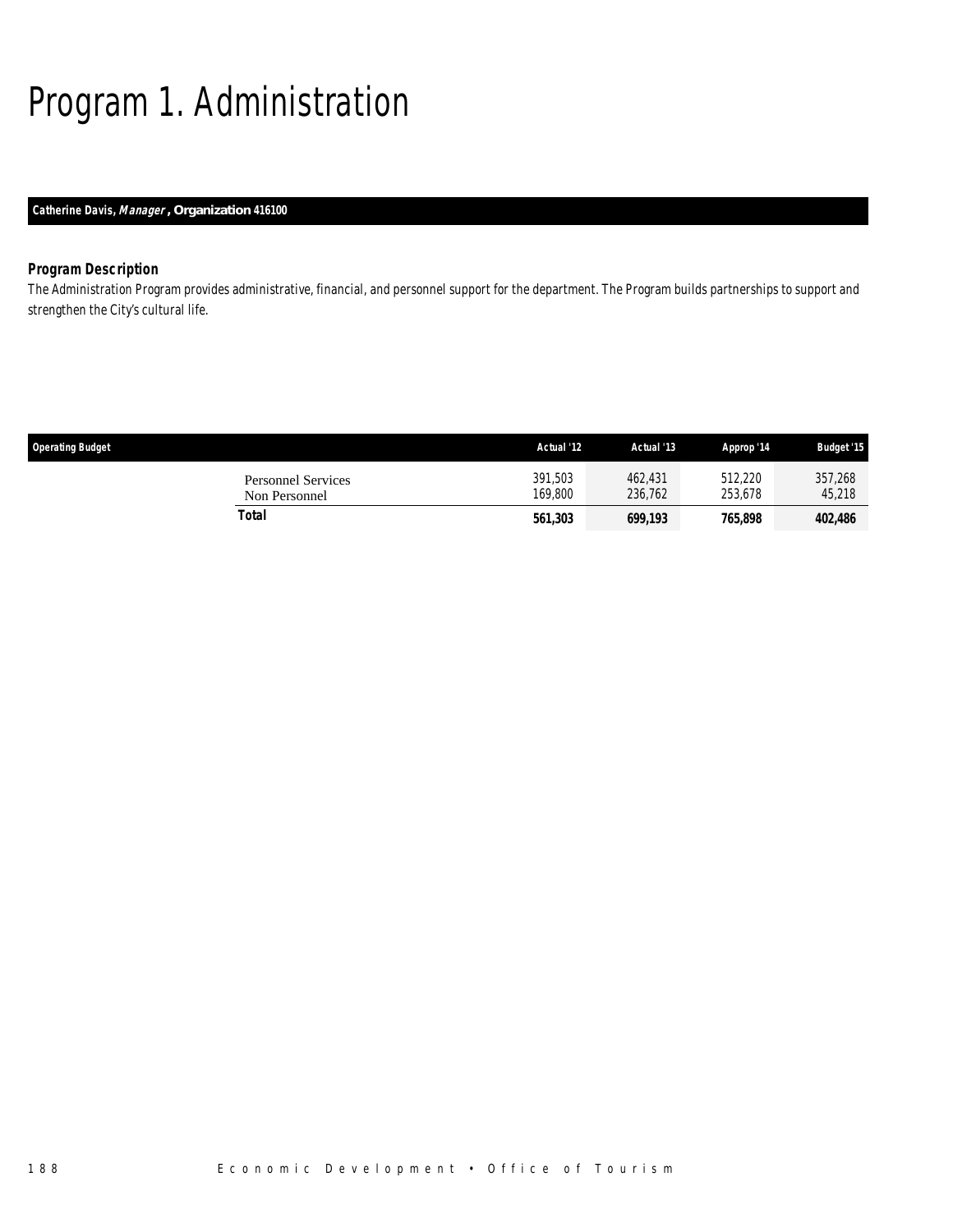# Program 1. Administration

## *Catherine Davis, Manager , Organization 416100*

## *Program Description*

The Administration Program provides administrative, financial, and personnel support for the department. The Program builds partnerships to support and strengthen the City's cultural life.

| <b>Operating Budget</b> |                                            | Actual '12         | Actual '13         | Approp '14         | <b>Budget '15</b> |
|-------------------------|--------------------------------------------|--------------------|--------------------|--------------------|-------------------|
|                         | <b>Personnel Services</b><br>Non Personnel | 391,503<br>169.800 | 462,431<br>236.762 | 512.220<br>253.678 | 357,268<br>45,218 |
|                         | Total                                      | 561,303            | 699,193            | 765,898            | 402,486           |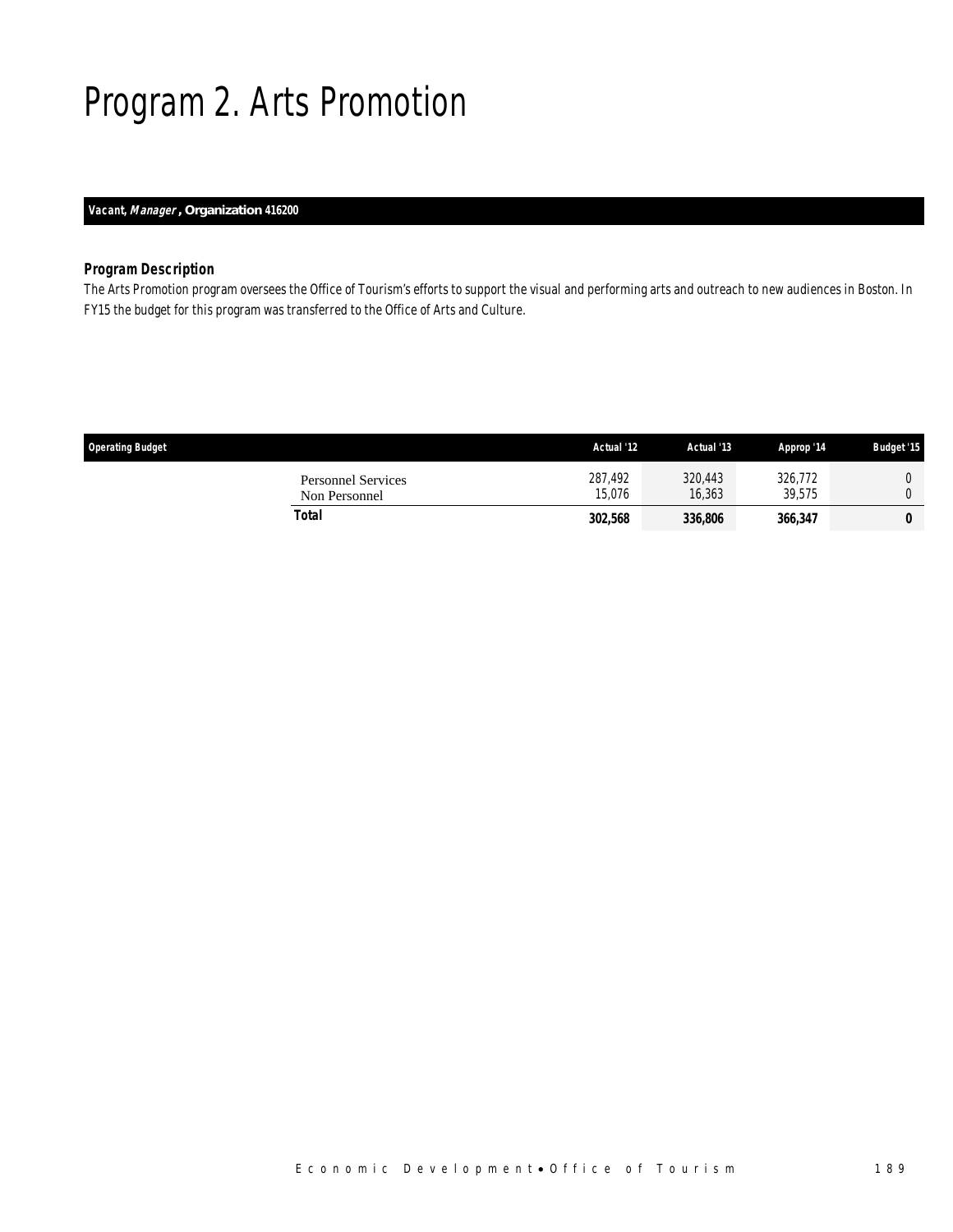# Program 2. Arts Promotion

## *Vacant, Manager , Organization 416200*

### *Program Description*

The Arts Promotion program oversees the Office of Tourism's efforts to support the visual and performing arts and outreach to new audiences in Boston. In FY15 the budget for this program was transferred to the Office of Arts and Culture.

| <b>Operating Budget</b>                    | Actual '12        | Actual '13        | Approp '14        | <b>Budget '15</b> |
|--------------------------------------------|-------------------|-------------------|-------------------|-------------------|
| <b>Personnel Services</b><br>Non Personnel | 287,492<br>15.076 | 320,443<br>16,363 | 326,772<br>39.575 |                   |
| Total                                      | 302,568           | 336,806           | 366,347           |                   |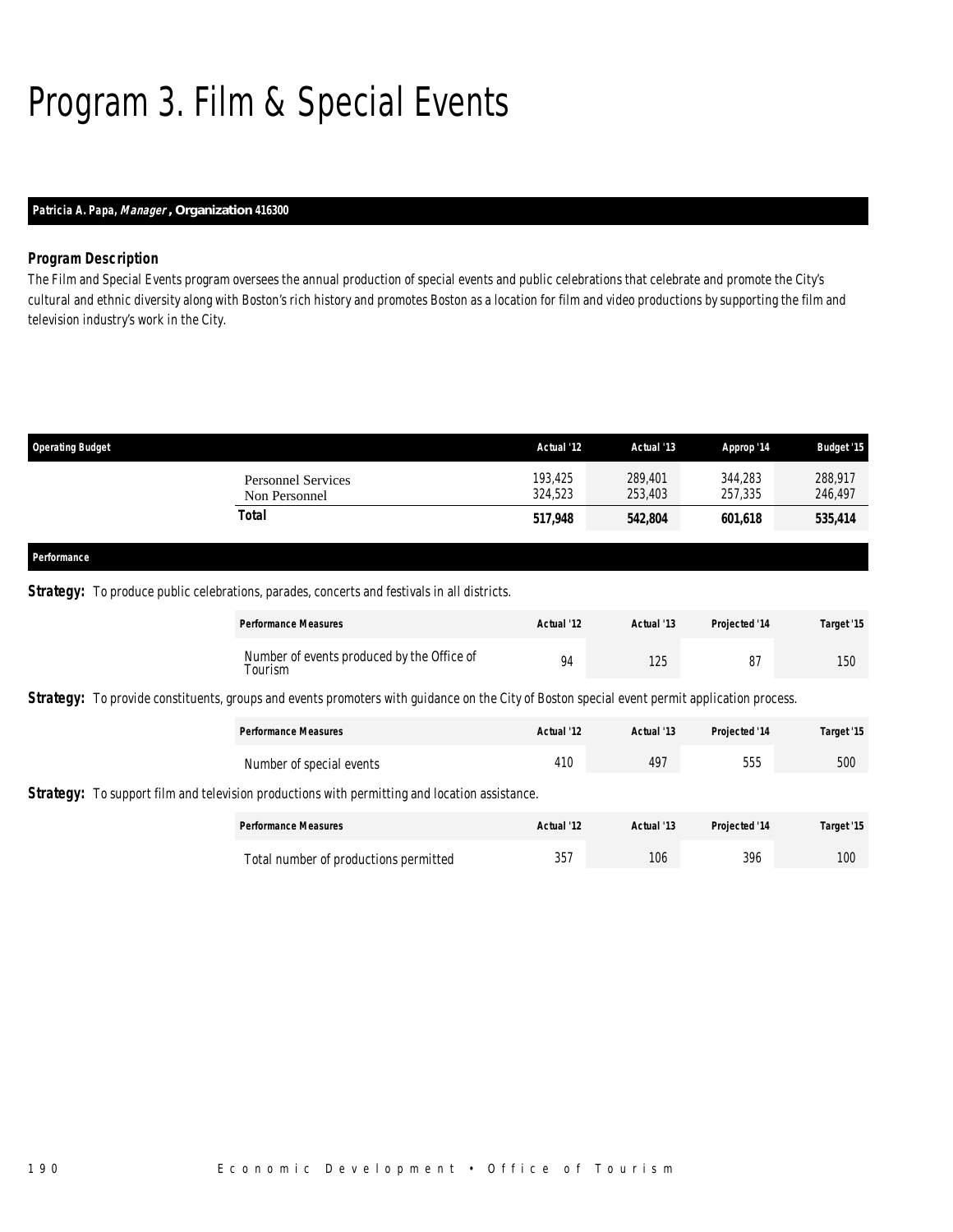# Program 3. Film & Special Events

## *Patricia A. Papa, Manager , Organization 416300*

#### *Program Description*

The Film and Special Events program oversees the annual production of special events and public celebrations that celebrate and promote the City's cultural and ethnic diversity along with Boston's rich history and promotes Boston as a location for film and video productions by supporting the film and television industry's work in the City.

| <b>Operating Budget</b> |                                            | Actual '12         | Actual '13         | Approp '14         | <b>Budget '15</b>  |
|-------------------------|--------------------------------------------|--------------------|--------------------|--------------------|--------------------|
|                         | <b>Personnel Services</b><br>Non Personnel | 193.425<br>324,523 | 289,401<br>253,403 | 344.283<br>257,335 | 288.917<br>246,497 |
|                         | Total                                      | 517,948            | 542,804            | 601,618            | 535,414            |
| Performance             |                                            |                    |                    |                    |                    |

### **Strategy:** To produce public celebrations, parades, concerts and festivals in all districts.

| <b>Performance Measures</b>                           | Actual '12 | Actual '13 | <b>Projected '14</b> | Target '15 |
|-------------------------------------------------------|------------|------------|----------------------|------------|
| Number of events produced by the Office of<br>Tourism | 94         | 125        | 87                   | 150        |

**Strategy:** To provide constituents, groups and events promoters with guidance on the City of Boston special event permit application process.

| <b>Performance Measures</b> | Actual '12 | Actual '13 | Projected '14 | Target '15 |
|-----------------------------|------------|------------|---------------|------------|
| Number of special events    | 410        | 497        | 555           | 500        |

Strategy: To support film and television productions with permitting and location assistance.

| <b>Performance Measures</b>           | Actual '12 | Actual '13 | <b>Projected '14</b> | Target '15 |
|---------------------------------------|------------|------------|----------------------|------------|
| Total number of productions permitted | 357        | 106        | 396                  | 100        |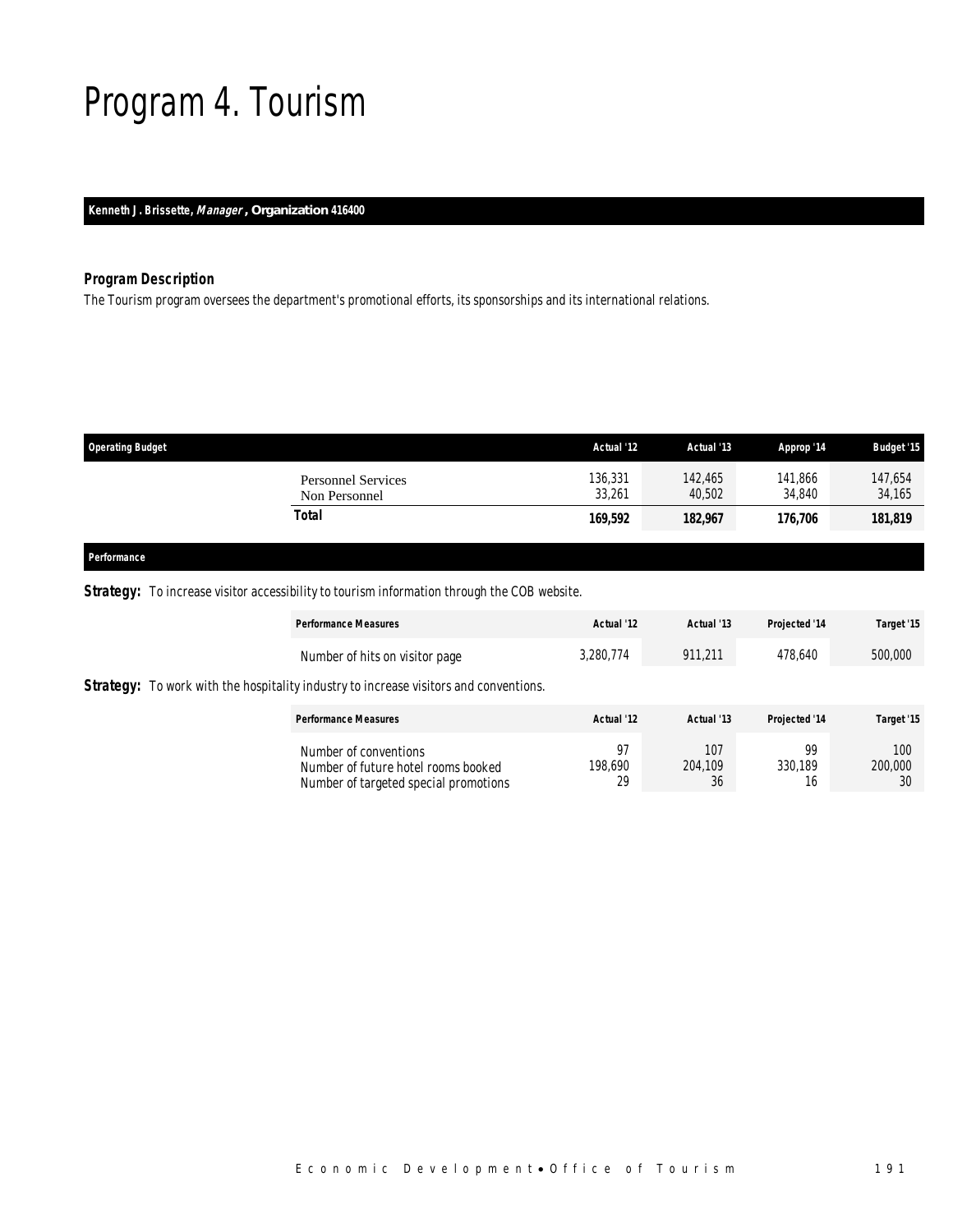# Program 4. Tourism

*Kenneth J. Brissette, Manager , Organization 416400* 

## *Program Description*

The Tourism program oversees the department's promotional efforts, its sponsorships and its international relations.

| <b>Operating Budget</b>                    | Actual '12        | Actual '13        | Approp '14        | <b>Budget '15</b> |
|--------------------------------------------|-------------------|-------------------|-------------------|-------------------|
| <b>Personnel Services</b><br>Non Personnel | 136,331<br>33,261 | 142.465<br>40.502 | 141,866<br>34,840 | 147,654<br>34,165 |
| Total                                      | 169,592           | 182,967           | 176,706           | 181,819           |
|                                            |                   |                   |                   |                   |

#### *Performance*

**Strategy:** To increase visitor accessibility to tourism information through the COB website.

|                                                                                              | <b>Performance Measures</b>                                                                           | Actual '12          | Actual '13           | Projected '14       | Target '15           |
|----------------------------------------------------------------------------------------------|-------------------------------------------------------------------------------------------------------|---------------------|----------------------|---------------------|----------------------|
|                                                                                              | Number of hits on visitor page                                                                        | 3.280.774           | 911.211              | 478.640             | 500,000              |
| <b>Strategy:</b> To work with the hospitality industry to increase visitors and conventions. |                                                                                                       |                     |                      |                     |                      |
|                                                                                              | <b>Performance Measures</b>                                                                           | Actual '12          | Actual '13           | Projected '14       | Target '15           |
|                                                                                              | Number of conventions<br>Number of future hotel rooms booked<br>Number of targeted special promotions | 97<br>198.690<br>29 | 107<br>204.109<br>36 | 99<br>330.189<br>16 | 100<br>200,000<br>30 |